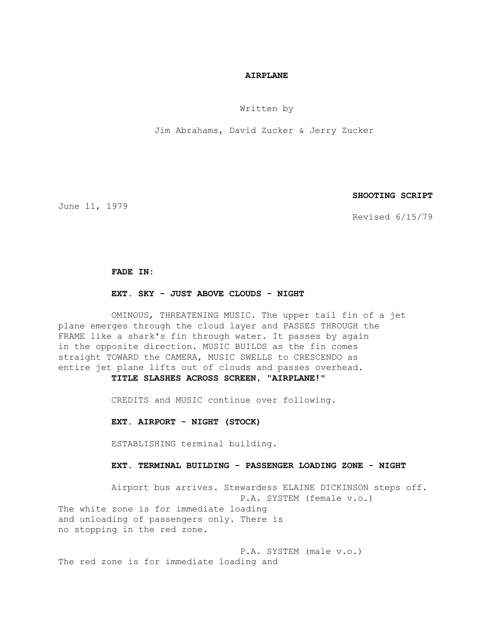# **AIRPLANE**

Written by

Jim Abrahams, David Zucker & Jerry Zucker

June 11, 1979

 **SHOOTING SCRIPT** 

Revised 6/15/79

# **FADE IN:**

#### **EXT. SKY - JUST ABOVE CLOUDS - NIGHT**

 OMINOUS, THREATENING MUSIC. The upper tail fin of a jet plane emerges through the cloud layer and PASSES THROUGH the FRAME like a shark's fin through water. It passes by again in the opposite direction. MUSIC BUILDS as the fin comes straight TOWARD the CAMERA, MUSIC SWELLS to CRESCENDO as entire jet plane lifts out of clouds and passes overhead.

 **TITLE SLASHES ACROSS SCREEN, "AIRPLANE!"** 

CREDITS and MUSIC continue over following.

 **EXT. AIRPORT - NIGHT (STOCK)** 

ESTABLISHING terminal building.

 **EXT. TERMINAL BUILDING - PASSENGER LOADING ZONE - NIGHT** 

 Airport bus arrives. Stewardess ELAINE DICKINSON steps off. P.A. SYSTEM (female v.o.) The white zone is for immediate loading and unloading of passengers only. There is no stopping in the red zone.

 P.A. SYSTEM (male v.o.) The red zone is for immediate loading and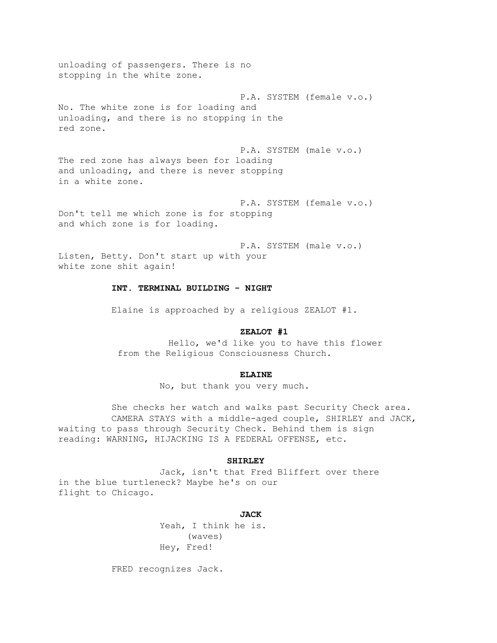unloading of passengers. There is no stopping in the white zone.

 P.A. SYSTEM (female v.o.) No. The white zone is for loading and unloading, and there is no stopping in the red zone.

 P.A. SYSTEM (male v.o.) The red zone has always been for loading and unloading, and there is never stopping in a white zone.

 P.A. SYSTEM (female v.o.) Don't tell me which zone is for stopping and which zone is for loading.

 P.A. SYSTEM (male v.o.) Listen, Betty. Don't start up with your white zone shit again!

# **INT. TERMINAL BUILDING - NIGHT**

Elaine is approached by a religious ZEALOT #1.

# **ZEALOT #1**

 Hello, we'd like you to have this flower from the Religious Consciousness Church.

### **ELAINE**

No, but thank you very much.

 She checks her watch and walks past Security Check area. CAMERA STAYS with a middle-aged couple, SHIRLEY and JACK, waiting to pass through Security Check. Behind them is sign reading: WARNING, HIJACKING IS A FEDERAL OFFENSE, etc.

### **SHIRLEY**

 Jack, isn't that Fred Bliffert over there in the blue turtleneck? Maybe he's on our flight to Chicago.

# *<u>JACK</u>*

 Yeah, I think he is. (waves) Hey, Fred!

FRED recognizes Jack.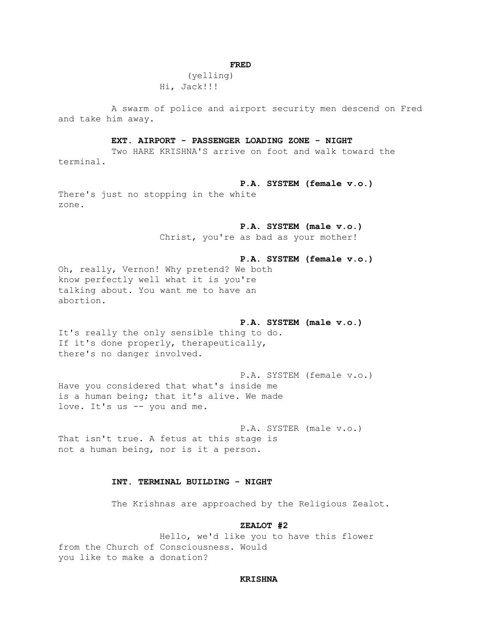# (yelling) Hi, Jack!!!

 A swarm of police and airport security men descend on Fred and take him away.

# **EXT. AIRPORT - PASSENGER LOADING ZONE - NIGHT**

 Two HARE KRISHNA'S arrive on foot and walk toward the terminal.

**P.A. SYSTEM (female v.o.)**

There's just no stopping in the white zone.

# **P.A. SYSTEM (male v.o.)**

Christ, you're as bad as your mother!

# **P.A. SYSTEM (female v.o.)**

Oh, really, Vernon! Why pretend? We both know perfectly well what it is you're talking about. You want me to have an abortion.

### **P.A. SYSTEM (male v.o.)**

It's really the only sensible thing to do. If it's done properly, therapeutically, there's no danger involved.

 P.A. SYSTEM (female v.o.) Have you considered that what's inside me is a human being; that it's alive. We made love. It's us -- you and me.

 P.A. SYSTER (male v.o.) That isn't true. A fetus at this stage is not a human being, nor is it a person.

# **INT. TERMINAL BUILDING - NIGHT**

The Krishnas are approached by the Religious Zealot.

### **ZEALOT #2**

 Hello, we'd like you to have this flower from the Church of Consciousness. Would you like to make a donation?

# **KRISHNA**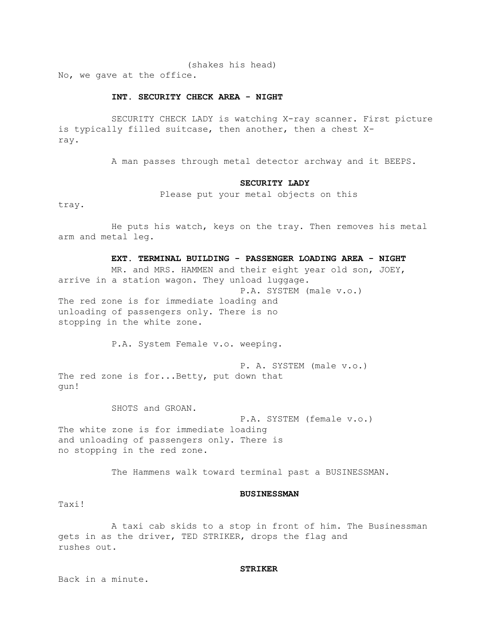(shakes his head)

No, we gave at the office.

# **INT. SECURITY CHECK AREA - NIGHT**

 SECURITY CHECK LADY is watching X-ray scanner. First picture is typically filled suitcase, then another, then a chest Xray.

A man passes through metal detector archway and it BEEPS.

### **SECURITY LADY**

Please put your metal objects on this

tray.

 He puts his watch, keys on the tray. Then removes his metal arm and metal leg.

#### **EXT. TERMINAL BUILDING - PASSENGER LOADING AREA - NIGHT**

 MR. and MRS. HAMMEN and their eight year old son, JOEY, arrive in a station wagon. They unload luggage. P.A. SYSTEM (male v.o.) The red zone is for immediate loading and unloading of passengers only. There is no stopping in the white zone.

P.A. System Female v.o. weeping.

 P. A. SYSTEM (male v.o.) The red zone is for...Betty, put down that gun!

SHOTS and GROAN.

 P.A. SYSTEM (female v.o.) The white zone is for immediate loading and unloading of passengers only. There is no stopping in the red zone.

The Hammens walk toward terminal past a BUSINESSMAN.

# **BUSINESSMAN**

Taxi!

 A taxi cab skids to a stop in front of him. The Businessman gets in as the driver, TED STRIKER, drops the flag and rushes out.

#### **STRIKER**

Back in a minute.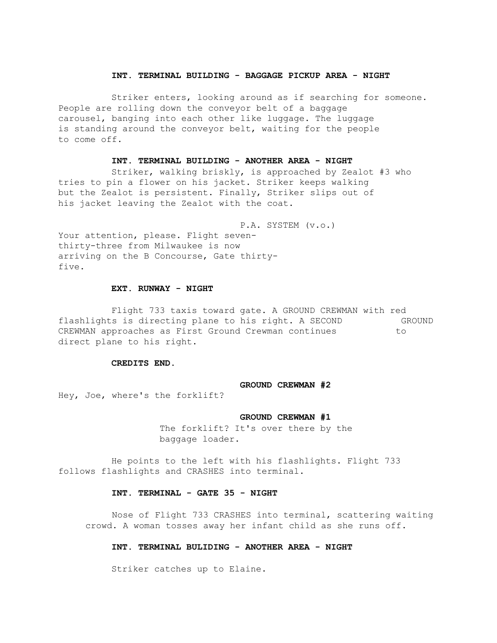# **INT. TERMINAL BUILDING - BAGGAGE PICKUP AREA - NIGHT**

 Striker enters, looking around as if searching for someone. People are rolling down the conveyor belt of a baggage carousel, banging into each other like luggage. The luggage is standing around the conveyor belt, waiting for the people to come off.

# **INT. TERMINAL BUILDING - ANOTHER AREA - NIGHT**

 Striker, walking briskly, is approached by Zealot #3 who tries to pin a flower on his jacket. Striker keeps walking but the Zealot is persistent. Finally, Striker slips out of his jacket leaving the Zealot with the coat.

 P.A. SYSTEM (v.o.) Your attention, please. Flight seventhirty-three from Milwaukee is now arriving on the B Concourse, Gate thirtyfive.

# **EXT. RUNWAY - NIGHT**

 Flight 733 taxis toward gate. A GROUND CREWMAN with red flashlights is directing plane to his right. A SECOND GROUND CREWMAN approaches as First Ground Crewman continues to direct plane to his right.

# **CREDITS END.**

#### **GROUND CREWMAN #2**

Hey, Joe, where's the forklift?

#### **GROUND CREWMAN #1**

 The forklift? It's over there by the baggage loader.

 He points to the left with his flashlights. Flight 733 follows flashlights and CRASHES into terminal.

### **INT. TERMINAL - GATE 35 - NIGHT**

 Nose of Flight 733 CRASHES into terminal, scattering waiting crowd. A woman tosses away her infant child as she runs off.

# **INT. TERMINAL BULIDING - ANOTHER AREA - NIGHT**

Striker catches up to Elaine.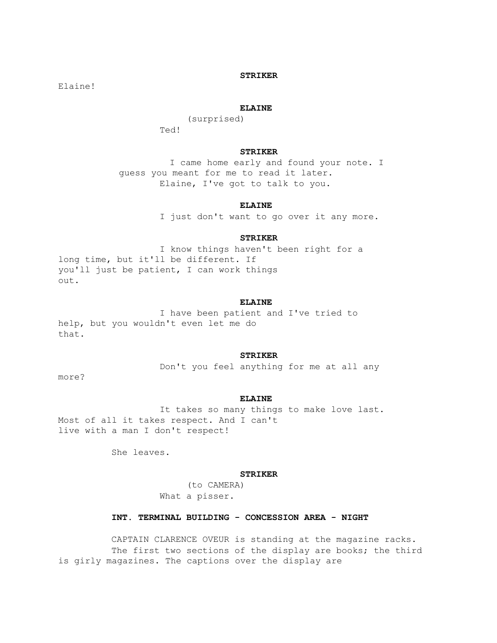# **STRIKER**

Elaine!

# **ELAINE**

(surprised)

Ted!

# **STRIKER**

 I came home early and found your note. I guess you meant for me to read it later. Elaine, I've got to talk to you.

### **ELAINE**

I just don't want to go over it any more.

# **STRIKER**

 I know things haven't been right for a long time, but it'll be different. If you'll just be patient, I can work things out.

#### **ELAINE**

 I have been patient and I've tried to help, but you wouldn't even let me do that.

# **STRIKER**

Don't you feel anything for me at all any

more?

#### **ELAINE**

 It takes so many things to make love last. Most of all it takes respect. And I can't live with a man I don't respect!

She leaves.

### **STRIKER**

 (to CAMERA) What a pisser.

# **INT. TERMINAL BUILDING - CONCESSION AREA - NIGHT**

 CAPTAIN CLARENCE OVEUR is standing at the magazine racks. The first two sections of the display are books; the third is girly magazines. The captions over the display are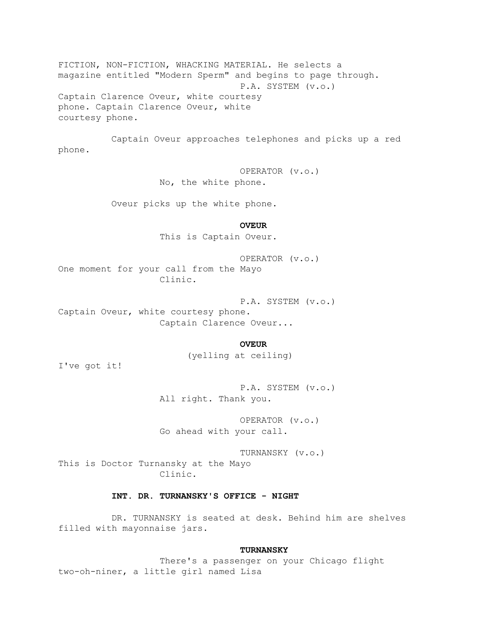FICTION, NON-FICTION, WHACKING MATERIAL. He selects a magazine entitled "Modern Sperm" and begins to page through. P.A. SYSTEM (v.o.) Captain Clarence Oveur, white courtesy phone. Captain Clarence Oveur, white courtesy phone. Captain Oveur approaches telephones and picks up a red phone. OPERATOR (v.o.) No, the white phone. Oveur picks up the white phone.  **OVEUR**  This is Captain Oveur. OPERATOR (v.o.) One moment for your call from the Mayo Clinic. P.A. SYSTEM (v.o.) Captain Oveur, white courtesy phone. Captain Clarence Oveur...  **OVEUR**  (yelling at ceiling) I've got it! P.A. SYSTEM (v.o.) All right. Thank you. OPERATOR (v.o.) Go ahead with your call. TURNANSKY (v.o.) This is Doctor Turnansky at the Mayo Clinic.  **INT. DR. TURNANSKY'S OFFICE - NIGHT** 

 DR. TURNANSKY is seated at desk. Behind him are shelves filled with mayonnaise jars.

### **TURNANSKY**

 There's a passenger on your Chicago flight two-oh-niner, a little girl named Lisa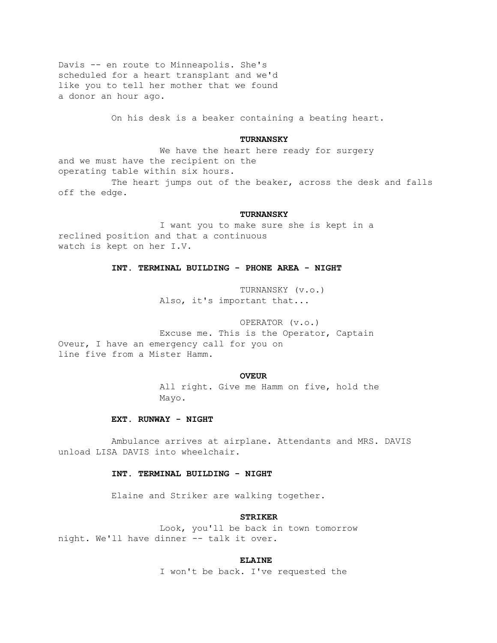Davis -- en route to Minneapolis. She's scheduled for a heart transplant and we'd like you to tell her mother that we found a donor an hour ago.

On his desk is a beaker containing a beating heart.

# **TURNANSKY**

 We have the heart here ready for surgery and we must have the recipient on the operating table within six hours. The heart jumps out of the beaker, across the desk and falls off the edge.

#### **TURNANSKY**

 I want you to make sure she is kept in a reclined position and that a continuous watch is kept on her I.V.

# **INT. TERMINAL BUILDING - PHONE AREA - NIGHT**

 TURNANSKY (v.o.) Also, it's important that...

# OPERATOR (v.o.)

 Excuse me. This is the Operator, Captain Oveur, I have an emergency call for you on line five from a Mister Hamm.

### **OVEUR**

 All right. Give me Hamm on five, hold the Mayo.

### **EXT. RUNWAY - NIGHT**

 Ambulance arrives at airplane. Attendants and MRS. DAVIS unload LISA DAVIS into wheelchair.

# **INT. TERMINAL BUILDING - NIGHT**

Elaine and Striker are walking together.

# **STRIKER**

 Look, you'll be back in town tomorrow night. We'll have dinner -- talk it over.

#### **ELAINE**

I won't be back. I've requested the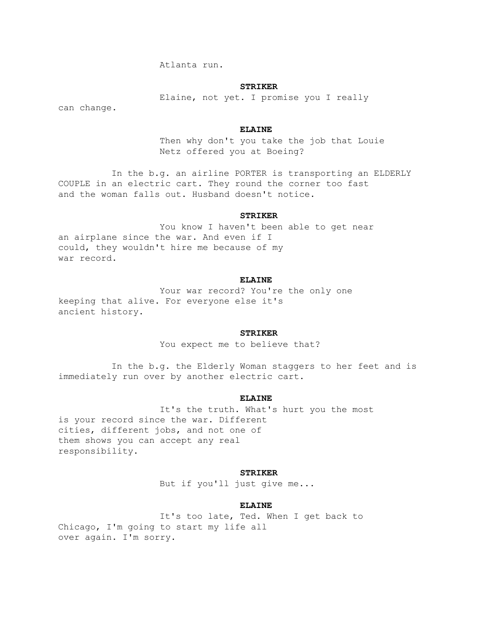Atlanta run.

### **STRIKER**

Elaine, not yet. I promise you I really

can change.

### **ELAINE**

 Then why don't you take the job that Louie Netz offered you at Boeing?

 In the b.g. an airline PORTER is transporting an ELDERLY COUPLE in an electric cart. They round the corner too fast and the woman falls out. Husband doesn't notice.

# **STRIKER**

 You know I haven't been able to get near an airplane since the war. And even if I could, they wouldn't hire me because of my war record.

## **ELAINE**

 Your war record? You're the only one keeping that alive. For everyone else it's ancient history.

### **STRIKER**

You expect me to believe that?

 In the b.g. the Elderly Woman staggers to her feet and is immediately run over by another electric cart.

### **ELAINE**

 It's the truth. What's hurt you the most is your record since the war. Different cities, different jobs, and not one of them shows you can accept any real responsibility.

# **STRIKER**

But if you'll just give me...

# **ELAINE**

 It's too late, Ted. When I get back to Chicago, I'm going to start my life all over again. I'm sorry.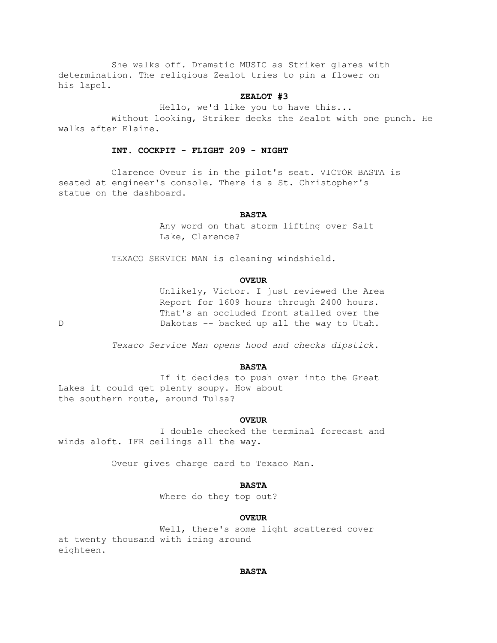She walks off. Dramatic MUSIC as Striker glares with determination. The religious Zealot tries to pin a flower on his lapel.

#### **ZEALOT #3**

 Hello, we'd like you to have this... Without looking, Striker decks the Zealot with one punch. He walks after Elaine.

# **INT. COCKPIT - FLIGHT 209 - NIGHT**

 Clarence Oveur is in the pilot's seat. VICTOR BASTA is seated at engineer's console. There is a St. Christopher's statue on the dashboard.

### **BASTA**

 Any word on that storm lifting over Salt Lake, Clarence?

TEXACO SERVICE MAN is cleaning windshield.

### **OVEUR**

 Unlikely, Victor. I just reviewed the Area Report for 1609 hours through 2400 hours. That's an occluded front stalled over the D Dakotas -- backed up all the way to Utah.

*Texaco Service Man opens hood and checks dipstick.* 

# **BASTA**

 If it decides to push over into the Great Lakes it could get plenty soupy. How about the southern route, around Tulsa?

### **OVEUR**

 I double checked the terminal forecast and winds aloft. IFR ceilings all the way.

Oveur gives charge card to Texaco Man.

### **BASTA**

Where do they top out?

# **OVEUR**

 Well, there's some light scattered cover at twenty thousand with icing around eighteen.

# **BASTA**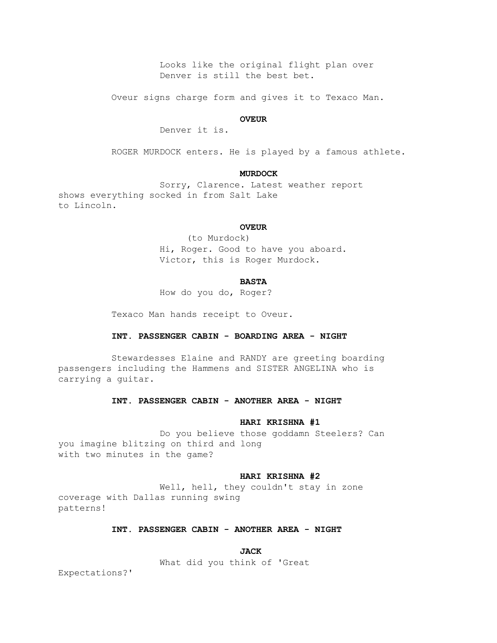Looks like the original flight plan over Denver is still the best bet.

Oveur signs charge form and gives it to Texaco Man.

# **OVEUR**

Denver it is.

ROGER MURDOCK enters. He is played by a famous athlete.

### **MURDOCK**

 Sorry, Clarence. Latest weather report shows everything socked in from Salt Lake to Lincoln.

### **OVEUR**

 (to Murdock) Hi, Roger. Good to have you aboard. Victor, this is Roger Murdock.

### **BASTA**

How do you do, Roger?

Texaco Man hands receipt to Oveur.

# **INT. PASSENGER CABIN - BOARDING AREA - NIGHT**

 Stewardesses Elaine and RANDY are greeting boarding passengers including the Hammens and SISTER ANGELINA who is carrying a guitar.

#### **INT. PASSENGER CABIN - ANOTHER AREA - NIGHT**

### **HARI KRISHNA #1**

 Do you believe those goddamn Steelers? Can you imagine blitzing on third and long with two minutes in the game?

### **HARI KRISHNA #2**

 Well, hell, they couldn't stay in zone coverage with Dallas running swing patterns!

# **INT. PASSENGER CABIN - ANOTHER AREA - NIGHT**

*<u>JACK</u>* 

What did you think of 'Great

Expectations?'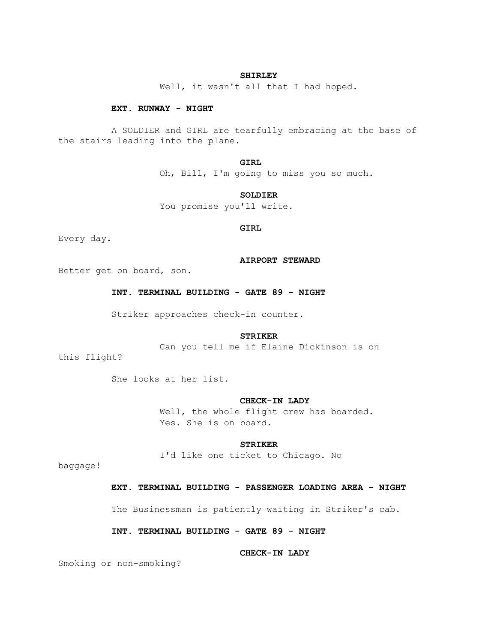### **SHIRLEY**

Well, it wasn't all that I had hoped.

# **EXT. RUNWAY - NIGHT**

 A SOLDIER and GIRL are tearfully embracing at the base of the stairs leading into the plane.

# **GIRL GIRL**

Oh, Bill, I'm going to miss you so much.

### **SOLDIER**

You promise you'll write.

# **GIRL GIRL**

Every day.

# **AIRPORT STEWARD**

Better get on board, son.

# **INT. TERMINAL BUILDING - GATE 89 - NIGHT**

Striker approaches check-in counter.

# **STRIKER**

Can you tell me if Elaine Dickinson is on

this flight?

She looks at her list.

### **CHECK-IN LADY**

 Well, the whole flight crew has boarded. Yes. She is on board.

# **STRIKER**

I'd like one ticket to Chicago. No

baggage!

# **EXT. TERMINAL BUILDING - PASSENGER LOADING AREA - NIGHT**

The Businessman is patiently waiting in Striker's cab.

# **INT. TERMINAL BUILDING - GATE 89 - NIGHT**

### **CHECK-IN LADY**

Smoking or non-smoking?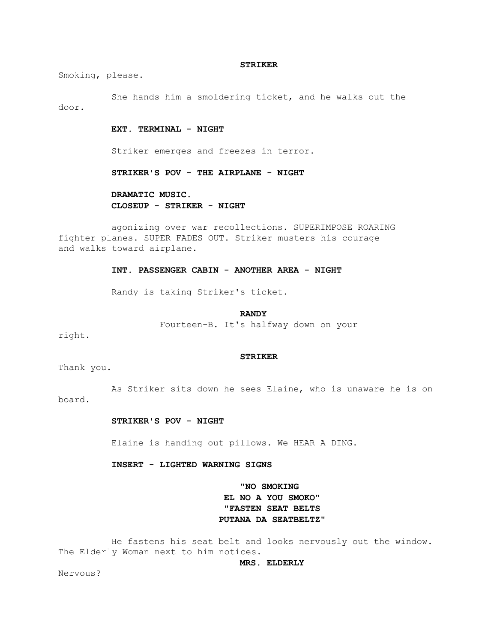### **STRIKER**

Smoking, please.

 She hands him a smoldering ticket, and he walks out the door.

# **EXT. TERMINAL - NIGHT**

Striker emerges and freezes in terror.

 **STRIKER'S POV - THE AIRPLANE - NIGHT** 

 **DRAMATIC MUSIC. CLOSEUP - STRIKER - NIGHT** 

 agonizing over war recollections. SUPERIMPOSE ROARING fighter planes. SUPER FADES OUT. Striker musters his courage and walks toward airplane.

### **INT. PASSENGER CABIN - ANOTHER AREA - NIGHT**

Randy is taking Striker's ticket.

### **RANDY**

Fourteen-B. It's halfway down on your

right.

#### **STRIKER**

Thank you.

 As Striker sits down he sees Elaine, who is unaware he is on board.

# **STRIKER'S POV - NIGHT**

Elaine is handing out pillows. We HEAR A DING.

# **INSERT - LIGHTED WARNING SIGNS**

 **"NO SMOKING EL NO A YOU SMOKO" "FASTEN SEAT BELTS PUTANA DA SEATBELTZ"** 

 He fastens his seat belt and looks nervously out the window. The Elderly Woman next to him notices.

### **MRS. ELDERLY**

Nervous?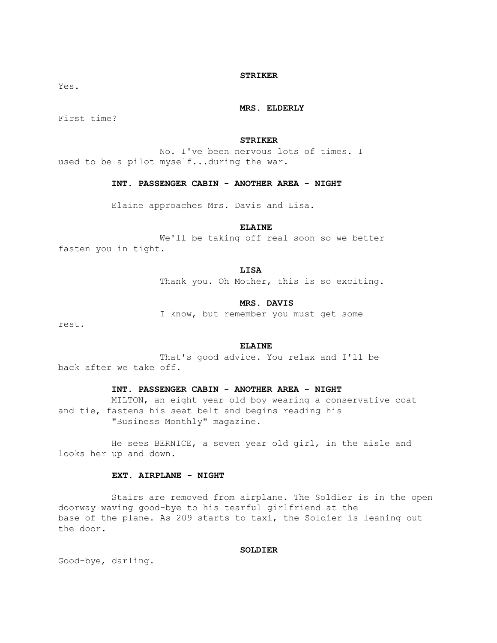Yes.

 **MRS. ELDERLY** 

First time?

#### **STRIKER**

 No. I've been nervous lots of times. I used to be a pilot myself...during the war.

# **INT. PASSENGER CABIN - ANOTHER AREA - NIGHT**

Elaine approaches Mrs. Davis and Lisa.

# **ELAINE**

 We'll be taking off real soon so we better fasten you in tight.

 **LISA** 

Thank you. Oh Mother, this is so exciting.

 **MRS. DAVIS** 

I know, but remember you must get some

rest.

#### **ELAINE**

 That's good advice. You relax and I'll be back after we take off.

# **INT. PASSENGER CABIN - ANOTHER AREA - NIGHT**

 MILTON, an eight year old boy wearing a conservative coat and tie, fastens his seat belt and begins reading his "Business Monthly" magazine.

 He sees BERNICE, a seven year old girl, in the aisle and looks her up and down.

# **EXT. AIRPLANE - NIGHT**

 Stairs are removed from airplane. The Soldier is in the open doorway waving good-bye to his tearful girlfriend at the base of the plane. As 209 starts to taxi, the Soldier is leaning out the door.

#### **SOLDIER**

Good-bye, darling.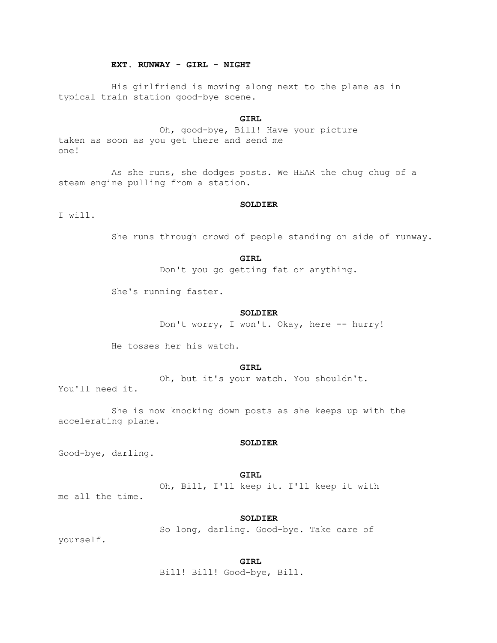# **EXT. RUNWAY - GIRL - NIGHT**

 His girlfriend is moving along next to the plane as in typical train station good-bye scene.

# **GIRL GIRL**

 Oh, good-bye, Bill! Have your picture taken as soon as you get there and send me one!

 As she runs, she dodges posts. We HEAR the chug chug of a steam engine pulling from a station.

### **SOLDIER**

I will.

She runs through crowd of people standing on side of runway.

# **GIRL GIRL**

Don't you go getting fat or anything.

She's running faster.

### **SOLDIER**

Don't worry, I won't. Okay, here -- hurry!

He tosses her his watch.

# **GIRL**

Oh, but it's your watch. You shouldn't.

You'll need it.

 She is now knocking down posts as she keeps up with the accelerating plane.

### **SOLDIER**

Good-bye, darling.

me all the time.

# **GIRL GIRL**

Oh, Bill, I'll keep it. I'll keep it with

### **SOLDIER**

So long, darling. Good-bye. Take care of

yourself.

# **GIRL GIRL**

Bill! Bill! Good-bye, Bill.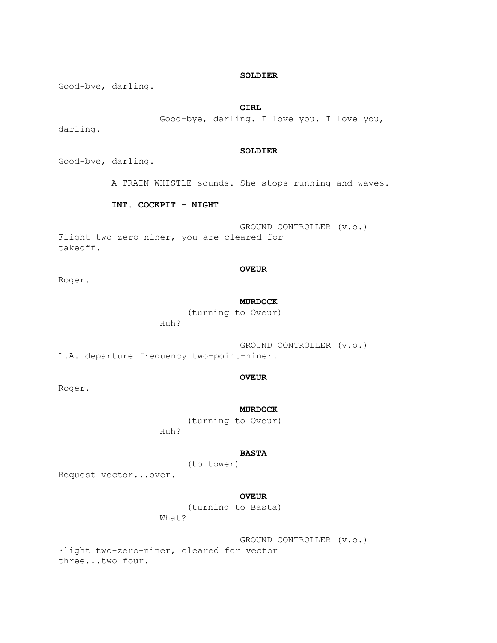# **SOLDIER**

Good-bye, darling.

# **GIRL**

Good-bye, darling. I love you. I love you,

darling.

# **SOLDIER**

Good-bye, darling.

A TRAIN WHISTLE sounds. She stops running and waves.

# **INT. COCKPIT - NIGHT**

 GROUND CONTROLLER (v.o.) Flight two-zero-niner, you are cleared for takeoff.

# **OVEUR**

Roger.

# **MURDOCK**

(turning to Oveur)

Huh?

 GROUND CONTROLLER (v.o.) L.A. departure frequency two-point-niner.

#### **OVEUR**

Roger.

 **MURDOCK** 

(turning to Oveur)

Huh?

### **BASTA**

(to tower)

Request vector...over.

# **OVEUR**

 (turning to Basta) What?

 GROUND CONTROLLER (v.o.) Flight two-zero-niner, cleared for vector three...two four.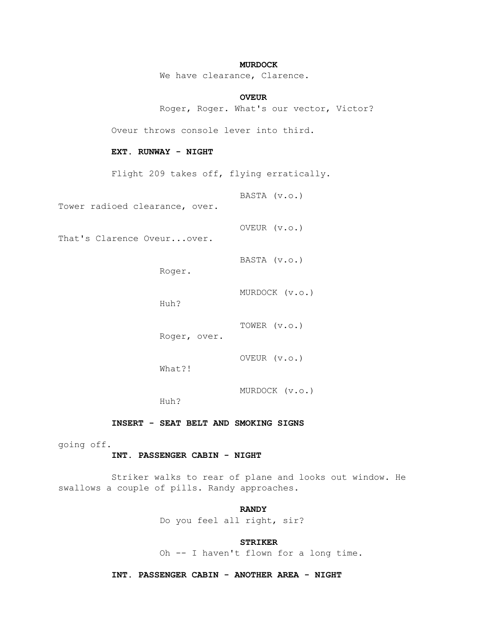# **MURDOCK**

We have clearance, Clarence.

# **OVEUR**

Roger, Roger. What's our vector, Victor?

Oveur throws console lever into third.

# **EXT. RUNWAY - NIGHT**

Flight 209 takes off, flying erratically.

BASTA (v.o.)

Tower radioed clearance, over.

OVEUR (v.o.)

That's Clarence Oveur...over.

BASTA (v.o.)

Roger.

MURDOCK (v.o.)

Huh?

TOWER (v.o.)

Roger, over.

OVEUR (v.o.)

What?!

MURDOCK (v.o.)

Huh?

 **INSERT - SEAT BELT AND SMOKING SIGNS** 

going off.

 **INT. PASSENGER CABIN - NIGHT** 

 Striker walks to rear of plane and looks out window. He swallows a couple of pills. Randy approaches.

 **RANDY** 

Do you feel all right, sir?

#### **STRIKER**

Oh -- I haven't flown for a long time.

 **INT. PASSENGER CABIN - ANOTHER AREA - NIGHT**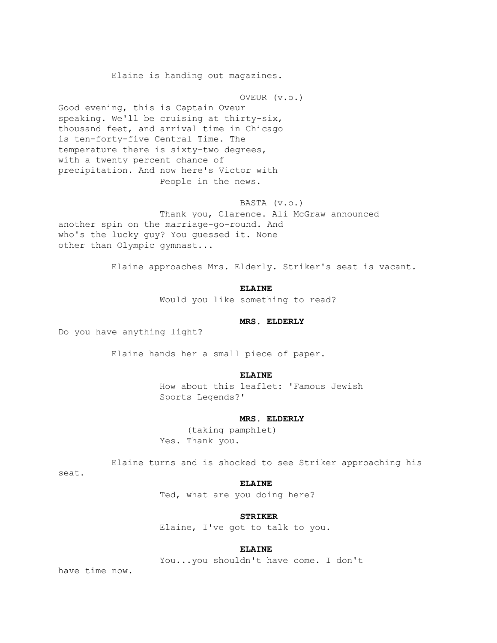Elaine is handing out magazines.

OVEUR (v.o.)

Good evening, this is Captain Oveur speaking. We'll be cruising at thirty-six, thousand feet, and arrival time in Chicago is ten-forty-five Central Time. The temperature there is sixty-two degrees, with a twenty percent chance of precipitation. And now here's Victor with People in the news.

#### BASTA (v.o.)

Thank you, Clarence. Ali McGraw announced another spin on the marriage-go-round. And who's the lucky guy? You guessed it. None other than Olympic gymnast...

Elaine approaches Mrs. Elderly. Striker's seat is vacant.

#### **ELAINE**

Would you like something to read?

# **MRS. ELDERLY**

Do you have anything light?

Elaine hands her a small piece of paper.

### **ELAINE**

 How about this leaflet: 'Famous Jewish Sports Legends?'

# **MRS. ELDERLY**

 (taking pamphlet) Yes. Thank you.

Elaine turns and is shocked to see Striker approaching his

seat.

#### **ELAINE**

Ted, what are you doing here?

#### **STRIKER**

Elaine, I've got to talk to you.

# **ELAINE**

You...you shouldn't have come. I don't

have time now.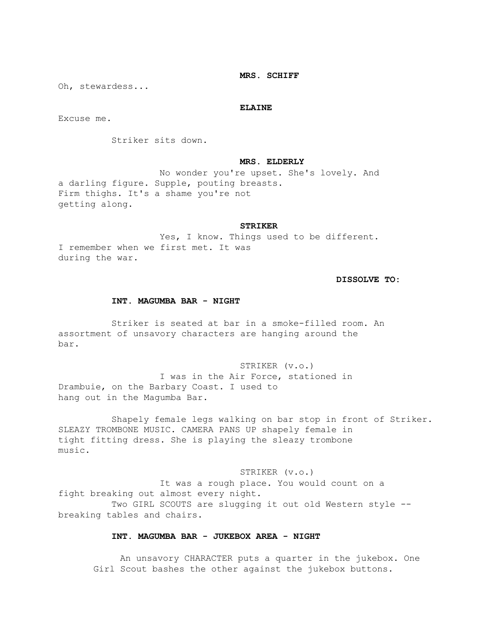**MRS. SCHIFF** 

Oh, stewardess...

# **ELAINE**

Excuse me.

Striker sits down.

# **MRS. ELDERLY**

 No wonder you're upset. She's lovely. And a darling figure. Supple, pouting breasts. Firm thighs. It's a shame you're not getting along.

#### **STRIKER**

Yes, I know. Things used to be different. I remember when we first met. It was during the war.

# **DISSOLVE TO:**

# **INT. MAGUMBA BAR - NIGHT**

 Striker is seated at bar in a smoke-filled room. An assortment of unsavory characters are hanging around the bar.

 STRIKER (v.o.) I was in the Air Force, stationed in Drambuie, on the Barbary Coast. I used to hang out in the Magumba Bar.

 Shapely female legs walking on bar stop in front of Striker. SLEAZY TROMBONE MUSIC. CAMERA PANS UP shapely female in tight fitting dress. She is playing the sleazy trombone music.

 STRIKER (v.o.) It was a rough place. You would count on a fight breaking out almost every night. Two GIRL SCOUTS are slugging it out old Western style - breaking tables and chairs.

# **INT. MAGUMBA BAR - JUKEBOX AREA - NIGHT**

 An unsavory CHARACTER puts a quarter in the jukebox. One Girl Scout bashes the other against the jukebox buttons.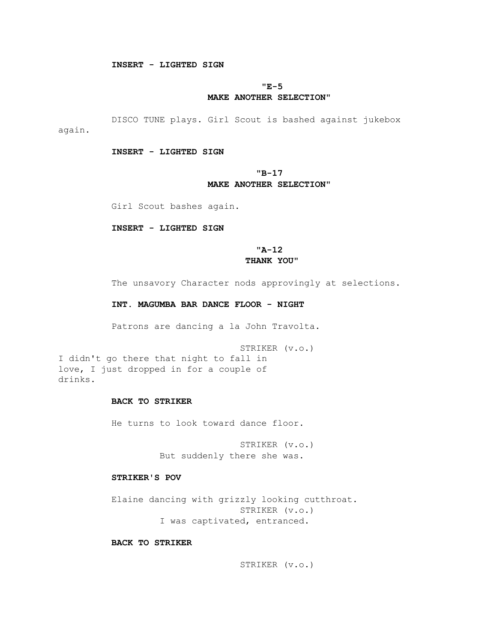**INSERT - LIGHTED SIGN** 

# *<u>"E-5</u>*  **MAKE ANOTHER SELECTION"**

 DISCO TUNE plays. Girl Scout is bashed against jukebox again.

# **INSERT - LIGHTED SIGN**

# **"B-17 MAKE ANOTHER SELECTION"**

Girl Scout bashes again.

# **INSERT - LIGHTED SIGN**

# **"A-12 THANK YOU"**

The unsavory Character nods approvingly at selections.

### **INT. MAGUMBA BAR DANCE FLOOR - NIGHT**

Patrons are dancing a la John Travolta.

 STRIKER (v.o.) I didn't go there that night to fall in love, I just dropped in for a couple of drinks.

# **BACK TO STRIKER**

He turns to look toward dance floor.

 STRIKER (v.o.) But suddenly there she was.

# **STRIKER'S POV**

 Elaine dancing with grizzly looking cutthroat. STRIKER (v.o.) I was captivated, entranced.

 **BACK TO STRIKER** 

STRIKER (v.o.)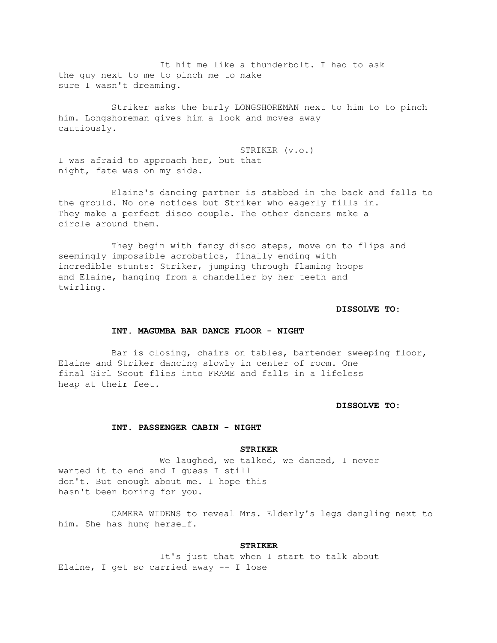It hit me like a thunderbolt. I had to ask the guy next to me to pinch me to make sure I wasn't dreaming.

 Striker asks the burly LONGSHOREMAN next to him to to pinch him. Longshoreman gives him a look and moves away cautiously.

 STRIKER (v.o.) I was afraid to approach her, but that night, fate was on my side.

 Elaine's dancing partner is stabbed in the back and falls to the grould. No one notices but Striker who eagerly fills in. They make a perfect disco couple. The other dancers make a circle around them.

They begin with fancy disco steps, move on to flips and seemingly impossible acrobatics, finally ending with incredible stunts: Striker, jumping through flaming hoops and Elaine, hanging from a chandelier by her teeth and twirling.

# **DISSOLVE TO:**

# **INT. MAGUMBA BAR DANCE FLOOR - NIGHT**

 Bar is closing, chairs on tables, bartender sweeping floor, Elaine and Striker dancing slowly in center of room. One final Girl Scout flies into FRAME and falls in a lifeless heap at their feet.

### **DISSOLVE TO:**

### **INT. PASSENGER CABIN - NIGHT**

#### **STRIKER**

We laughed, we talked, we danced, I never wanted it to end and I guess I still don't. But enough about me. I hope this hasn't been boring for you.

 CAMERA WIDENS to reveal Mrs. Elderly's legs dangling next to him. She has hung herself.

#### **STRIKER**

 It's just that when I start to talk about Elaine, I get so carried away -- I lose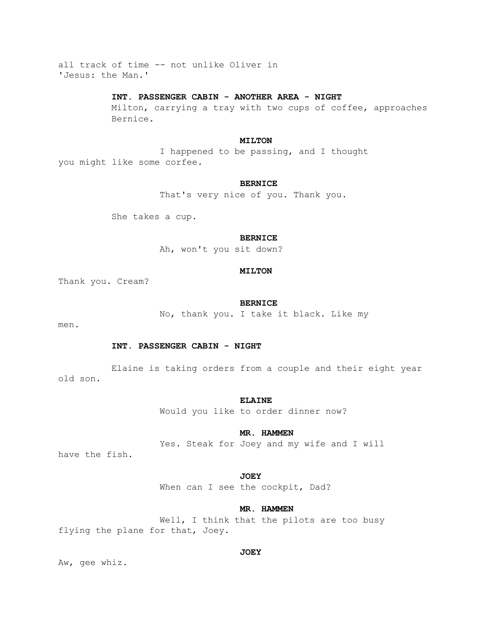all track of time -- not unlike Oliver in 'Jesus: the Man.'

 **INT. PASSENGER CABIN - ANOTHER AREA - NIGHT** 

 Milton, carrying a tray with two cups of coffee, approaches Bernice.

# **MILTON**

 I happened to be passing, and I thought you might like some corfee.

### **BERNICE**

That's very nice of you. Thank you.

She takes a cup.

#### **BERNICE**

Ah, won't you sit down?

# **MILTON**

Thank you. Cream?

#### **BERNICE**

No, thank you. I take it black. Like my

men.

# **INT. PASSENGER CABIN - NIGHT**

 Elaine is taking orders from a couple and their eight year old son.

#### **ELAINE**

Would you like to order dinner now?

# **MR. HAMMEN**

Yes. Steak for Joey and my wife and I will

have the fish.

# *<u> JOEY</u>*

When can I see the cockpit, Dad?

# **MR. HAMMEN**

Well, I think that the pilots are too busy flying the plane for that, Joey.

# *<u> JOEY</u>*

Aw, gee whiz.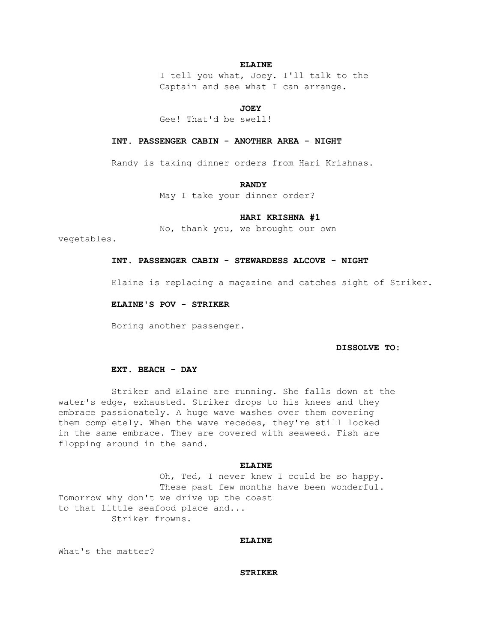#### **ELAINE**

 I tell you what, Joey. I'll talk to the Captain and see what I can arrange.

# *<u> JOEY</u>*

Gee! That'd be swell!

### **INT. PASSENGER CABIN - ANOTHER AREA - NIGHT**

Randy is taking dinner orders from Hari Krishnas.

#### **RANDY**

May I take your dinner order?

#### **HARI KRISHNA #1**

No, thank you, we brought our own

vegetables.

### **INT. PASSENGER CABIN - STEWARDESS ALCOVE - NIGHT**

Elaine is replacing a magazine and catches sight of Striker.

 **ELAINE'S POV - STRIKER** 

Boring another passenger.

# **DISSOLVE TO:**

### **EXT. BEACH - DAY**

 Striker and Elaine are running. She falls down at the water's edge, exhausted. Striker drops to his knees and they embrace passionately. A huge wave washes over them covering them completely. When the wave recedes, they're still locked in the same embrace. They are covered with seaweed. Fish are flopping around in the sand.

### **ELAINE**

 Oh, Ted, I never knew I could be so happy. These past few months have been wonderful. Tomorrow why don't we drive up the coast to that little seafood place and... Striker frowns.

### **ELAINE**

What's the matter?

 **STRIKER**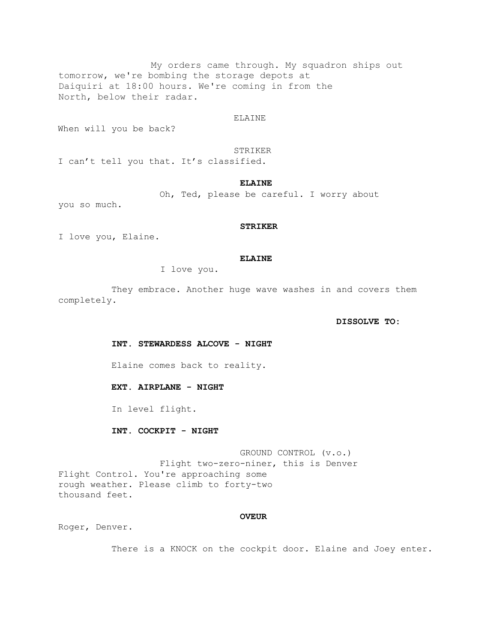My orders came through. My squadron ships out tomorrow, we're bombing the storage depots at Daiquiri at 18:00 hours. We're coming in from the North, below their radar.

#### ELAINE

When will you be back?

STRIKER I can't tell you that. It's classified.

# **ELAINE**

Oh, Ted, please be careful. I worry about

#### **STRIKER**

I love you, Elaine.

you so much.

# **ELAINE**

I love you.

 They embrace. Another huge wave washes in and covers them completely.

# **DISSOLVE TO:**

 **INT. STEWARDESS ALCOVE - NIGHT** 

Elaine comes back to reality.

# **EXT. AIRPLANE - NIGHT**

In level flight.

### **INT. COCKPIT - NIGHT**

 GROUND CONTROL (v.o.) Flight two-zero-niner, this is Denver Flight Control. You're approaching some rough weather. Please climb to forty-two thousand feet.

#### **OVEUR**

Roger, Denver.

There is a KNOCK on the cockpit door. Elaine and Joey enter.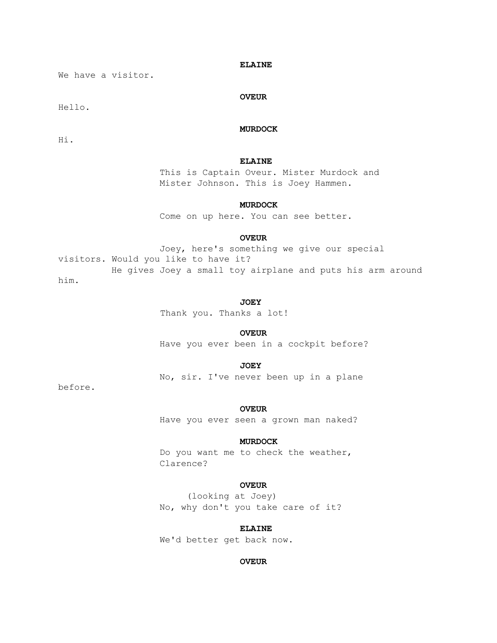**ELAINE** 

 **OVEUR** 

We have a visitor.

Hello.

# **MURDOCK**

Hi.

### **ELAINE**

 This is Captain Oveur. Mister Murdock and Mister Johnson. This is Joey Hammen.

# **MURDOCK**

Come on up here. You can see better.

#### **OVEUR**

 Joey, here's something we give our special visitors. Would you like to have it? He gives Joey a small toy airplane and puts his arm around him.

# *<u> JOEY</u>*

Thank you. Thanks a lot!

### **OVEUR**

Have you ever been in a cockpit before?

 **JOEY** 

No, sir. I've never been up in a plane

before.

### **OVEUR**

Have you ever seen a grown man naked?

### **MURDOCK**

 Do you want me to check the weather, Clarence?

# **OVEUR**

 (looking at Joey) No, why don't you take care of it?

# **ELAINE**

We'd better get back now.

# **OVEUR**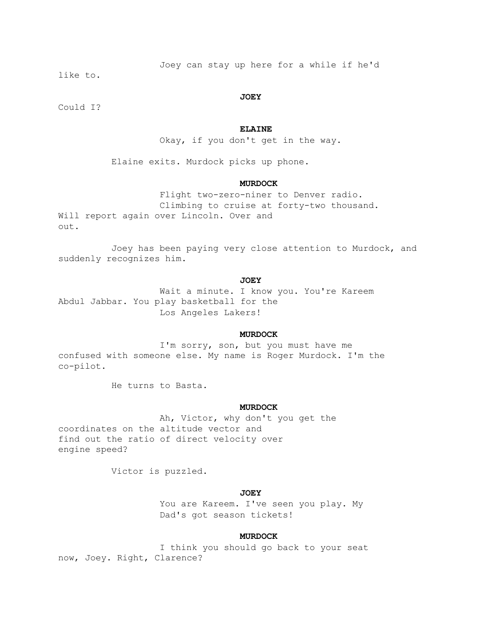Joey can stay up here for a while if he'd

like to.

# *<u> JOEY</u>*

Could I?

### **ELAINE**

Okay, if you don't get in the way.

Elaine exits. Murdock picks up phone.

# **MURDOCK**

 Flight two-zero-niner to Denver radio. Climbing to cruise at forty-two thousand. Will report again over Lincoln. Over and out.

 Joey has been paying very close attention to Murdock, and suddenly recognizes him.

# *<u> JOEY</u>*

 Wait a minute. I know you. You're Kareem Abdul Jabbar. You play basketball for the Los Angeles Lakers!

### **MURDOCK**

 I'm sorry, son, but you must have me confused with someone else. My name is Roger Murdock. I'm the co-pilot.

He turns to Basta.

# **MURDOCK**

 Ah, Victor, why don't you get the coordinates on the altitude vector and find out the ratio of direct velocity over engine speed?

Victor is puzzled.

# *<u> JOEY</u>*

 You are Kareem. I've seen you play. My Dad's got season tickets!

# **MURDOCK**

 I think you should go back to your seat now, Joey. Right, Clarence?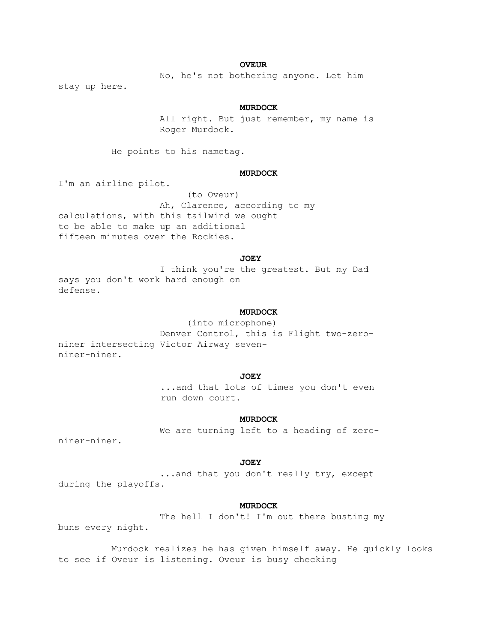# **OVEUR**

No, he's not bothering anyone. Let him

stay up here.

# **MURDOCK**

 All right. But just remember, my name is Roger Murdock.

He points to his nametag.

# **MURDOCK**

I'm an airline pilot.

(to Oveur)

 Ah, Clarence, according to my calculations, with this tailwind we ought to be able to make up an additional fifteen minutes over the Rockies.

# *<u> JOEY</u>*

 I think you're the greatest. But my Dad says you don't work hard enough on defense.

# **MURDOCK**

 (into microphone) Denver Control, this is Flight two-zeroniner intersecting Victor Airway sevenniner-niner.

# *<u> JOEY</u>*

...and that lots of times you don't even run down court.

#### **MURDOCK**

We are turning left to a heading of zero-

niner-niner.

# *<u> JOEY</u>*

 ...and that you don't really try, except during the playoffs.

### **MURDOCK**

 The hell I don't! I'm out there busting my buns every night.

 Murdock realizes he has given himself away. He quickly looks to see if Oveur is listening. Oveur is busy checking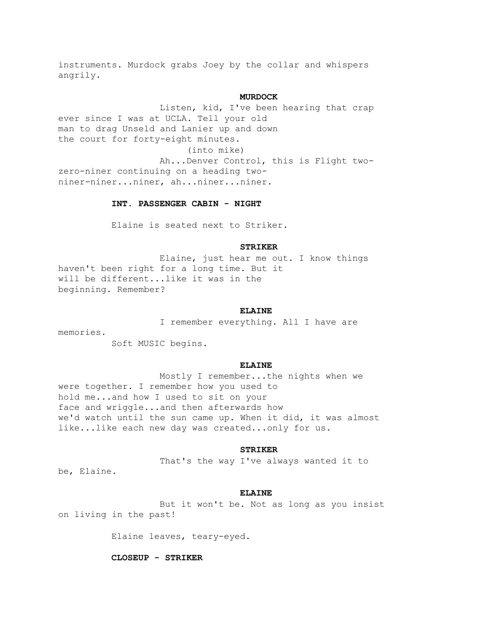instruments. Murdock grabs Joey by the collar and whispers angrily.

#### **MURDOCK**

 Listen, kid, I've been hearing that crap ever since I was at UCLA. Tell your old man to drag Unseld and Lanier up and down the court for forty-eight minutes. (into mike) Ah...Denver Control, this is Flight twozero-niner continuing on a heading twoniner-niner...niner, ah...niner...niner.

### **INT. PASSENGER CABIN - NIGHT**

Elaine is seated next to Striker.

# **STRIKER**

 Elaine, just hear me out. I know things haven't been right for a long time. But it will be different...like it was in the beginning. Remember?

#### **ELAINE**

I remember everything. All I have are

memories.

Soft MUSIC begins.

#### **ELAINE**

 Mostly I remember...the nights when we were together. I remember how you used to hold me...and how I used to sit on your face and wriggle...and then afterwards how we'd watch until the sun came up. When it did, it was almost like...like each new day was created...only for us.

#### **STRIKER**

That's the way I've always wanted it to

be, Elaine.

#### **ELAINE**

 But it won't be. Not as long as you insist on living in the past!

Elaine leaves, teary-eyed.

 **CLOSEUP - STRIKER**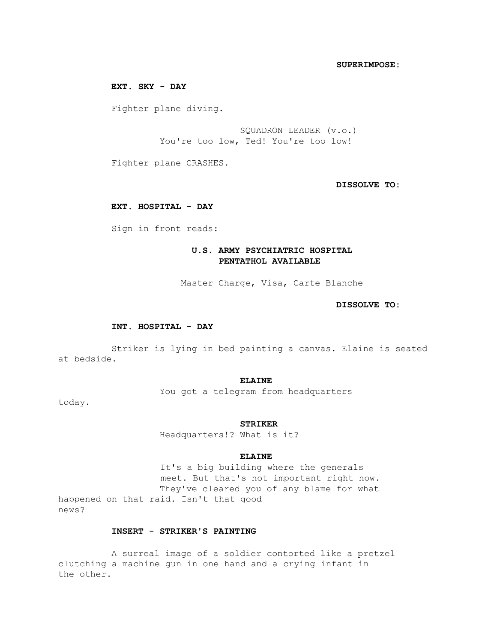# **SUPERIMPOSE:**

### **EXT. SKY - DAY**

Fighter plane diving.

 SQUADRON LEADER (v.o.) You're too low, Ted! You're too low!

Fighter plane CRASHES.

 **DISSOLVE TO:** 

### **EXT. HOSPITAL - DAY**

Sign in front reads:

# **U.S. ARMY PSYCHIATRIC HOSPITAL PENTATHOL AVAILABLE**

Master Charge, Visa, Carte Blanche

# **DISSOLVE TO:**

# **INT. HOSPITAL - DAY**

 Striker is lying in bed painting a canvas. Elaine is seated at bedside.

# **ELAINE**

You got a telegram from headquarters

today.

#### **STRIKER**

Headquarters!? What is it?

### **ELAINE**

It's a big building where the generals meet. But that's not important right now. They've cleared you of any blame for what happened on that raid. Isn't that good news?

# **INSERT - STRIKER'S PAINTING**

 A surreal image of a soldier contorted like a pretzel clutching a machine gun in one hand and a crying infant in the other.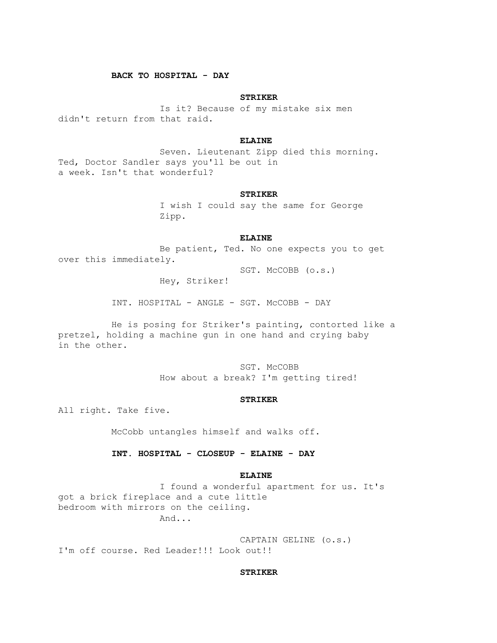# **BACK TO HOSPITAL - DAY**

# **STRIKER**

 Is it? Because of my mistake six men didn't return from that raid.

# **ELAINE**

 Seven. Lieutenant Zipp died this morning. Ted, Doctor Sandler says you'll be out in a week. Isn't that wonderful?

# **STRIKER**

 I wish I could say the same for George Zipp.

#### **ELAINE**

 Be patient, Ted. No one expects you to get over this immediately.

SGT. McCOBB (o.s.)

Hey, Striker!

INT. HOSPITAL - ANGLE - SGT. McCOBB - DAY

 He is posing for Striker's painting, contorted like a pretzel, holding a machine gun in one hand and crying baby in the other.

> SGT. McCOBB How about a break? I'm getting tired!

# **STRIKER**

All right. Take five.

McCobb untangles himself and walks off.

# **INT. HOSPITAL - CLOSEUP - ELAINE - DAY**

# **ELAINE**

 I found a wonderful apartment for us. It's got a brick fireplace and a cute little bedroom with mirrors on the ceiling. And...

 CAPTAIN GELINE (o.s.) I'm off course. Red Leader!!! Look out!!

### **STRIKER**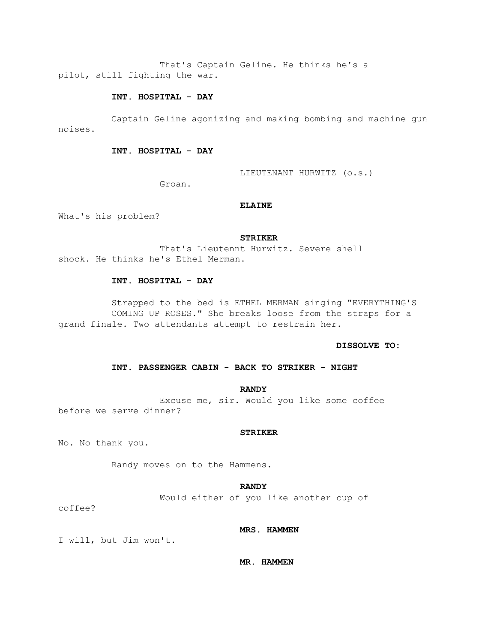That's Captain Geline. He thinks he's a pilot, still fighting the war.

# **INT. HOSPITAL - DAY**

 Captain Geline agonizing and making bombing and machine gun noises.

### **INT. HOSPITAL - DAY**

LIEUTENANT HURWITZ (o.s.)

Groan.

### **ELAINE**

What's his problem?

#### **STRIKER**

 That's Lieutennt Hurwitz. Severe shell shock. He thinks he's Ethel Merman.

# **INT. HOSPITAL - DAY**

 Strapped to the bed is ETHEL MERMAN singing "EVERYTHING'S COMING UP ROSES." She breaks loose from the straps for a grand finale. Two attendants attempt to restrain her.

### **DISSOLVE TO:**

 **INT. PASSENGER CABIN - BACK TO STRIKER - NIGHT** 

# **RANDY**

 Excuse me, sir. Would you like some coffee before we serve dinner?

#### **STRIKER**

No. No thank you.

Randy moves on to the Hammens.

 **RANDY** 

Would either of you like another cup of

coffee?

### **MRS. HAMMEN**

I will, but Jim won't.

 **MR. HAMMEN**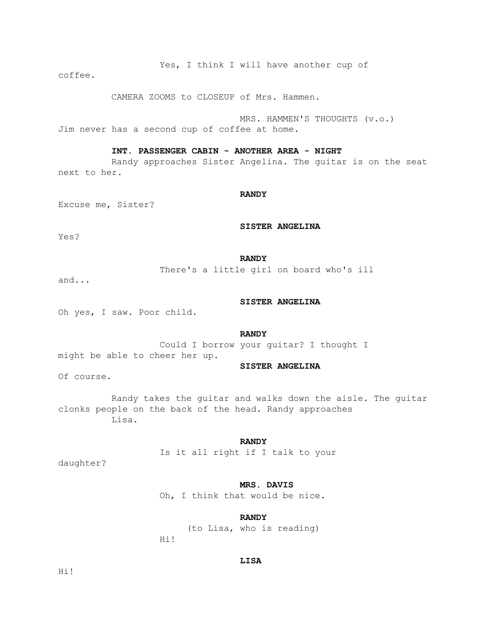Yes, I think I will have another cup of

coffee.

CAMERA ZOOMS to CLOSEUP of Mrs. Hammen.

 MRS. HAMMEN'S THOUGHTS (v.o.) Jim never has a second cup of coffee at home.

 **INT. PASSENGER CABIN - ANOTHER AREA - NIGHT** 

 Randy approaches Sister Angelina. The guitar is on the seat next to her.

#### **RANDY**

Excuse me, Sister?

 **SISTER ANGELINA**

Yes?

### **RANDY**

There's a little girl on board who's ill

and...

#### **SISTER ANGELINA**

Oh yes, I saw. Poor child.

#### **RANDY**

 Could I borrow your guitar? I thought I might be able to cheer her up.

 **SISTER ANGELINA**

Of course.

 Randy takes the guitar and walks down the aisle. The guitar clonks people on the back of the head. Randy approaches Lisa.

 **RANDY** 

Is it all right if I talk to your

daughter?

# **MRS. DAVIS**

Oh, I think that would be nice.

# **RANDY**

 (to Lisa, who is reading) Hi!

 **LISA**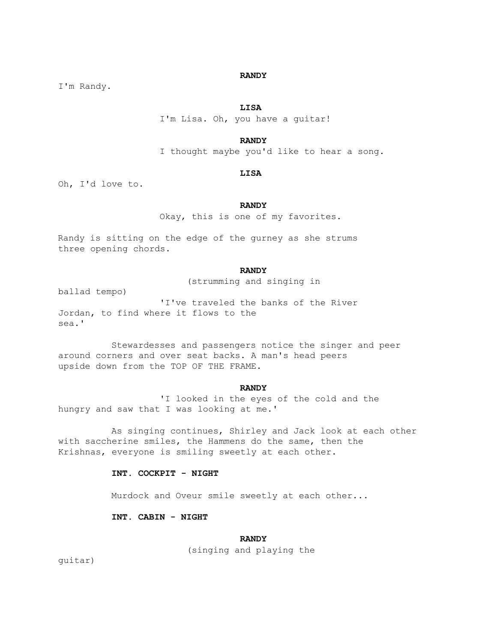I'm Randy.

# **RANDY**

# **LISA**

I'm Lisa. Oh, you have a guitar!

# **RANDY**

I thought maybe you'd like to hear a song.

# **LISA**

Oh, I'd love to.

#### **RANDY**

Okay, this is one of my favorites.

Randy is sitting on the edge of the gurney as she strums three opening chords.

# **RANDY**

(strumming and singing in

ballad tempo)

 'I've traveled the banks of the River Jordan, to find where it flows to the sea.'

 Stewardesses and passengers notice the singer and peer around corners and over seat backs. A man's head peers upside down from the TOP OF THE FRAME.

# **RANDY**

 'I looked in the eyes of the cold and the hungry and saw that I was looking at me.'

 As singing continues, Shirley and Jack look at each other with saccherine smiles, the Hammens do the same, then the Krishnas, everyone is smiling sweetly at each other.

# **INT. COCKPIT - NIGHT**

Murdock and Oveur smile sweetly at each other...

 **INT. CABIN - NIGHT** 

# **RANDY**

(singing and playing the

guitar)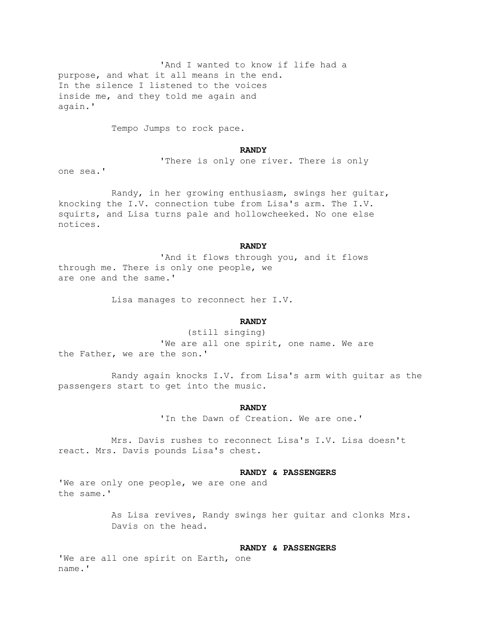'And I wanted to know if life had a purpose, and what it all means in the end. In the silence I listened to the voices inside me, and they told me again and again.'

Tempo Jumps to rock pace.

### **RANDY**

'There is only one river. There is only

one sea.'

 Randy, in her growing enthusiasm, swings her guitar, knocking the I.V. connection tube from Lisa's arm. The I.V. squirts, and Lisa turns pale and hollowcheeked. No one else notices.

# **RANDY**

'And it flows through you, and it flows through me. There is only one people, we are one and the same.'

Lisa manages to reconnect her I.V.

### **RANDY**

 (still singing) 'We are all one spirit, one name. We are the Father, we are the son.'

 Randy again knocks I.V. from Lisa's arm with guitar as the passengers start to get into the music.

#### **RANDY**

'In the Dawn of Creation. We are one.'

 Mrs. Davis rushes to reconnect Lisa's I.V. Lisa doesn't react. Mrs. Davis pounds Lisa's chest.

#### **RANDY & PASSENGERS**

'We are only one people, we are one and the same.'

> As Lisa revives, Randy swings her guitar and clonks Mrs. Davis on the head.

#### **RANDY & PASSENGERS**

'We are all one spirit on Earth, one name.'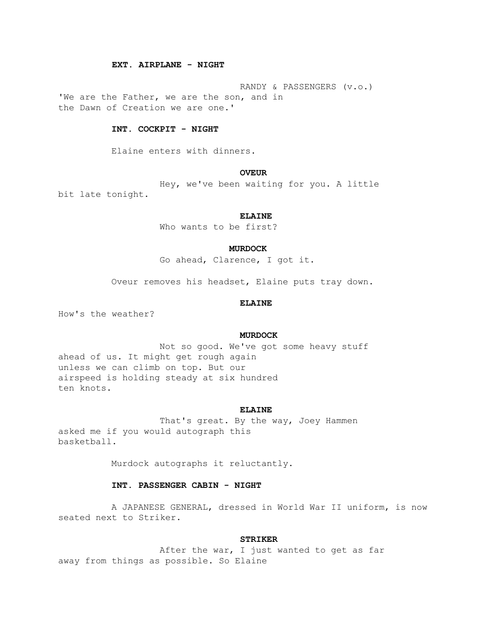# **EXT. AIRPLANE - NIGHT**

 RANDY & PASSENGERS (v.o.) 'We are the Father, we are the son, and in the Dawn of Creation we are one.'

# **INT. COCKPIT - NIGHT**

Elaine enters with dinners.

# **OVEUR**

 Hey, we've been waiting for you. A little bit late tonight.

# **ELAINE**

Who wants to be first?

#### **MURDOCK**

Go ahead, Clarence, I got it.

Oveur removes his headset, Elaine puts tray down.

### **ELAINE**

How's the weather?

# **MURDOCK**

 Not so good. We've got some heavy stuff ahead of us. It might get rough again unless we can climb on top. But our airspeed is holding steady at six hundred ten knots.

### **ELAINE**

 That's great. By the way, Joey Hammen asked me if you would autograph this basketball.

Murdock autographs it reluctantly.

# **INT. PASSENGER CABIN - NIGHT**

 A JAPANESE GENERAL, dressed in World War II uniform, is now seated next to Striker.

# **STRIKER**

 After the war, I just wanted to get as far away from things as possible. So Elaine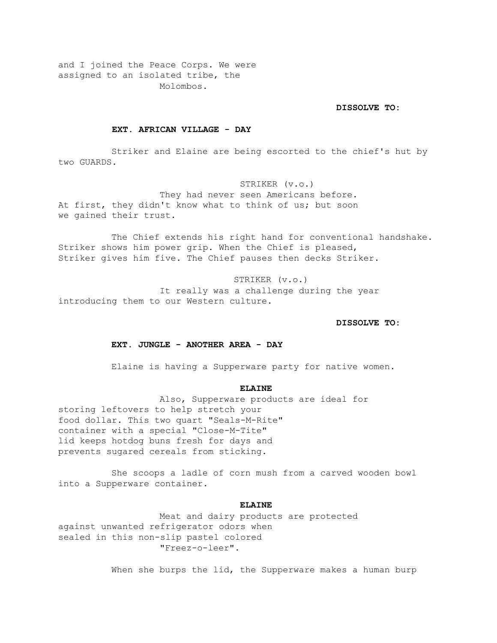and I joined the Peace Corps. We were assigned to an isolated tribe, the Molombos.

# **DISSOLVE TO:**

# **EXT. AFRICAN VILLAGE - DAY**

 Striker and Elaine are being escorted to the chief's hut by two GUARDS.

STRIKER (v.o.)

 They had never seen Americans before. At first, they didn't know what to think of us; but soon we gained their trust.

 The Chief extends his right hand for conventional handshake. Striker shows him power grip. When the Chief is pleased, Striker gives him five. The Chief pauses then decks Striker.

STRIKER (v.o.) It really was a challenge during the year introducing them to our Western culture.

#### **DISSOLVE TO:**

# **EXT. JUNGLE - ANOTHER AREA - DAY**

Elaine is having a Supperware party for native women.

#### **ELAINE**

 Also, Supperware products are ideal for storing leftovers to help stretch your food dollar. This two quart "Seals-M-Rite" container with a special "Close-M-Tite" lid keeps hotdog buns fresh for days and prevents sugared cereals from sticking.

 She scoops a ladle of corn mush from a carved wooden bowl into a Supperware container.

### **ELAINE**

 Meat and dairy products are protected against unwanted refrigerator odors when sealed in this non-slip pastel colored "Freez-o-leer".

When she burps the lid, the Supperware makes a human burp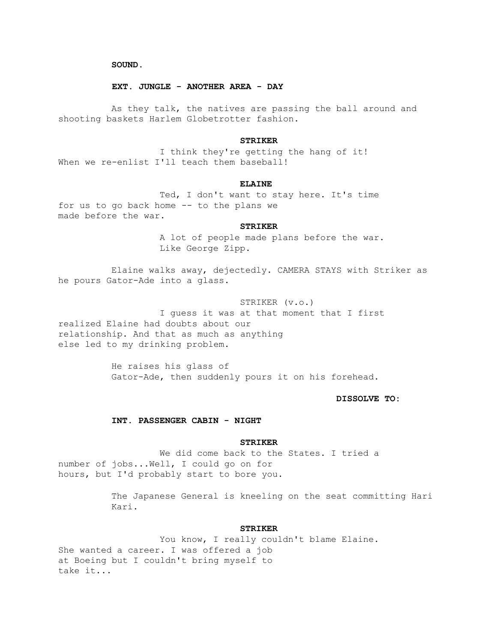**SOUND.** 

### **EXT. JUNGLE - ANOTHER AREA - DAY**

 As they talk, the natives are passing the ball around and shooting baskets Harlem Globetrotter fashion.

#### **STRIKER**

 I think they're getting the hang of it! When we re-enlist I'll teach them baseball!

## **ELAINE**

 Ted, I don't want to stay here. It's time for us to go back home -- to the plans we made before the war.

#### **STRIKER**

 A lot of people made plans before the war. Like George Zipp.

 Elaine walks away, dejectedly. CAMERA STAYS with Striker as he pours Gator-Ade into a glass.

STRIKER (v.o.)

 I guess it was at that moment that I first realized Elaine had doubts about our relationship. And that as much as anything else led to my drinking problem.

> He raises his glass of Gator-Ade, then suddenly pours it on his forehead.

#### **DISSOLVE TO:**

### **INT. PASSENGER CABIN - NIGHT**

### **STRIKER**

 We did come back to the States. I tried a number of jobs...Well, I could go on for hours, but I'd probably start to bore you.

> The Japanese General is kneeling on the seat committing Hari Kari.

### **STRIKER**

You know, I really couldn't blame Elaine. She wanted a career. I was offered a job at Boeing but I couldn't bring myself to take it...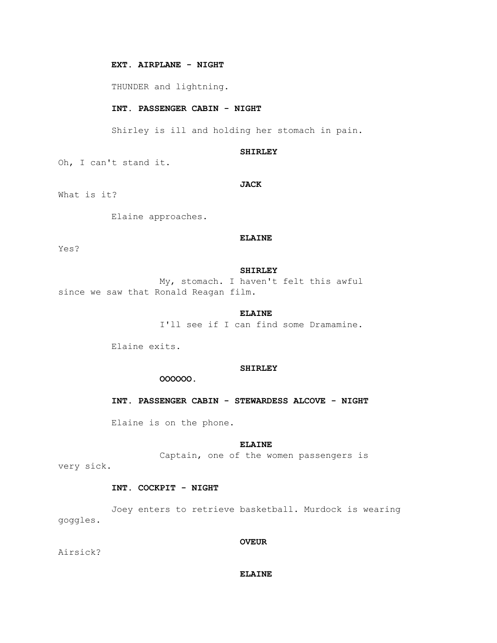## **EXT. AIRPLANE - NIGHT**

THUNDER and lightning.

# **INT. PASSENGER CABIN - NIGHT**

Shirley is ill and holding her stomach in pain.

# **SHIRLEY**

Oh, I can't stand it.

# *<u>JACK</u>*

What is it?

Elaine approaches.

### **ELAINE**

Yes?

# **SHIRLEY**

 My, stomach. I haven't felt this awful since we saw that Ronald Reagan film.

## **ELAINE**

I'll see if I can find some Dramamine.

Elaine exits.

## **SHIRLEY**

 **OOOOOO.** 

### **INT. PASSENGER CABIN - STEWARDESS ALCOVE - NIGHT**

Elaine is on the phone.

# **ELAINE**

Captain, one of the women passengers is

very sick.

# **INT. COCKPIT - NIGHT**

 Joey enters to retrieve basketball. Murdock is wearing goggles.

### **OVEUR**

Airsick?

## **ELAINE**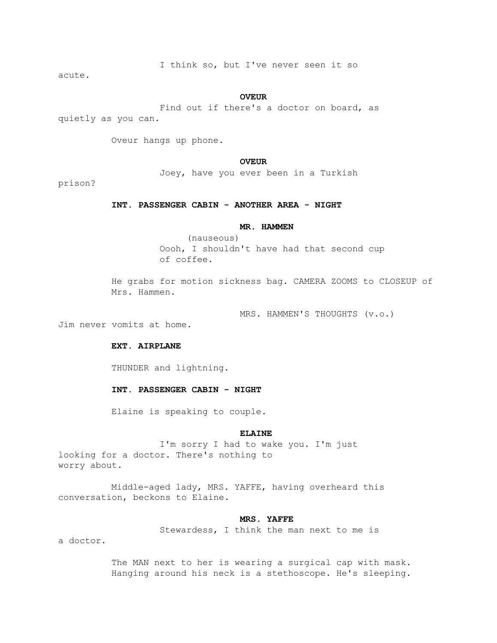I think so, but I've never seen it so

acute.

#### **OVEUR**

 Find out if there's a doctor on board, as quietly as you can.

Oveur hangs up phone.

### **OVEUR**

Joey, have you ever been in a Turkish

prison?

# **INT. PASSENGER CABIN - ANOTHER AREA - NIGHT**

# **MR. HAMMEN**

(nauseous) Oooh, I shouldn't have had that second cup of coffee.

 He grabs for motion sickness bag. CAMERA ZOOMS to CLOSEUP of Mrs. Hammen.

MRS. HAMMEN'S THOUGHTS (v.o.)

Jim never vomits at home.

### **EXT. AIRPLANE**

THUNDER and lightning.

 **INT. PASSENGER CABIN - NIGHT** 

Elaine is speaking to couple.

### **ELAINE**

 I'm sorry I had to wake you. I'm just looking for a doctor. There's nothing to worry about.

 Middle-aged lady, MRS. YAFFE, having overheard this conversation, beckons to Elaine.

# **MRS. YAFFE**

Stewardess, I think the man next to me is

a doctor.

 The MAN next to her is wearing a surgical cap with mask. Hanging around his neck is a stethoscope. He's sleeping.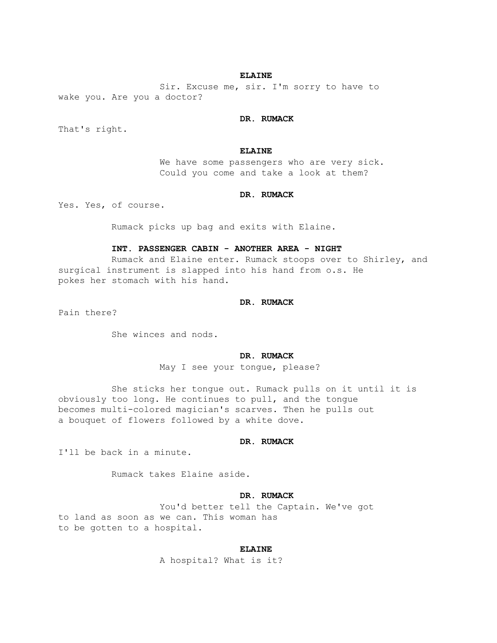### **ELAINE**

 Sir. Excuse me, sir. I'm sorry to have to wake you. Are you a doctor?

#### **DR. RUMACK**

That's right.

## **ELAINE**

We have some passengers who are very sick. Could you come and take a look at them?

### **DR. RUMACK**

Yes. Yes, of course.

Rumack picks up bag and exits with Elaine.

## **INT. PASSENGER CABIN - ANOTHER AREA - NIGHT**

 Rumack and Elaine enter. Rumack stoops over to Shirley, and surgical instrument is slapped into his hand from o.s. He pokes her stomach with his hand.

#### **DR. RUMACK**

Pain there?

She winces and nods.

#### **DR. RUMACK**

May I see your tongue, please?

 She sticks her tongue out. Rumack pulls on it until it is obviously too long. He continues to pull, and the tongue becomes multi-colored magician's scarves. Then he pulls out a bouquet of flowers followed by a white dove.

# **DR. RUMACK**

I'll be back in a minute.

Rumack takes Elaine aside.

### **DR. RUMACK**

 You'd better tell the Captain. We've got to land as soon as we can. This woman has to be gotten to a hospital.

#### **ELAINE**

A hospital? What is it?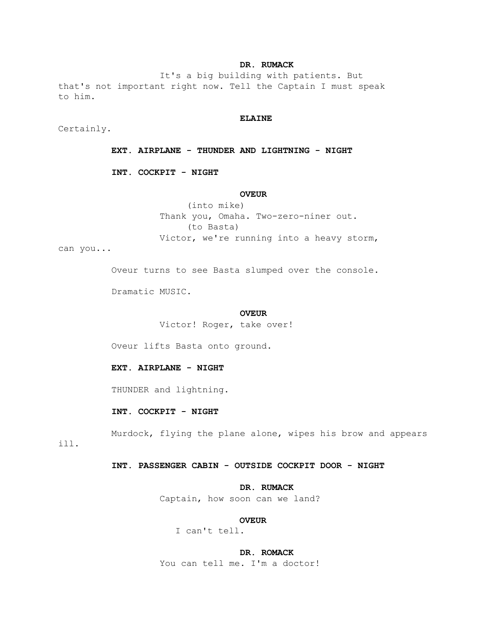### **DR. RUMACK**

 It's a big building with patients. But that's not important right now. Tell the Captain I must speak to him.

#### **ELAINE**

Certainly.

 **EXT. AIRPLANE - THUNDER AND LIGHTNING - NIGHT** 

 **INT. COCKPIT - NIGHT** 

### **OVEUR**

 (into mike) Thank you, Omaha. Two-zero-niner out. (to Basta) Victor, we're running into a heavy storm,

can you...

Oveur turns to see Basta slumped over the console.

Dramatic MUSIC.

#### **OVEUR**

Victor! Roger, take over!

Oveur lifts Basta onto ground.

# **EXT. AIRPLANE - NIGHT**

THUNDER and lightning.

# **INT. COCKPIT - NIGHT**

Murdock, flying the plane alone, wipes his brow and appears

ill.

## **INT. PASSENGER CABIN - OUTSIDE COCKPIT DOOR - NIGHT**

# **DR. RUMACK**

Captain, how soon can we land?

#### **OVEUR**

I can't tell.

# **DR. ROMACK**

You can tell me. I'm a doctor!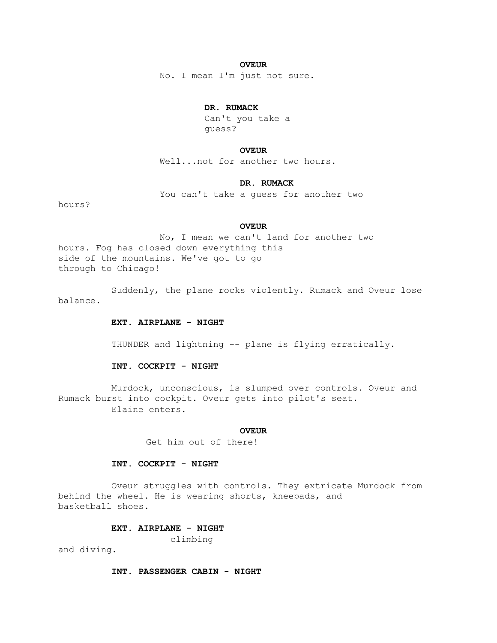### **OVEUR**

No. I mean I'm just not sure.

# **DR. RUMACK**

Can't you take a guess?

#### **OVEUR**

Well...not for another two hours.

### **DR. RUMACK**

You can't take a guess for another two

hours?

#### **OVEUR**

 No, I mean we can't land for another two hours. Fog has closed down everything this side of the mountains. We've got to go through to Chicago!

 Suddenly, the plane rocks violently. Rumack and Oveur lose balance.

# **EXT. AIRPLANE - NIGHT**

THUNDER and lightning -- plane is flying erratically.

### **INT. COCKPIT - NIGHT**

 Murdock, unconscious, is slumped over controls. Oveur and Rumack burst into cockpit. Oveur gets into pilot's seat. Elaine enters.

#### **OVEUR**

Get him out of there!

### **INT. COCKPIT - NIGHT**

 Oveur struggles with controls. They extricate Murdock from behind the wheel. He is wearing shorts, kneepads, and basketball shoes.

# **EXT. AIRPLANE - NIGHT**

climbing

and diving.

 **INT. PASSENGER CABIN - NIGHT**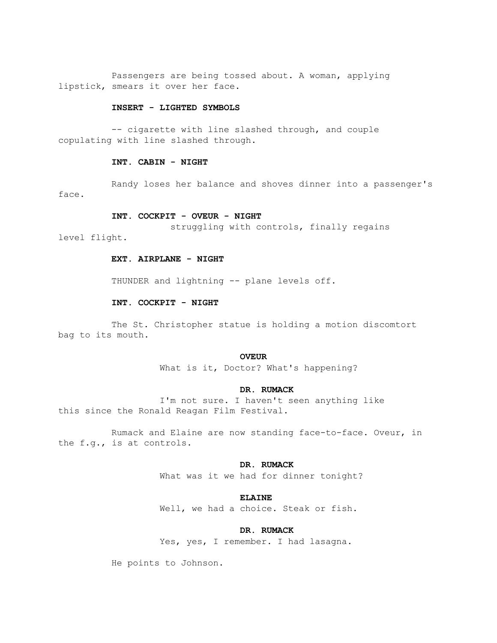Passengers are being tossed about. A woman, applying lipstick, smears it over her face.

# **INSERT - LIGHTED SYMBOLS**

 -- cigarette with line slashed through, and couple copulating with line slashed through.

# **INT. CABIN - NIGHT**

 Randy loses her balance and shoves dinner into a passenger's face.

### **INT. COCKPIT - OVEUR - NIGHT**

struggling with controls, finally regains

level flight.

# **EXT. AIRPLANE - NIGHT**

THUNDER and lightning -- plane levels off.

### **INT. COCKPIT - NIGHT**

 The St. Christopher statue is holding a motion discomtort bag to its mouth.

#### **OVEUR**

What is it, Doctor? What's happening?

#### **DR. RUMACK**

 I'm not sure. I haven't seen anything like this since the Ronald Reagan Film Festival.

 Rumack and Elaine are now standing face-to-face. Oveur, in the f.g., is at controls.

#### **DR. RUMACK**

What was it we had for dinner tonight?

## **ELAINE**

Well, we had a choice. Steak or fish.

## **DR. RUMACK**

Yes, yes, I remember. I had lasagna.

He points to Johnson.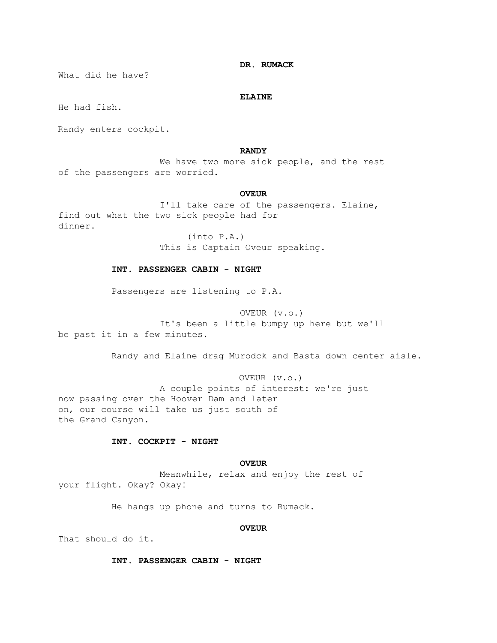**DR. RUMACK** 

What did he have?

#### **ELAINE**

He had fish.

Randy enters cockpit.

## **RANDY**

We have two more sick people, and the rest of the passengers are worried.

## **OVEUR**

 I'll take care of the passengers. Elaine, find out what the two sick people had for dinner.

(into P.A.)

This is Captain Oveur speaking.

## **INT. PASSENGER CABIN - NIGHT**

Passengers are listening to P.A.

OVEUR (v.o.)

 It's been a little bumpy up here but we'll be past it in a few minutes.

Randy and Elaine drag Murodck and Basta down center aisle.

OVEUR (v.o.) A couple points of interest: we're just now passing over the Hoover Dam and later on, our course will take us just south of the Grand Canyon.

### **INT. COCKPIT - NIGHT**

#### **OVEUR**

 Meanwhile, relax and enjoy the rest of your flight. Okay? Okay!

He hangs up phone and turns to Rumack.

## **OVEUR**

That should do it.

 **INT. PASSENGER CABIN - NIGHT**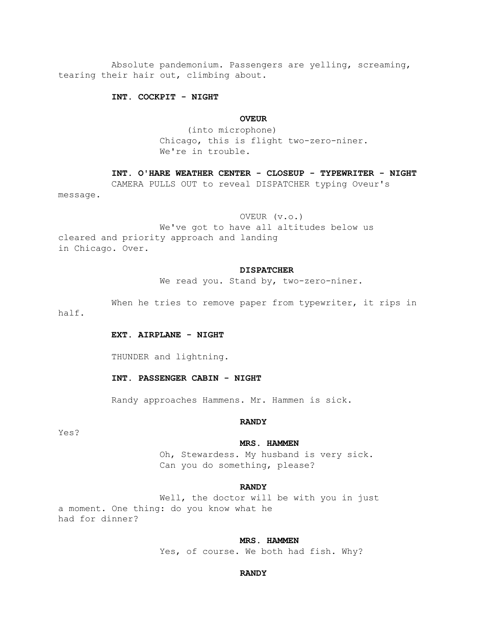Absolute pandemonium. Passengers are yelling, screaming, tearing their hair out, climbing about.

### **INT. COCKPIT - NIGHT**

## **OVEUR**

 (into microphone) Chicago, this is flight two-zero-niner. We're in trouble.

#### **INT. O'HARE WEATHER CENTER - CLOSEUP - TYPEWRITER - NIGHT**

 CAMERA PULLS OUT to reveal DISPATCHER typing Oveur's message.

#### OVEUR (v.o.)

 We've got to have all altitudes below us cleared and priority approach and landing in Chicago. Over.

#### **DISPATCHER**

We read you. Stand by, two-zero-niner.

When he tries to remove paper from typewriter, it rips in half.

## **EXT. AIRPLANE - NIGHT**

THUNDER and lightning.

### **INT. PASSENGER CABIN - NIGHT**

Randy approaches Hammens. Mr. Hammen is sick.

#### **RANDY**

Yes?

### **MRS. HAMMEN**

 Oh, Stewardess. My husband is very sick. Can you do something, please?

## **RANDY**

 Well, the doctor will be with you in just a moment. One thing: do you know what he had for dinner?

# **MRS. HAMMEN**

Yes, of course. We both had fish. Why?

#### **RANDY**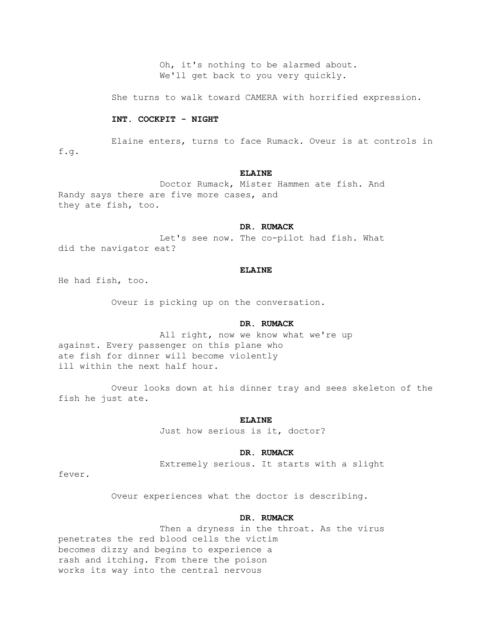Oh, it's nothing to be alarmed about. We'll get back to you very quickly.

She turns to walk toward CAMERA with horrified expression.

### **INT. COCKPIT - NIGHT**

 Elaine enters, turns to face Rumack. Oveur is at controls in f.g.

### **ELAINE**

 Doctor Rumack, Mister Hammen ate fish. And Randy says there are five more cases, and they ate fish, too.

### **DR. RUMACK**

 Let's see now. The co-pilot had fish. What did the navigator eat?

#### **ELAINE**

He had fish, too.

Oveur is picking up on the conversation.

#### **DR. RUMACK**

All right, now we know what we're up against. Every passenger on this plane who ate fish for dinner will become violently ill within the next half hour.

 Oveur looks down at his dinner tray and sees skeleton of the fish he just ate.

#### **ELAINE**

Just how serious is it, doctor?

### **DR. RUMACK**

Extremely serious. It starts with a slight

fever.

Oveur experiences what the doctor is describing.

# **DR. RUMACK**

Then a dryness in the throat. As the virus penetrates the red blood cells the victim becomes dizzy and begins to experience a rash and itching. From there the poison works its way into the central nervous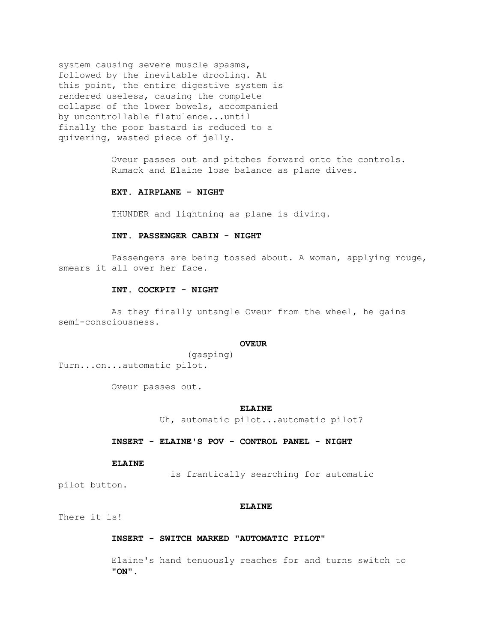system causing severe muscle spasms, followed by the inevitable drooling. At this point, the entire digestive system is rendered useless, causing the complete collapse of the lower bowels, accompanied by uncontrollable flatulence...until finally the poor bastard is reduced to a quivering, wasted piece of jelly.

> Oveur passes out and pitches forward onto the controls. Rumack and Elaine lose balance as plane dives.

## **EXT. AIRPLANE - NIGHT**

THUNDER and lightning as plane is diving.

### **INT. PASSENGER CABIN - NIGHT**

 Passengers are being tossed about. A woman, applying rouge, smears it all over her face.

### **INT. COCKPIT - NIGHT**

 As they finally untangle Oveur from the wheel, he gains semi-consciousness.

#### **OVEUR**

 (gasping) Turn...on...automatic pilot.

Oveur passes out.

#### **ELAINE**

Uh, automatic pilot...automatic pilot?

### **INSERT - ELAINE'S POV - CONTROL PANEL - NIGHT**

#### **ELAINE**

is frantically searching for automatic

pilot button.

#### **ELAINE**

There it is!

### **INSERT - SWITCH MARKED "AUTOMATIC PILOT"**

 Elaine's hand tenuously reaches for and turns switch to  **"ON".**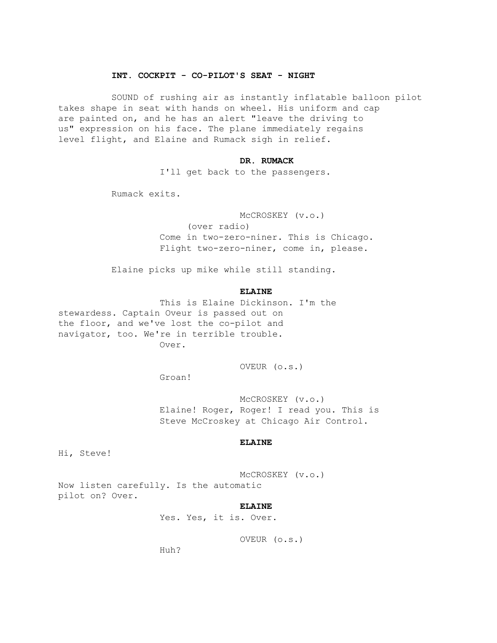## **INT. COCKPIT - CO-PILOT'S SEAT - NIGHT**

 SOUND of rushing air as instantly inflatable balloon pilot takes shape in seat with hands on wheel. His uniform and cap are painted on, and he has an alert "leave the driving to us" expression on his face. The plane immediately regains level flight, and Elaine and Rumack sigh in relief.

### **DR. RUMACK**

I'll get back to the passengers.

Rumack exits.

 McCROSKEY (v.o.) (over radio) Come in two-zero-niner. This is Chicago. Flight two-zero-niner, come in, please.

Elaine picks up mike while still standing.

#### **ELAINE**

 This is Elaine Dickinson. I'm the stewardess. Captain Oveur is passed out on the floor, and we've lost the co-pilot and navigator, too. We're in terrible trouble. Over.

OVEUR (o.s.)

Groan!

 McCROSKEY (v.o.) Elaine! Roger, Roger! I read you. This is Steve McCroskey at Chicago Air Control.

### **ELAINE**

Hi, Steve!

 McCROSKEY (v.o.) Now listen carefully. Is the automatic pilot on? Over.

#### **ELAINE**

Yes. Yes, it is. Over.

OVEUR (o.s.)

Huh?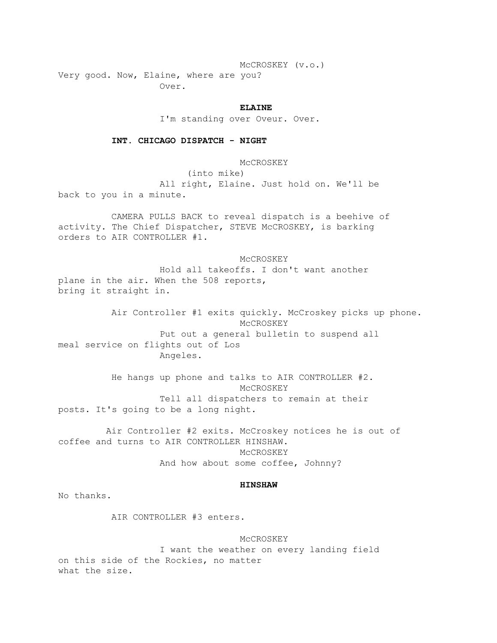McCROSKEY (v.o.) Very good. Now, Elaine, where are you? Over.

## **ELAINE**

I'm standing over Oveur. Over.

## **INT. CHICAGO DISPATCH - NIGHT**

McCROSKEY

 (into mike) All right, Elaine. Just hold on. We'll be back to you in a minute.

 CAMERA PULLS BACK to reveal dispatch is a beehive of activity. The Chief Dispatcher, STEVE McCROSKEY, is barking orders to AIR CONTROLLER #1.

 McCROSKEY Hold all takeoffs. I don't want another plane in the air. When the 508 reports, bring it straight in.

 Air Controller #1 exits quickly. McCroskey picks up phone. McCROSKEY Put out a general bulletin to suspend all meal service on flights out of Los Angeles.

 He hangs up phone and talks to AIR CONTROLLER #2. McCROSKEY Tell all dispatchers to remain at their posts. It's going to be a long night.

 Air Controller #2 exits. McCroskey notices he is out of coffee and turns to AIR CONTROLLER HINSHAW. McCROSKEY And how about some coffee, Johnny?

#### **HINSHAW**

No thanks.

AIR CONTROLLER #3 enters.

#### McCROSKEY

 I want the weather on every landing field on this side of the Rockies, no matter what the size.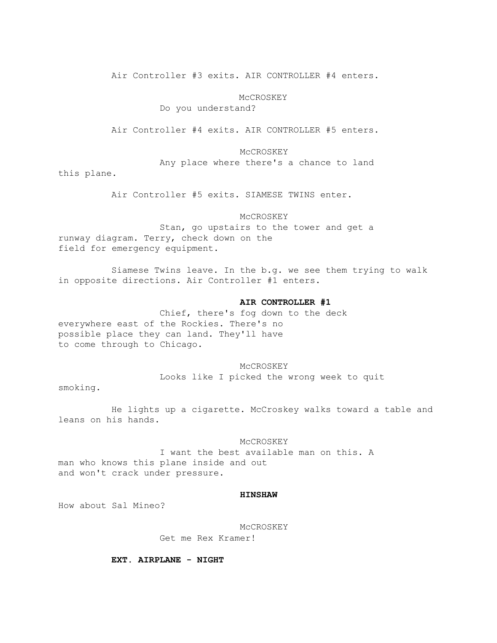Air Controller #3 exits. AIR CONTROLLER #4 enters.

### McCROSKEY

Do you understand?

Air Controller #4 exits. AIR CONTROLLER #5 enters.

McCROSKEY

Any place where there's a chance to land

this plane.

Air Controller #5 exits. SIAMESE TWINS enter.

#### McCROSKEY

 Stan, go upstairs to the tower and get a runway diagram. Terry, check down on the field for emergency equipment.

 Siamese Twins leave. In the b.g. we see them trying to walk in opposite directions. Air Controller #1 enters.

#### **AIR CONTROLLER #1**

 Chief, there's fog down to the deck everywhere east of the Rockies. There's no possible place they can land. They'll have to come through to Chicago.

#### McCROSKEY

Looks like I picked the wrong week to quit

smoking.

 He lights up a cigarette. McCroskey walks toward a table and leans on his hands.

#### McCROSKEY

 I want the best available man on this. A man who knows this plane inside and out and won't crack under pressure.

#### **HINSHAW**

How about Sal Mineo?

 McCROSKEY Get me Rex Kramer!

 **EXT. AIRPLANE - NIGHT**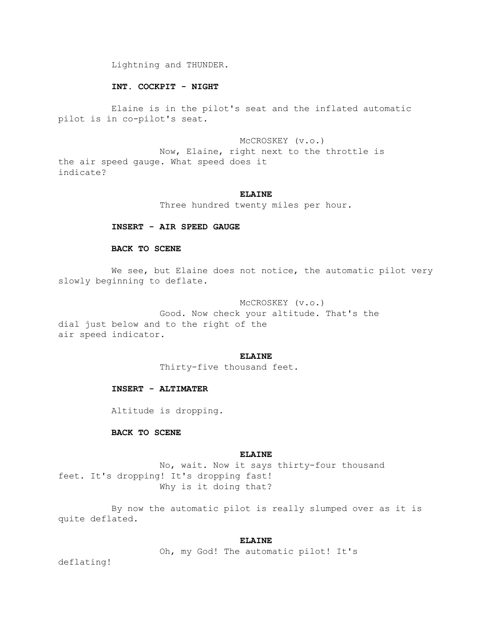Lightning and THUNDER.

### **INT. COCKPIT - NIGHT**

 Elaine is in the pilot's seat and the inflated automatic pilot is in co-pilot's seat.

 McCROSKEY (v.o.) Now, Elaine, right next to the throttle is the air speed gauge. What speed does it indicate?

#### **ELAINE**

Three hundred twenty miles per hour.

### **INSERT - AIR SPEED GAUGE**

#### **BACK TO SCENE**

We see, but Elaine does not notice, the automatic pilot very slowly beginning to deflate.

 McCROSKEY (v.o.) Good. Now check your altitude. That's the dial just below and to the right of the air speed indicator.

#### **ELAINE**

Thirty-five thousand feet.

## **INSERT - ALTIMATER**

Altitude is dropping.

## **BACK TO SCENE**

### **ELAINE**

 No, wait. Now it says thirty-four thousand feet. It's dropping! It's dropping fast! Why is it doing that?

 By now the automatic pilot is really slumped over as it is quite deflated.

## **ELAINE**

Oh, my God! The automatic pilot! It's

deflating!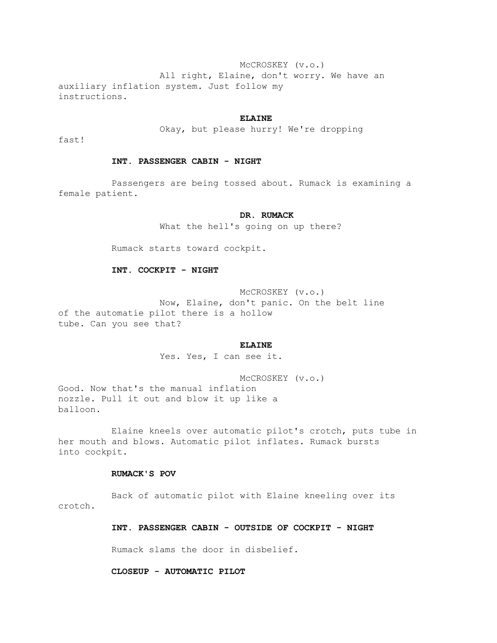McCROSKEY (v.o.)

 All right, Elaine, don't worry. We have an auxiliary inflation system. Just follow my instructions.

#### **ELAINE**

Okay, but please hurry! We're dropping

fast!

### **INT. PASSENGER CABIN - NIGHT**

 Passengers are being tossed about. Rumack is examining a female patient.

# **DR. RUMACK**

What the hell's going on up there?

Rumack starts toward cockpit.

#### **INT. COCKPIT - NIGHT**

McCROSKEY (v.o.)

 Now, Elaine, don't panic. On the belt line of the automatie pilot there is a hollow tube. Can you see that?

#### **ELAINE**

Yes. Yes, I can see it.

 McCROSKEY (v.o.) Good. Now that's the manual inflation nozzle. Pull it out and blow it up like a balloon.

 Elaine kneels over automatic pilot's crotch, puts tube in her mouth and blows. Automatic pilot inflates. Rumack bursts into cockpit.

## **RUMACK'S POV**

 Back of automatic pilot with Elaine kneeling over its crotch.

 **INT. PASSENGER CABIN - OUTSIDE OF COCKPIT - NIGHT** 

Rumack slams the door in disbelief.

 **CLOSEUP - AUTOMATIC PILOT**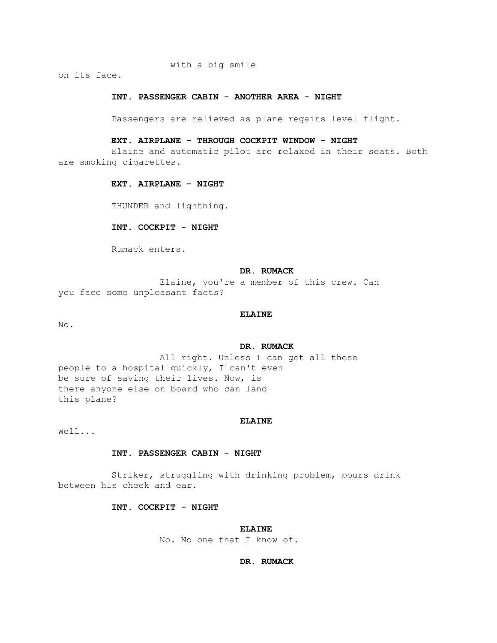## with a big smile

on its face.

## **INT. PASSENGER CABIN - ANOTHER AREA - NIGHT**

Passengers are relieved as plane regains level flight.

# **EXT. AIRPLANE - THROUGH COCKPIT WINDOW - NIGHT**

 Elaine and automatic pilot are relaxed in their seats. Both are smoking cigarettes.

# **EXT. AIRPLANE - NIGHT**

THUNDER and lightning.

## **INT. COCKPIT - NIGHT**

Rumack enters.

### **DR. RUMACK**

 Elaine, you're a member of this crew. Can you face some unpleasant facts?

### **ELAINE**

No.

## **DR. RUMACK**

 All right. Unless I can get all these people to a hospital quickly, I can't even be sure of saving their lives. Now, is there anyone else on board who can land this plane?

### **ELAINE**

Well...

### **INT. PASSENGER CABIN - NIGHT**

 Striker, struggling with drinking problem, pours drink between his cheek and ear.

## **INT. COCKPIT - NIGHT**

#### **ELAINE**

No. No one that I know of.

 **DR. RUMACK**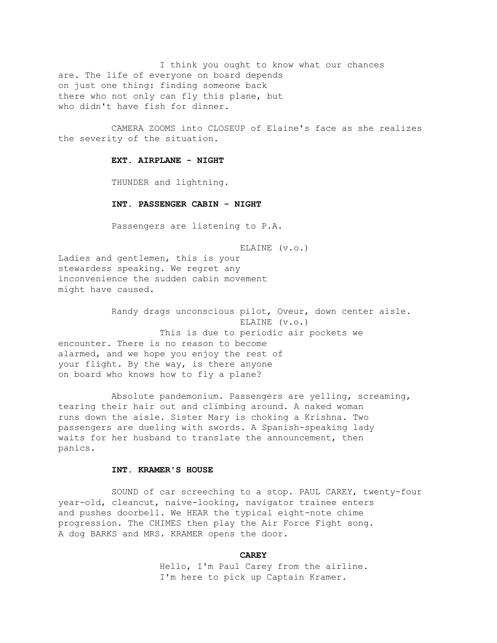I think you ought to know what our chances are. The life of everyone on board depends on just one thing: finding someone back there who not only can fly this plane, but who didn't have fish for dinner.

 CAMERA ZOOMS into CLOSEUP of Elaine's face as she realizes the severity of the situation.

## **EXT. AIRPLANE - NIGHT**

THUNDER and lightning.

## **INT. PASSENGER CABIN - NIGHT**

Passengers are listening to P.A.

ELAINE (v.o.)

Ladies and gentlemen, this is your stewardess speaking. We regret any inconvenience the sudden cabin movement might have caused.

 Randy drags unconscious pilot, Oveur, down center aisle. ELAINE (v.o.) This is due to periodic air pockets we encounter. There is no reason to become alarmed, and we hope you enjoy the rest of your flight. By the way, is there anyone on board who knows how to fly a plane?

 Absolute pandemonium. Passengers are yelling, screaming, tearing their hair out and climbing around. A naked woman runs down the aisle. Sister Mary is choking a Krishna. Two passengers are dueling with swords. A Spanish-speaking lady waits for her husband to translate the announcement, then panics.

### **INT. KRAMER'S HOUSE**

 SOUND of car screeching to a stop. PAUL CAREY, twenty-four year-old, cleancut, naive-looking, navigator trainee enters and pushes doorbell. We HEAR the typical eight-note chime progression. The CHIMES then play the Air Force Fight song. A dog BARKS and MRS. KRAMER opens the door.

### **CAREY**

 Hello, I'm Paul Carey from the airline. I'm here to pick up Captain Kramer.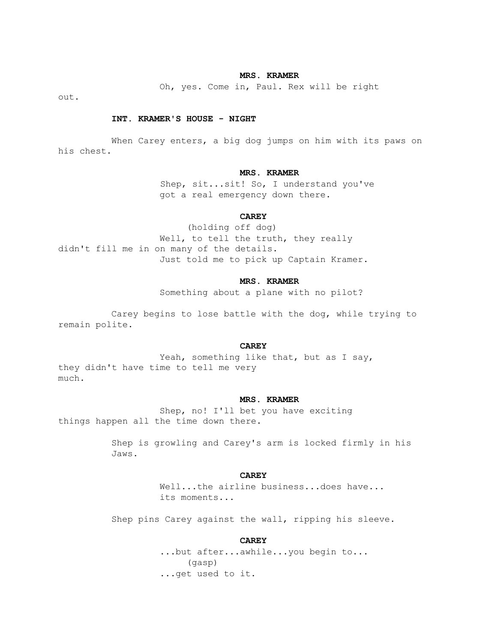## **MRS. KRAMER**

Oh, yes. Come in, Paul. Rex will be right

out.

### **INT. KRAMER'S HOUSE - NIGHT**

When Carey enters, a big dog jumps on him with its paws on his chest.

### **MRS. KRAMER**

Shep, sit...sit! So, I understand you've got a real emergency down there.

# **CAREY**

 (holding off dog) Well, to tell the truth, they really didn't fill me in on many of the details. Just told me to pick up Captain Kramer.

### **MRS. KRAMER**

Something about a plane with no pilot?

 Carey begins to lose battle with the dog, while trying to remain polite.

#### **CAREY**

 Yeah, something like that, but as I say, they didn't have time to tell me very much.

### **MRS. KRAMER**

 Shep, no! I'll bet you have exciting things happen all the time down there.

> Shep is growling and Carey's arm is locked firmly in his Jaws.

### **CAREY**

Well...the airline business...does have... its moments...

Shep pins Carey against the wall, ripping his sleeve.

# **CAREY**

 ...but after...awhile...you begin to... (gasp) ...get used to it.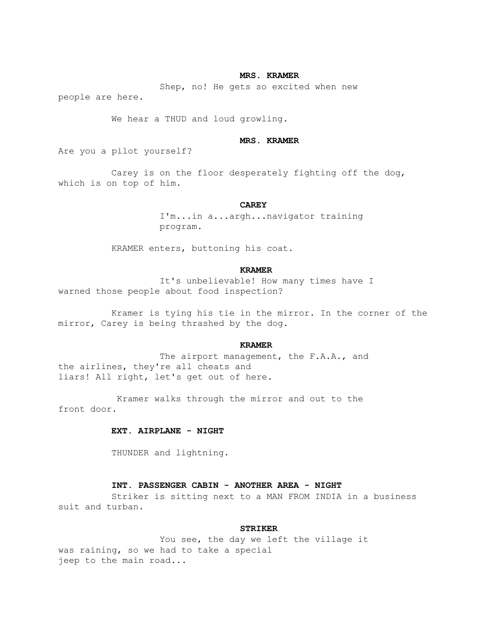### **MRS. KRAMER**

 Shep, no! He gets so excited when new people are here.

We hear a THUD and loud growling.

### **MRS. KRAMER**

Are you a pilot yourself?

 Carey is on the floor desperately fighting off the dog, which is on top of him.

#### **CAREY**

 I'm...in a...argh...navigator training program.

KRAMER enters, buttoning his coat.

#### **KRAMER**

 It's unbelievable! How many times have I warned those people about food inspection?

 Kramer is tying his tie in the mirror. In the corner of the mirror, Carey is being thrashed by the dog.

#### **KRAMER**

The airport management, the F.A.A., and the airlines, they're all cheats and liars! All right, let's get out of here.

Kramer walks through the mirror and out to the front door.

### **EXT. AIRPLANE - NIGHT**

THUNDER and lightning.

## **INT. PASSENGER CABIN - ANOTHER AREA - NIGHT**

 Striker is sitting next to a MAN FROM INDIA in a business suit and turban.

#### **STRIKER**

 You see, the day we left the village it was raining, so we had to take a special jeep to the main road...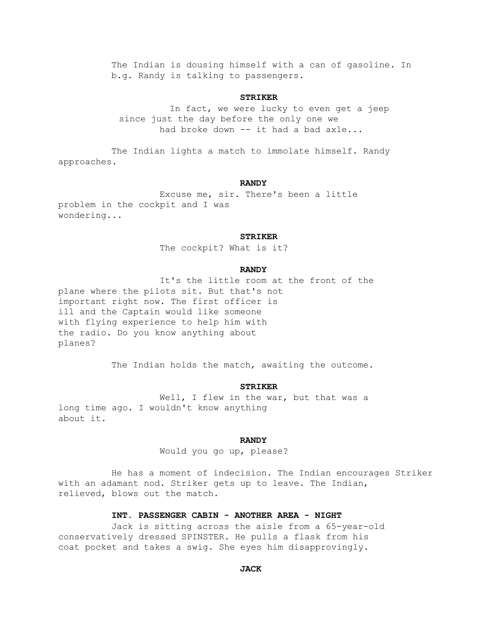The Indian is dousing himself with a can of gasoline. In b.g. Randy is talking to passengers.

### **STRIKER**

 In fact, we were lucky to even get a jeep since just the day before the only one we had broke down -- it had a bad axle...

The Indian lights a match to immolate himself. Randy approaches.

## **RANDY**

 Excuse me, sir. There's been a little problem in the cockpit and I was wondering...

#### **STRIKER**

The cockpit? What is it?

### **RANDY**

 It's the little room at the front of the plane where the pilots sit. But that's not important right now. The first officer is ill and the Captain would like someone with flying experience to help him with the radio. Do you know anything about planes?

The Indian holds the match, awaiting the outcome.

## **STRIKER**

Well, I flew in the war, but that was a long time ago. I wouldn't know anything about it.

# **RANDY**

Would you go up, please?

 He has a moment of indecision. The Indian encourages Striker with an adamant nod. Striker gets up to leave. The Indian, relieved, blows out the match.

# **INT. PASSENGER CABIN - ANOTHER AREA - NIGHT**

 Jack is sitting across the aisle from a 65-year-old conservatively dressed SPINSTER. He pulls a flask from his coat pocket and takes a swig. She eyes him disapprovingly.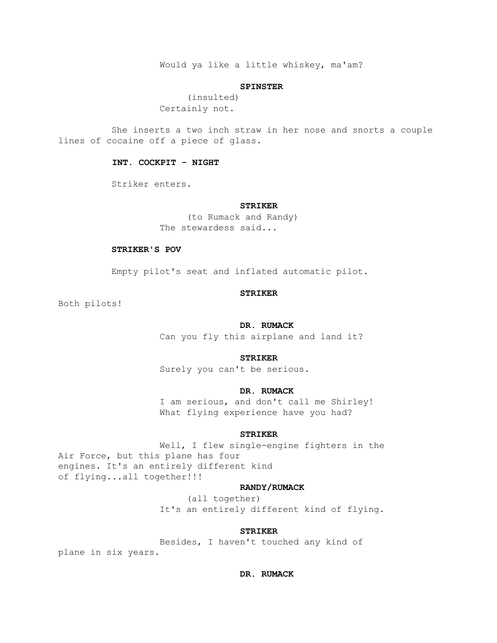Would ya like a little whiskey, ma'am?

## **SPINSTER**

 (insulted) Certainly not.

 She inserts a two inch straw in her nose and snorts a couple lines of cocaine off a piece of glass.

### **INT. COCKPIT - NIGHT**

Striker enters.

### **STRIKER**

 (to Rumack and Randy) The stewardess said...

#### **STRIKER'S POV**

Empty pilot's seat and inflated automatic pilot.

#### **STRIKER**

Both pilots!

#### **DR. RUMACK**

Can you fly this airplane and land it?

#### **STRIKER**

Surely you can't be serious.

#### **DR. RUMACK**

 I am serious, and don't call me Shirley! What flying experience have you had?

### **STRIKER**

 Well, I flew single-engine fighters in the Air Force, but this plane has four engines. It's an entirely different kind of flying...all together!!!

# **RANDY/RUMACK**

 (all together) It's an entirely different kind of flying.

### **STRIKER**

 Besides, I haven't touched any kind of plane in six years.

 **DR. RUMACK**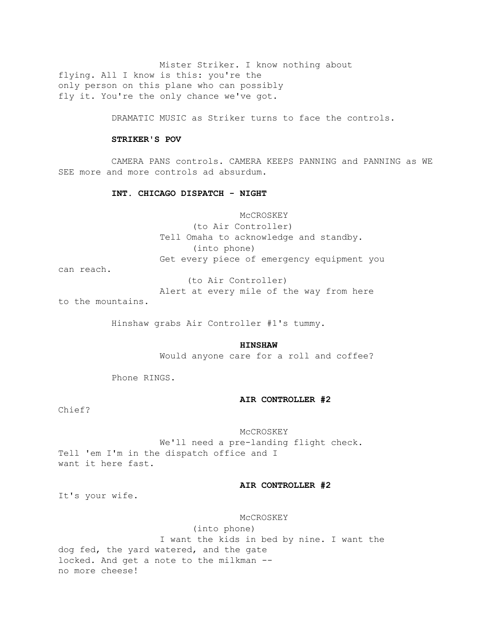Mister Striker. I know nothing about flying. All I know is this: you're the only person on this plane who can possibly fly it. You're the only chance we've got.

DRAMATIC MUSIC as Striker turns to face the controls.

### **STRIKER'S POV**

 CAMERA PANS controls. CAMERA KEEPS PANNING and PANNING as WE SEE more and more controls ad absurdum.

### **INT. CHICAGO DISPATCH - NIGHT**

McCROSKEY

 (to Air Controller) Tell Omaha to acknowledge and standby. (into phone) Get every piece of emergency equipment you

can reach.

(to Air Controller)

 Alert at every mile of the way from here to the mountains.

Hinshaw grabs Air Controller #1's tummy.

 **HINSHAW** 

Would anyone care for a roll and coffee?

Phone RINGS.

#### **AIR CONTROLLER #2**

Chief?

#### McCROSKEY

 We'll need a pre-landing flight check. Tell 'em I'm in the dispatch office and I want it here fast.

### **AIR CONTROLLER #2**

It's your wife.

# McCROSKEY

 (into phone) I want the kids in bed by nine. I want the dog fed, the yard watered, and the gate locked. And get a note to the milkman - no more cheese!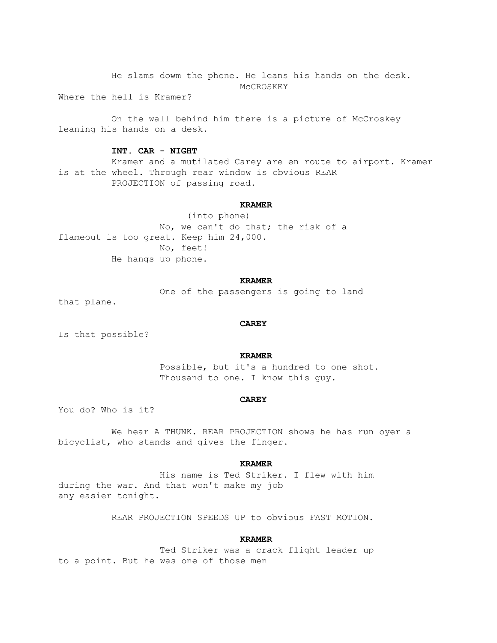He slams dowm the phone. He leans his hands on the desk. McCROSKEY

Where the hell is Kramer?

 On the wall behind him there is a picture of McCroskey leaning his hands on a desk.

# **INT. CAR - NIGHT**

 Kramer and a mutilated Carey are en route to airport. Kramer is at the wheel. Through rear window is obvious REAR PROJECTION of passing road.

#### **KRAMER**

 (into phone) No, we can't do that; the risk of a flameout is too great. Keep him 24,000. No, feet! He hangs up phone.

#### **KRAMER**

One of the passengers is going to land

that plane.

#### **CAREY**

Is that possible?

#### **KRAMER**

 Possible, but it's a hundred to one shot. Thousand to one. I know this guy.

## **CAREY**

You do? Who is it?

 We hear A THUNK. REAR PROJECTION shows he has run oyer a bicyclist, who stands and gives the finger.

#### **KRAMER**

 His name is Ted Striker. I flew with him during the war. And that won't make my job any easier tonight.

REAR PROJECTION SPEEDS UP to obvious FAST MOTION.

## **KRAMER**

 Ted Striker was a crack flight leader up to a point. But he was one of those men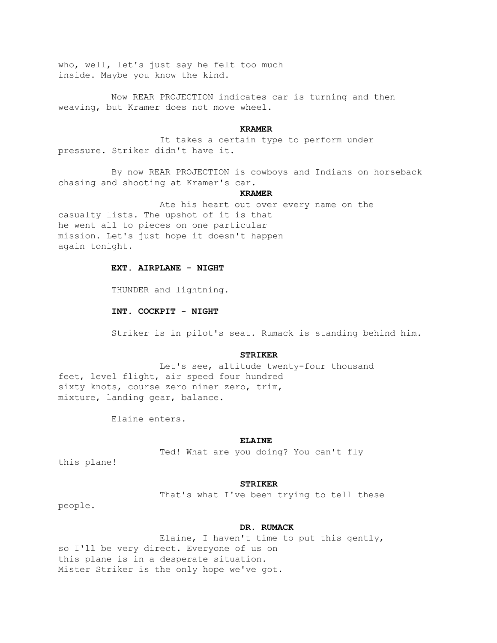who, well, let's just say he felt too much inside. Maybe you know the kind.

 Now REAR PROJECTION indicates car is turning and then weaving, but Kramer does not move wheel.

### **KRAMER**

 It takes a certain type to perform under pressure. Striker didn't have it.

 By now REAR PROJECTION is cowboys and Indians on horseback chasing and shooting at Kramer's car.

#### **KRAMER**

 Ate his heart out over every name on the casualty lists. The upshot of it is that he went all to pieces on one particular mission. Let's just hope it doesn't happen again tonight.

## **EXT. AIRPLANE - NIGHT**

THUNDER and lightning.

 **INT. COCKPIT - NIGHT** 

Striker is in pilot's seat. Rumack is standing behind him.

#### **STRIKER**

 Let's see, altitude twenty-four thousand feet, level flight, air speed four hundred sixty knots, course zero niner zero, trim, mixture, landing gear, balance.

Elaine enters.

#### **ELAINE**

Ted! What are you doing? You can't fly

this plane!

#### **STRIKER**

That's what I've been trying to tell these

people.

#### **DR. RUMACK**

 Elaine, I haven't time to put this gently, so I'll be very direct. Everyone of us on this plane is in a desperate situation. Mister Striker is the only hope we've got.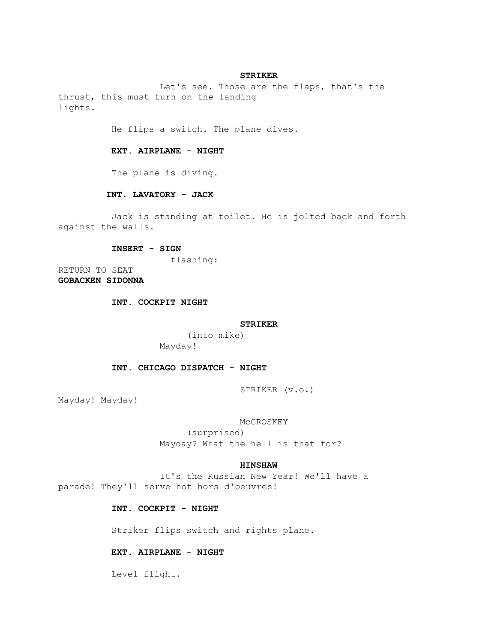### **STRIKER**

 Let's see. Those are the flaps, that's the thrust, this must turn on the landing lights.

He flips a switch. The plane dives.

### **EXT. AIRPLANE - NIGHT**

The plane is diving.

# **INT. LAVATORY - JACK**

 Jack is standing at toilet. He is jolted back and forth against the walls.

#### **INSERT - SIGN**

flashing:

RETURN TO SEAT **GOBACKEN SIDONNA** 

### **INT. COCKPIT NIGHT**

#### **STRIKER**

 (into mike) Mayday!

 **INT. CHICAGO DISPATCH - NIGHT** 

STRIKER (v.o.)

Mayday! Mayday!

### McCROSKEY

 (surprised) Mayday? What the hell is that for?

#### **HINSHAW**

 It's the Russian New Year! We'll have a parade! They'll serve hot hors d'oeuvres!

## **INT. COCKPIT - NIGHT**

Striker flips switch and rights plane.

# **EXT. AIRPLANE - NIGHT**

Level flight.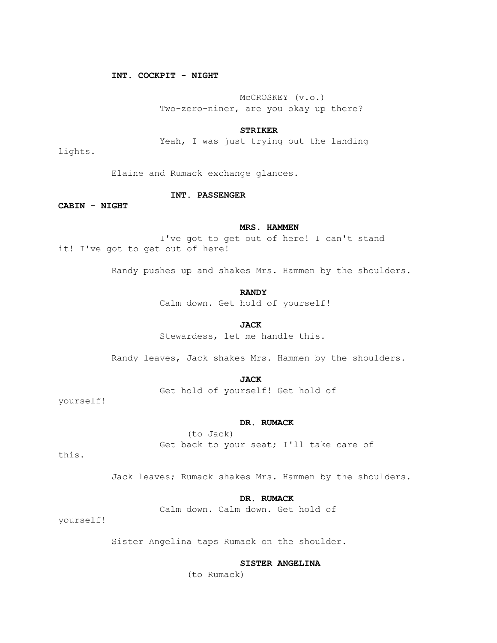# **INT. COCKPIT - NIGHT**

 McCROSKEY (v.o.) Two-zero-niner, are you okay up there?

### **STRIKER**

Yeah, I was just trying out the landing

lights.

Elaine and Rumack exchange glances.

### **INT. PASSENGER**

**CABIN - NIGHT** 

# **MRS. HAMMEN**

 I've got to get out of here! I can't stand it! I've got to get out of here!

Randy pushes up and shakes Mrs. Hammen by the shoulders.

## **RANDY**

Calm down. Get hold of yourself!

*<u>JACK</u>* 

Stewardess, let me handle this.

Randy leaves, Jack shakes Mrs. Hammen by the shoulders.

*<u>JACK</u>* 

Get hold of yourself! Get hold of

yourself!

### **DR. RUMACK**

 (to Jack) Get back to your seat; I'll take care of

this.

Jack leaves; Rumack shakes Mrs. Hammen by the shoulders.

 **DR. RUMACK** 

Calm down. Calm down. Get hold of

yourself!

Sister Angelina taps Rumack on the shoulder.

## **SISTER ANGELINA**

(to Rumack)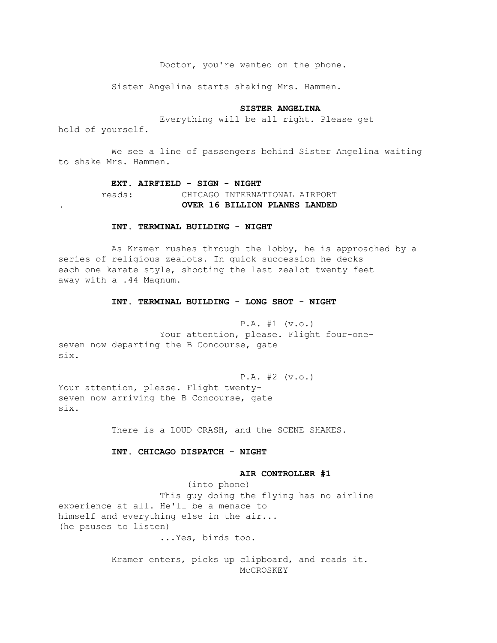Doctor, you're wanted on the phone.

Sister Angelina starts shaking Mrs. Hammen.

### **SISTER ANGELINA**

Everything will be all right. Please get

hold of yourself.

 We see a line of passengers behind Sister Angelina waiting to shake Mrs. Hammen.

> **EXT. AIRFIELD - SIGN - NIGHT** reads: CHICAGO INTERNATIONAL AIRPORT **. OVER 16 BILLION PLANES LANDED**

#### **INT. TERMINAL BUILDING - NIGHT**

 As Kramer rushes through the lobby, he is approached by a series of religious zealots. In quick succession he decks each one karate style, shooting the last zealot twenty feet away with a .44 Magnum.

# **INT. TERMINAL BUILDING - LONG SHOT - NIGHT**

P.A.  $#1$  (v.o.)

Your attention, please. Flight four-oneseven now departing the B Concourse, gate six.

 $P.A.$  #2 ( $v.o.$ ) Your attention, please. Flight twentyseven now arriving the B Concourse, gate six.

There is a LOUD CRASH, and the SCENE SHAKES.

### **INT. CHICAGO DISPATCH - NIGHT**

## **AIR CONTROLLER #1**

 (into phone) This guy doing the flying has no airline experience at all. He'll be a menace to himself and everything else in the air... (he pauses to listen) ...Yes, birds too.

> Kramer enters, picks up clipboard, and reads it. McCROSKEY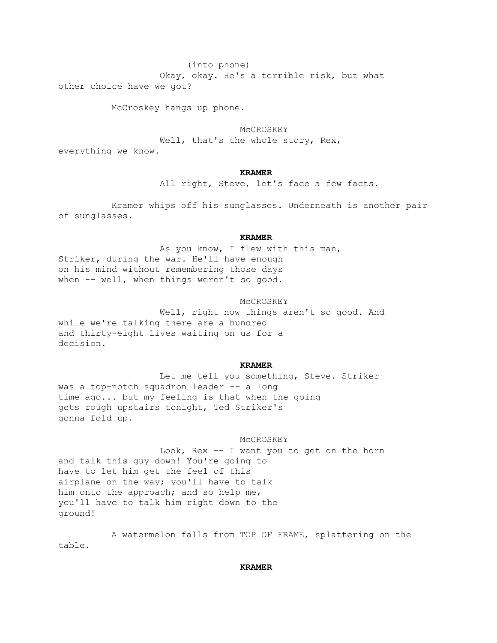(into phone)

 Okay, okay. He's a terrible risk, but what other choice have we got?

McCroskey hangs up phone.

McCROSKEY

 Well, that's the whole story, Rex, everything we know.

#### **KRAMER**

All right, Steve, let's face a few facts.

 Kramer whips off his sunglasses. Underneath is another pair of sunglasses.

### **KRAMER**

 As you know, I flew with this man, Striker, during the war. He'll have enough on his mind without remembering those days when -- well, when things weren't so good.

### McCROSKEY

 Well, right now things aren't so good. And while we're talking there are a hundred and thirty-eight lives waiting on us for a decision.

#### **KRAMER**

 Let me tell you something, Steve. Striker was a top-notch squadron leader -- a long time ago... but my feeling is that when the going gets rough upstairs tonight, Ted Striker's gonna fold up.

#### McCROSKEY

 Look, Rex -- I want you to get on the horn and talk this guy down! You're going to have to let him get the feel of this airplane on the way; you'll have to talk him onto the approach; and so help me, you'll have to talk him right down to the ground!

 A watermelon falls from TOP OF FRAME, splattering on the table.

## **KRAMER**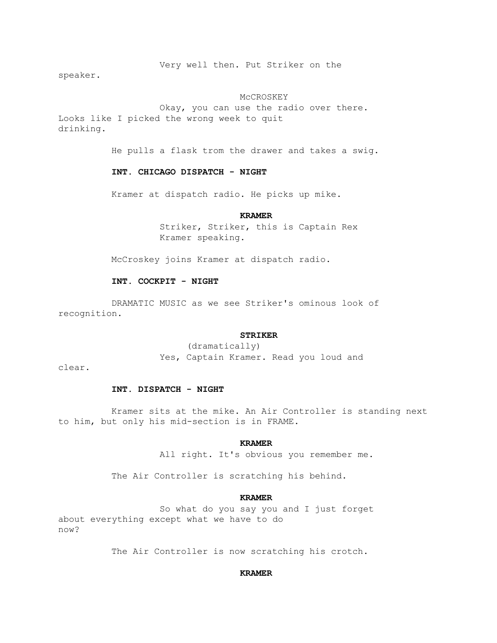Very well then. Put Striker on the

speaker.

### McCROSKEY

 Okay, you can use the radio over there. Looks like I picked the wrong week to quit drinking.

He pulls a flask trom the drawer and takes a swig.

## **INT. CHICAGO DISPATCH - NIGHT**

Kramer at dispatch radio. He picks up mike.

### **KRAMER**

 Striker, Striker, this is Captain Rex Kramer speaking.

McCroskey joins Kramer at dispatch radio.

## **INT. COCKPIT - NIGHT**

 DRAMATIC MUSIC as we see Striker's ominous look of recognition.

#### **STRIKER**

 (dramatically) Yes, Captain Kramer. Read you loud and

clear.

# **INT. DISPATCH - NIGHT**

 Kramer sits at the mike. An Air Controller is standing next to him, but only his mid-section is in FRAME.

#### **KRAMER**

All right. It's obvious you remember me.

The Air Controller is scratching his behind.

### **KRAMER**

 So what do you say you and I just forget about everything except what we have to do now?

The Air Controller is now scratching his crotch.

## **KRAMER**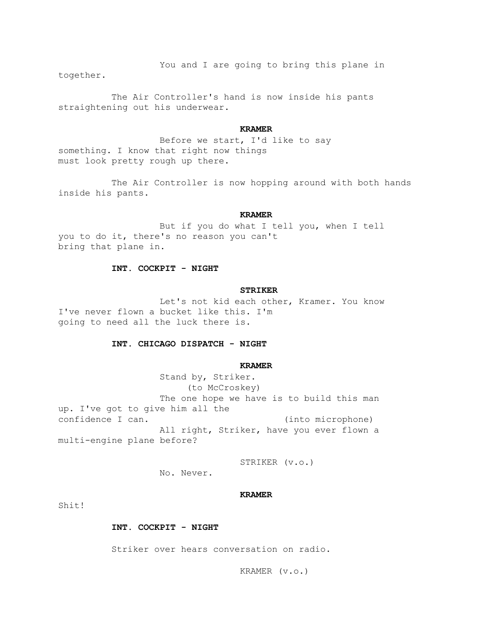You and I are going to bring this plane in

together.

 The Air Controller's hand is now inside his pants straightening out his underwear.

### **KRAMER**

 Before we start, I'd like to say something. I know that right now things must look pretty rough up there.

 The Air Controller is now hopping around with both hands inside his pants.

### **KRAMER**

 But if you do what I tell you, when I tell you to do it, there's no reason you can't bring that plane in.

# **INT. COCKPIT - NIGHT**

### **STRIKER**

 Let's not kid each other, Kramer. You know I've never flown a bucket like this. I'm going to need all the luck there is.

## **INT. CHICAGO DISPATCH - NIGHT**

#### **KRAMER**

 Stand by, Striker. (to McCroskey) The one hope we have is to build this man up. I've got to give him all the confidence I can. (into microphone) All right, Striker, have you ever flown a multi-engine plane before?

> STRIKER (v.o.) No. Never.

## **KRAMER**

Shit!

 **INT. COCKPIT - NIGHT** 

Striker over hears conversation on radio.

KRAMER (v.o.)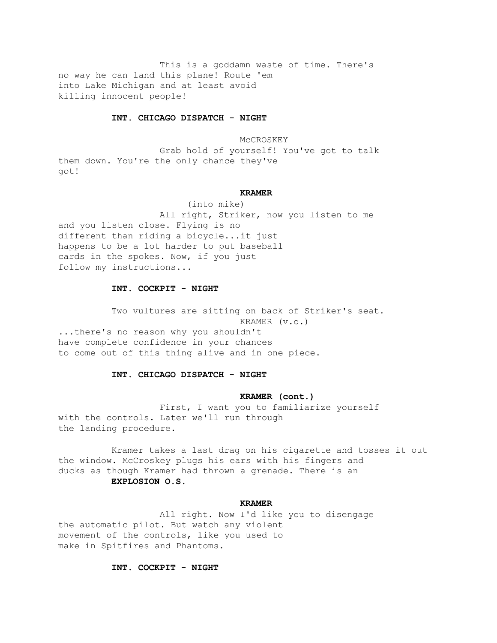This is a goddamn waste of time. There's no way he can land this plane! Route 'em into Lake Michigan and at least avoid killing innocent people!

#### **INT. CHICAGO DISPATCH - NIGHT**

### McCROSKEY

 Grab hold of yourself! You've got to talk them down. You're the only chance they've got!

### **KRAMER**

 (into mike) All right, Striker, now you listen to me and you listen close. Flying is no different than riding a bicycle...it just happens to be a lot harder to put baseball cards in the spokes. Now, if you just follow my instructions...

#### **INT. COCKPIT - NIGHT**

 Two vultures are sitting on back of Striker's seat. KRAMER (v.o.) ...there's no reason why you shouldn't have complete confidence in your chances

to come out of this thing alive and in one piece.

### **INT. CHICAGO DISPATCH - NIGHT**

#### **KRAMER (cont.)**

 First, I want you to familiarize yourself with the controls. Later we'll run through the landing procedure.

 Kramer takes a last drag on his cigarette and tosses it out the window. McCroskey plugs his ears with his fingers and ducks as though Kramer had thrown a grenade. There is an  **EXPLOSION O.S.** 

#### **KRAMER**

 All right. Now I'd like you to disengage the automatic pilot. But watch any violent movement of the controls, like you used to make in Spitfires and Phantoms.

## **INT. COCKPIT - NIGHT**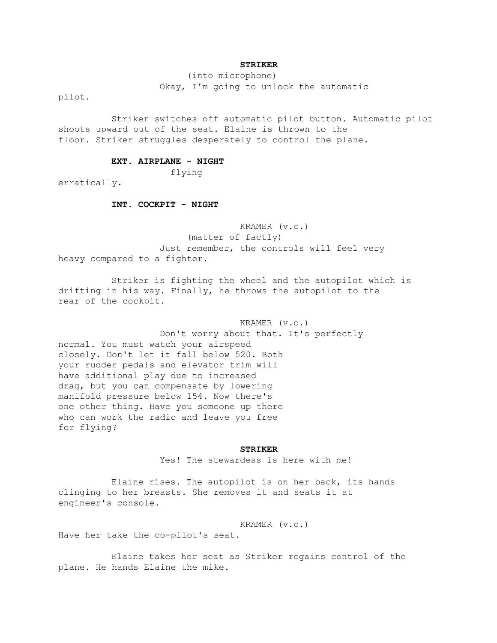#### **STRIKER**

(into microphone)

Okay, I'm going to unlock the automatic

pilot.

 Striker switches off automatic pilot button. Automatic pilot shoots upward out of the seat. Elaine is thrown to the floor. Striker struggles desperately to control the plane.

### **EXT. AIRPLANE - NIGHT**

flying

erratically.

# **INT. COCKPIT - NIGHT**

 KRAMER (v.o.) (matter of factly) Just remember, the controls will feel very heavy compared to a fighter.

 Striker is fighting the wheel and the autopilot which is drifting in his way. Finally, he throws the autopilot to the rear of the cockpit.

 KRAMER (v.o.) Don't worry about that. It's perfectly normal. You must watch your airspeed closely. Don't let it fall below 520. Both your rudder pedals and elevator trim will have additional play due to increased drag, but you can compensate by lowering manifold pressure below 154. Now there's one other thing. Have you someone up there who can work the radio and leave you free for flying?

#### **STRIKER**

Yes! The stewardess is here with me!

 Elaine rises. The autopilot is on her back, its hands clinging to her breasts. She removes it and seats it at engineer's console.

KRAMER (v.o.)

Have her take the co-pilot's seat.

 Elaine takes her seat as Striker regains control of the plane. He hands Elaine the mike.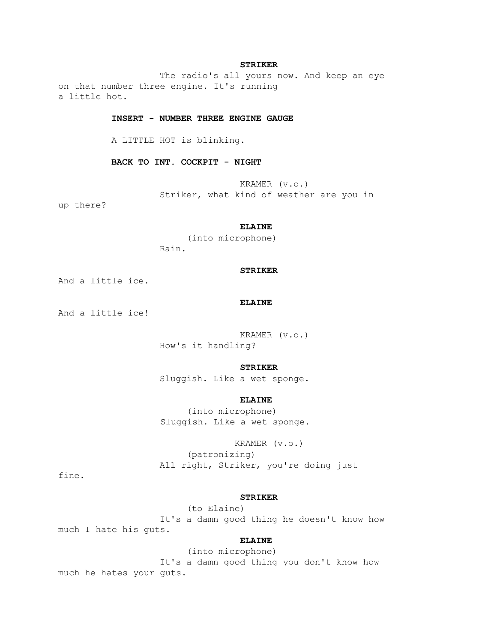### **STRIKER**

The radio's all yours now. And keep an eye on that number three engine. It's running a little hot.

### **INSERT - NUMBER THREE ENGINE GAUGE**

A LITTLE HOT is blinking.

 **BACK TO INT. COCKPIT - NIGHT** 

KRAMER (v.o.)

Striker, what kind of weather are you in

up there?

## **ELAINE**

 (into microphone) Rain.

#### **STRIKER**

And a little ice.

#### **ELAINE**

And a little ice!

 KRAMER (v.o.) How's it handling?

# **STRIKER**

Sluggish. Like a wet sponge.

### **ELAINE**

 (into microphone) Sluggish. Like a wet sponge.

 KRAMER (v.o.) (patronizing) All right, Striker, you're doing just

fine.

#### **STRIKER**

 (to Elaine) It's a damn good thing he doesn't know how much I hate his guts.

# **ELAINE**

 (into microphone) It's a damn good thing you don't know how much he hates your guts.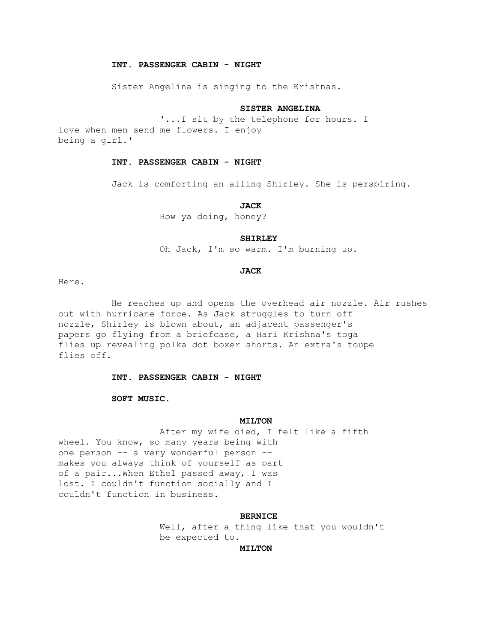# **INT. PASSENGER CABIN - NIGHT**

Sister Angelina is singing to the Krishnas.

### **SISTER ANGELINA**

 '...I sit by the telephone for hours. I love when men send me flowers. I enjoy being a girl.'

### **INT. PASSENGER CABIN - NIGHT**

Jack is comforting an ailing Shirley. She is perspiring.

# *<u>JACK</u>*

How ya doing, honey?

#### **SHIRLEY**

Oh Jack, I'm so warm. I'm burning up.

# *<u>JACK</u>*

Here.

 He reaches up and opens the overhead air nozzle. Air rushes out with hurricane force. As Jack struggles to turn off nozzle, Shirley is blown about, an adjacent passenger's papers go flying from a briefcase, a Hari Krishna's toga flies up revealing polka dot boxer shorts. An extra's toupe flies off.

#### **INT. PASSENGER CABIN - NIGHT**

 **SOFT MUSIC.** 

#### **MILTON**

 After my wife died, I felt like a fifth wheel. You know, so many years being with one person -- a very wonderful person - makes you always think of yourself as part of a pair...When Ethel passed away, I was lost. I couldn't function socially and I couldn't function in business.

#### **BERNICE**

 Well, after a thing like that you wouldn't be expected to.

## **MILTON**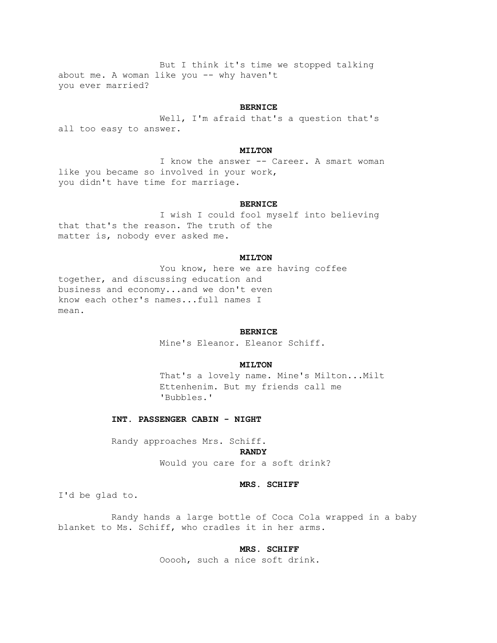But I think it's time we stopped talking about me. A woman like you -- why haven't you ever married?

# **BERNICE**

 Well, I'm afraid that's a question that's all too easy to answer.

#### **MILTON**

 I know the answer -- Career. A smart woman like you became so involved in your work, you didn't have time for marriage.

#### **BERNICE**

 I wish I could fool myself into believing that that's the reason. The truth of the matter is, nobody ever asked me.

#### **MILTON**

You know, here we are having coffee together, and discussing education and business and economy...and we don't even know each other's names...full names I mean.

#### **BERNICE**

Mine's Eleanor. Eleanor Schiff.

#### **MILTON**

That's a lovely name. Mine's Milton... Milt Ettenhenim. But my friends call me 'Bubbles.'

## **INT. PASSENGER CABIN - NIGHT**

 Randy approaches Mrs. Schiff.  **RANDY**  Would you care for a soft drink?

#### **MRS. SCHIFF**

I'd be glad to.

 Randy hands a large bottle of Coca Cola wrapped in a baby blanket to Ms. Schiff, who cradles it in her arms.

#### **MRS. SCHIFF**

Ooooh, such a nice soft drink.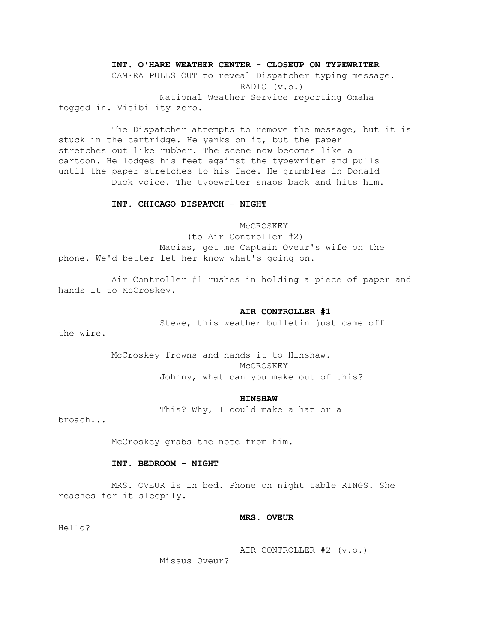# **INT. O'HARE WEATHER CENTER - CLOSEUP ON TYPEWRITER**

 CAMERA PULLS OUT to reveal Dispatcher typing message. RADIO (v.o.) National Weather Service reporting Omaha fogged in. Visibility zero.

The Dispatcher attempts to remove the message, but it is stuck in the cartridge. He yanks on it, but the paper stretches out like rubber. The scene now becomes like a cartoon. He lodges his feet against the typewriter and pulls until the paper stretches to his face. He grumbles in Donald Duck voice. The typewriter snaps back and hits him.

#### **INT. CHICAGO DISPATCH - NIGHT**

### McCROSKEY

 (to Air Controller #2) Macias, get me Captain Oveur's wife on the phone. We'd better let her know what's going on.

 Air Controller #1 rushes in holding a piece of paper and hands it to McCroskey.

#### **AIR CONTROLLER #1**

Steve, this weather bulletin just came off

the wire.

 McCroskey frowns and hands it to Hinshaw. McCROSKEY Johnny, what can you make out of this?

#### **HINSHAW**

This? Why, I could make a hat or a

broach...

McCroskey grabs the note from him.

# **INT. BEDROOM - NIGHT**

 MRS. OVEUR is in bed. Phone on night table RINGS. She reaches for it sleepily.

### **MRS. OVEUR**

Hello?

AIR CONTROLLER #2 (v.o.)

Missus Oveur?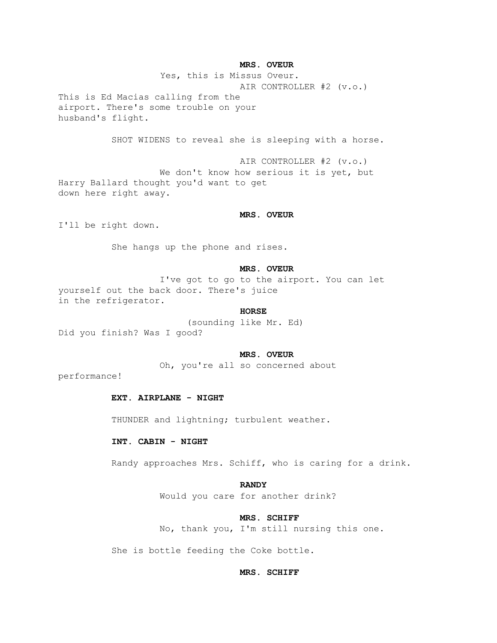### **MRS. OVEUR**

Yes, this is Missus Oveur. AIR CONTROLLER #2 (v.o.) This is Ed Macias calling from the airport. There's some trouble on your husband's flight.

SHOT WIDENS to reveal she is sleeping with a horse.

 AIR CONTROLLER #2 (v.o.) We don't know how serious it is yet, but Harry Ballard thought you'd want to get down here right away.

### **MRS. OVEUR**

I'll be right down.

She hangs up the phone and rises.

# **MRS. OVEUR**

 I've got to go to the airport. You can let yourself out the back door. There's juice in the refrigerator.

# *HORSE HORSE*

 (sounding like Mr. Ed) Did you finish? Was I good?

### **MRS. OVEUR**

Oh, you're all so concerned about

performance!

# **EXT. AIRPLANE - NIGHT**

THUNDER and lightning; turbulent weather.

### **INT. CABIN - NIGHT**

Randy approaches Mrs. Schiff, who is caring for a drink.

# **RANDY**

Would you care for another drink?

# **MRS. SCHIFF**

No, thank you, I'm still nursing this one.

She is bottle feeding the Coke bottle.

### **MRS. SCHIFF**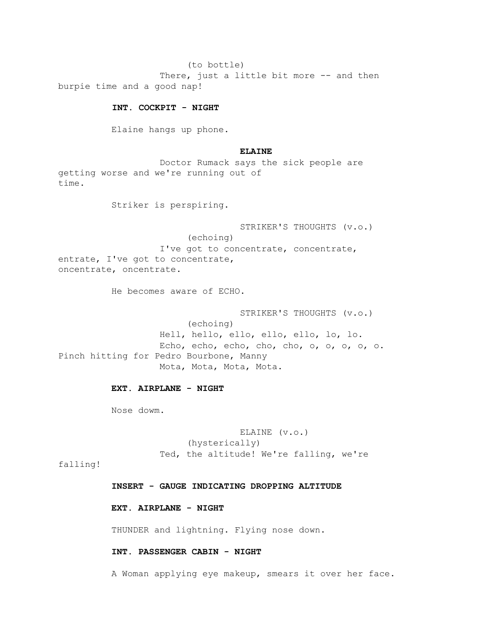(to bottle) There, just a little bit more -- and then burpie time and a good nap!

# **INT. COCKPIT - NIGHT**

Elaine hangs up phone.

# **ELAINE**

 Doctor Rumack says the sick people are getting worse and we're running out of time.

Striker is perspiring.

 STRIKER'S THOUGHTS (v.o.) (echoing) I've got to concentrate, concentrate, entrate, I've got to concentrate, oncentrate, oncentrate.

He becomes aware of ECHO.

 STRIKER'S THOUGHTS (v.o.) (echoing) Hell, hello, ello, ello, ello, lo, lo. Echo, echo, echo, cho, cho, o, o, o, o, o. Pinch hitting for Pedro Bourbone, Manny Mota, Mota, Mota, Mota.

# **EXT. AIRPLANE - NIGHT**

Nose dowm.

```
 ELAINE (v.o.) 
     (hysterically) 
Ted, the altitude! We're falling, we're
```
falling!

### **INSERT - GAUGE INDICATING DROPPING ALTITUDE**

# **EXT. AIRPLANE - NIGHT**

THUNDER and lightning. Flying nose down.

# **INT. PASSENGER CABIN - NIGHT**

A Woman applying eye makeup, smears it over her face.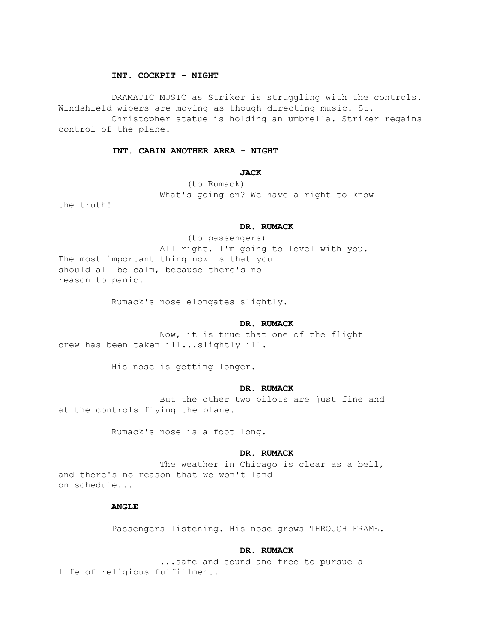# **INT. COCKPIT - NIGHT**

 DRAMATIC MUSIC as Striker is struggling with the controls. Windshield wipers are moving as though directing music. St.

 Christopher statue is holding an umbrella. Striker regains control of the plane.

# **INT. CABIN ANOTHER AREA - NIGHT**

# *<u>JACK</u>*

 (to Rumack) What's going on? We have a right to know

the truth!

# **DR. RUMACK**

 (to passengers) All right. I'm going to level with you. The most important thing now is that you should all be calm, because there's no reason to panic.

Rumack's nose elongates slightly.

### **DR. RUMACK**

 Now, it is true that one of the flight crew has been taken ill...slightly ill.

His nose is getting longer.

### **DR. RUMACK**

 But the other two pilots are just fine and at the controls flying the plane.

Rumack's nose is a foot long.

# **DR. RUMACK**

The weather in Chicago is clear as a bell, and there's no reason that we won't land on schedule...

### **ANGLE**

Passengers listening. His nose grows THROUGH FRAME.

#### **DR. RUMACK**

 ...safe and sound and free to pursue a life of religious fulfillment.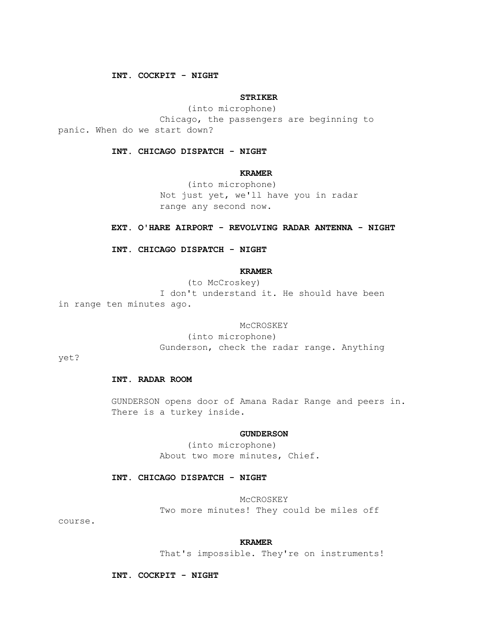# **INT. COCKPIT - NIGHT**

# **STRIKER**

 (into microphone) Chicago, the passengers are beginning to panic. When do we start down?

# **INT. CHICAGO DISPATCH - NIGHT**

# **KRAMER**

 (into microphone) Not just yet, we'll have you in radar range any second now.

 **EXT. O'HARE AIRPORT - REVOLVING RADAR ANTENNA - NIGHT** 

 **INT. CHICAGO DISPATCH - NIGHT** 

# **KRAMER**

 (to McCroskey) I don't understand it. He should have been in range ten minutes ago.

McCROSKEY

 (into microphone) Gunderson, check the radar range. Anything

yet?

# **INT. RADAR ROOM**

 GUNDERSON opens door of Amana Radar Range and peers in. There is a turkey inside.

# **GUNDERSON**

 (into microphone) About two more minutes, Chief.

# **INT. CHICAGO DISPATCH - NIGHT**

 McCROSKEY Two more minutes! They could be miles off

course.

#### **KRAMER**

That's impossible. They're on instruments!

 **INT. COCKPIT - NIGHT**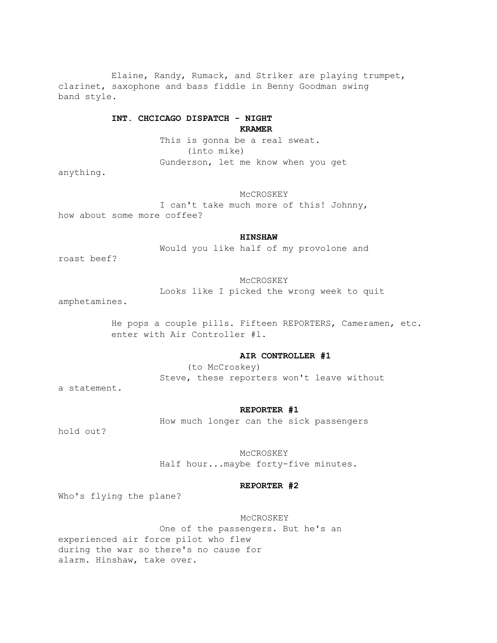Elaine, Randy, Rumack, and Striker are playing trumpet, clarinet, saxophone and bass fiddle in Benny Goodman swing band style.

# **INT. CHCICAGO DISPATCH - NIGHT KRAMER**

 This is gonna be a real sweat. (into mike) Gunderson, let me know when you get

anything.

### McCROSKEY

 I can't take much more of this! Johnny, how about some more coffee?

### **HINSHAW**

Would you like half of my provolone and

roast beef?

### McCROSKEY

Looks like I picked the wrong week to quit

amphetamines.

 He pops a couple pills. Fifteen REPORTERS, Cameramen, etc. enter with Air Controller #l.

### **AIR CONTROLLER #1**

 (to McCroskey) Steve, these reporters won't leave without

a statement.

### **REPORTER #1**

How much longer can the sick passengers

hold out?

 McCROSKEY Half hour...maybe forty-five minutes.

# **REPORTER #2**

Who's flying the plane?

# McCROSKEY

 One of the passengers. But he's an experienced air force pilot who flew during the war so there's no cause for alarm. Hinshaw, take over.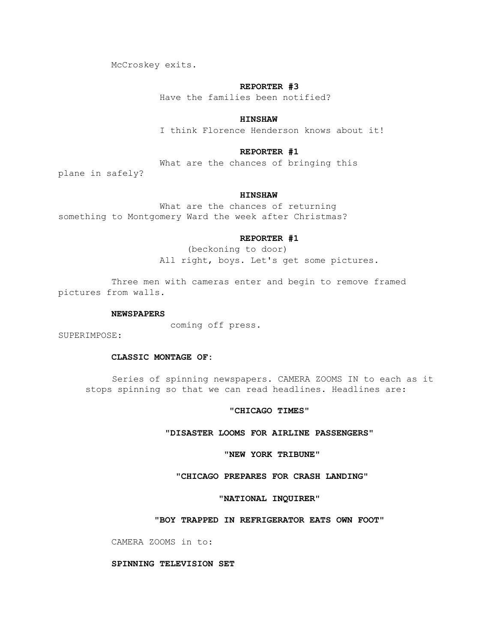McCroskey exits.

# **REPORTER #3**

Have the families been notified?

# **HINSHAW**

I think Florence Henderson knows about it!

# **REPORTER #1**

What are the chances of bringing this

plane in safely?

#### **HINSHAW**

 What are the chances of returning something to Montgomery Ward the week after Christmas?

### **REPORTER #1**

 (beckoning to door) All right, boys. Let's get some pictures.

 Three men with cameras enter and begin to remove framed pictures from walls.

### **NEWSPAPERS**

coming off press.

SUPERIMPOSE:

# **CLASSIC MONTAGE OF:**

 Series of spinning newspapers. CAMERA ZOOMS IN to each as it stops spinning so that we can read headlines. Headlines are:

# **"CHICAGO TIMES"**

 **"DISASTER LOOMS FOR AIRLINE PASSENGERS"** 

### **"NEW YORK TRIBUNE"**

 **"CHICAGO PREPARES FOR CRASH LANDING"** 

### **"NATIONAL INQUIRER"**

# **"BOY TRAPPED IN REFRIGERATOR EATS OWN FOOT"**

CAMERA ZOOMS in to:

### **SPINNING TELEVISION SET**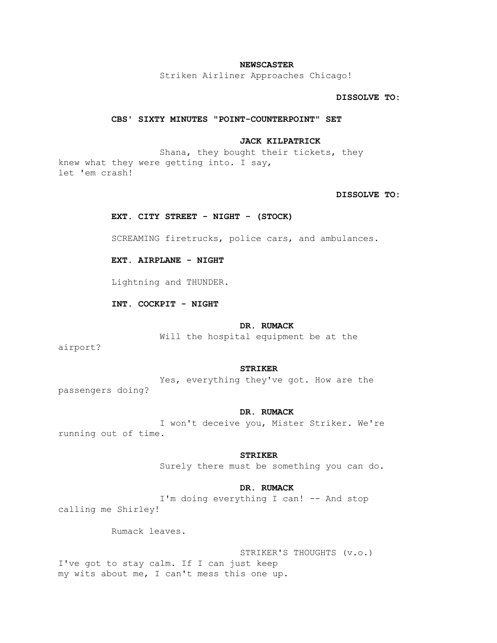# **NEWSCASTER**

Striken Airliner Approaches Chicago!

 **DISSOLVE TO:** 

### **CBS' SIXTY MINUTES "POINT-COUNTERPOINT" SET**

# **JACK KILPATRICK**

 Shana, they bought their tickets, they knew what they were getting into. I say, let 'em crash!

#### **DISSOLVE TO:**

#### **EXT. CITY STREET - NIGHT - (STOCK)**

SCREAMING firetrucks, police cars, and ambulances.

 **EXT. AIRPLANE - NIGHT** 

Lightning and THUNDER.

 **INT. COCKPIT - NIGHT** 

### **DR. RUMACK**

Will the hospital equipment be at the

airport?

#### **STRIKER**

 Yes, everything they've got. How are the passengers doing?

### **DR. RUMACK**

 I won't deceive you, Mister Striker. We're running out of time.

### **STRIKER**

Surely there must be something you can do.

# **DR. RUMACK**

I'm doing everything I can! -- And stop calling me Shirley!

Rumack leaves.

 STRIKER'S THOUGHTS (v.o.) I've got to stay calm. If I can just keep my wits about me, I can't mess this one up.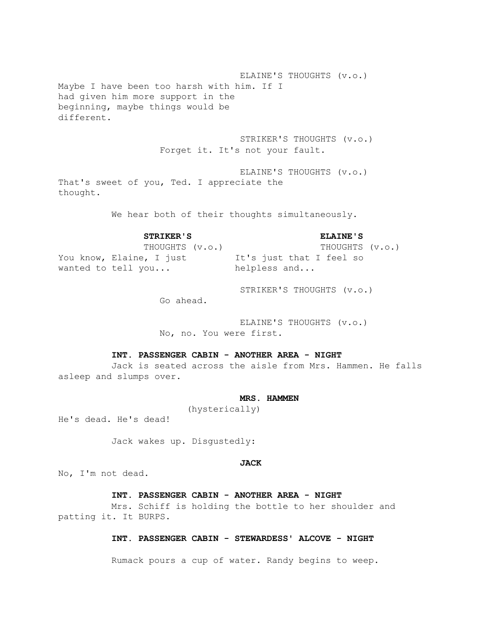ELAINE'S THOUGHTS (v.o.) Maybe I have been too harsh with him. If I had given him more support in the beginning, maybe things would be different.

> STRIKER'S THOUGHTS (v.o.) Forget it. It's not your fault.

 ELAINE'S THOUGHTS (v.o.) That's sweet of you, Ted. I appreciate the thought.

We hear both of their thoughts simultaneously.

# **STRIKER'S ELAINE'S**

# THOUGHTS (v.o.) THOUGHTS (v.o.) You know, Elaine, I just It's just that I feel so wanted to tell you... helpless and...

Go ahead.

 ELAINE'S THOUGHTS (v.o.) No, no. You were first.

STRIKER'S THOUGHTS (v.o.)

### **INT. PASSENGER CABIN - ANOTHER AREA - NIGHT**

 Jack is seated across the aisle from Mrs. Hammen. He falls asleep and slumps over.

# **MRS. HAMMEN**

(hysterically)

He's dead. He's dead!

Jack wakes up. Disgustedly:

# *<u>JACK</u>*

No, I'm not dead.

# **INT. PASSENGER CABIN - ANOTHER AREA - NIGHT**

 Mrs. Schiff is holding the bottle to her shoulder and patting it. It BURPS.

# **INT. PASSENGER CABIN - STEWARDESS' ALCOVE - NIGHT**

Rumack pours a cup of water. Randy begins to weep.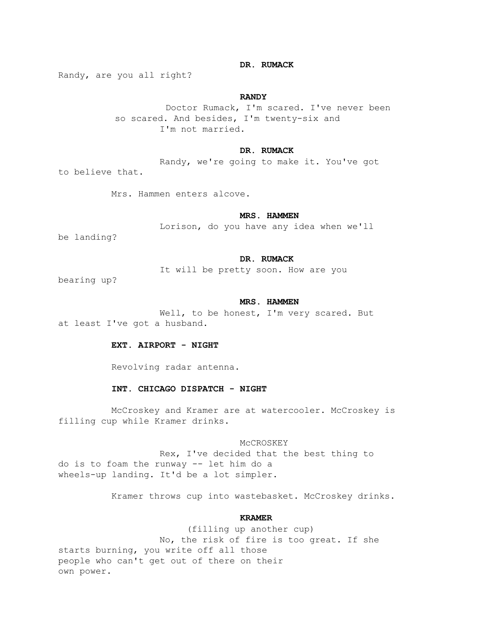**DR. RUMACK** 

Randy, are you all right?

### **RANDY**

 Doctor Rumack, I'm scared. I've never been so scared. And besides, I'm twenty-six and I'm not married.

# **DR. RUMACK**

 Randy, we're going to make it. You've got to believe that.

Mrs. Hammen enters alcove.

# **MRS. HAMMEN**

Lorison, do you have any idea when we'll

be landing?

# **DR. RUMACK**

It will be pretty soon. How are you

bearing up?

# **MRS. HAMMEN**

 Well, to be honest, I'm very scared. But at least I've got a husband.

### **EXT. AIRPORT - NIGHT**

Revolving radar antenna.

# **INT. CHICAGO DISPATCH - NIGHT**

 McCroskey and Kramer are at watercooler. McCroskey is filling cup while Kramer drinks.

#### McCROSKEY

 Rex, I've decided that the best thing to do is to foam the runway -- let him do a wheels-up landing. It'd be a lot simpler.

Kramer throws cup into wastebasket. McCroskey drinks.

# **KRAMER**

 (filling up another cup) No, the risk of fire is too great. If she starts burning, you write off all those people who can't get out of there on their own power.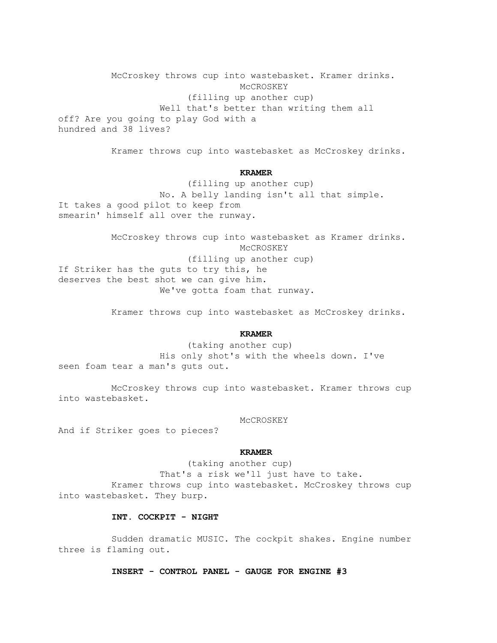McCroskey throws cup into wastebasket. Kramer drinks. McCROSKEY (filling up another cup) Well that's better than writing them all off? Are you going to play God with a hundred and 38 lives?

Kramer throws cup into wastebasket as McCroskey drinks.

# **KRAMER**

 (filling up another cup) No. A belly landing isn't all that simple. It takes a good pilot to keep from smearin' himself all over the runway.

 McCroskey throws cup into wastebasket as Kramer drinks. McCROSKEY (filling up another cup) If Striker has the guts to try this, he deserves the best shot we can give him. We've gotta foam that runway.

Kramer throws cup into wastebasket as McCroskey drinks.

### **KRAMER**

 (taking another cup) His only shot's with the wheels down. I've seen foam tear a man's guts out.

 McCroskey throws cup into wastebasket. Kramer throws cup into wastebasket.

#### McCROSKEY

And if Striker goes to pieces?

#### **KRAMER**

 (taking another cup) That's a risk we'll just have to take. Kramer throws cup into wastebasket. McCroskey throws cup into wastebasket. They burp.

# **INT. COCKPIT - NIGHT**

 Sudden dramatic MUSIC. The cockpit shakes. Engine number three is flaming out.

 **INSERT - CONTROL PANEL - GAUGE FOR ENGINE #3**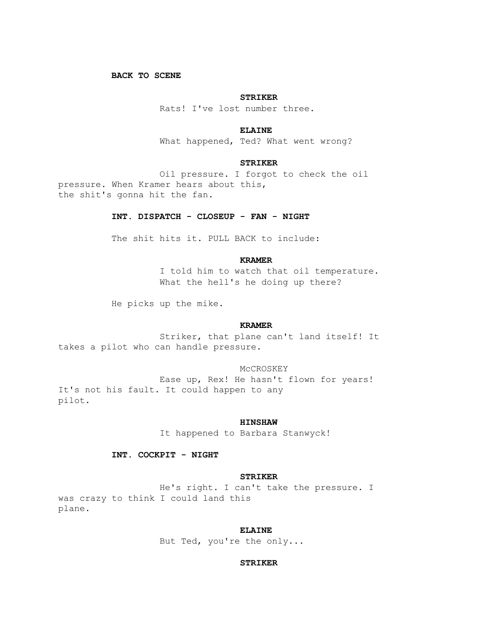# **BACK TO SCENE**

# **STRIKER**

Rats! I've lost number three.

# **ELAINE**

What happened, Ted? What went wrong?

### **STRIKER**

 Oil pressure. I forgot to check the oil pressure. When Kramer hears about this, the shit's gonna hit the fan.

### **INT. DISPATCH - CLOSEUP - FAN - NIGHT**

The shit hits it. PULL BACK to include:

# **KRAMER**

 I told him to watch that oil temperature. What the hell's he doing up there?

He picks up the mike.

### **KRAMER**

 Striker, that plane can't land itself! It takes a pilot who can handle pressure.

#### McCROSKEY

 Ease up, Rex! He hasn't flown for years! It's not his fault. It could happen to any pilot.

#### **HINSHAW**

It happened to Barbara Stanwyck!

# **INT. COCKPIT - NIGHT**

#### **STRIKER**

 He's right. I can't take the pressure. I was crazy to think I could land this plane.

#### **ELAINE**

But Ted, you're the only...

### **STRIKER**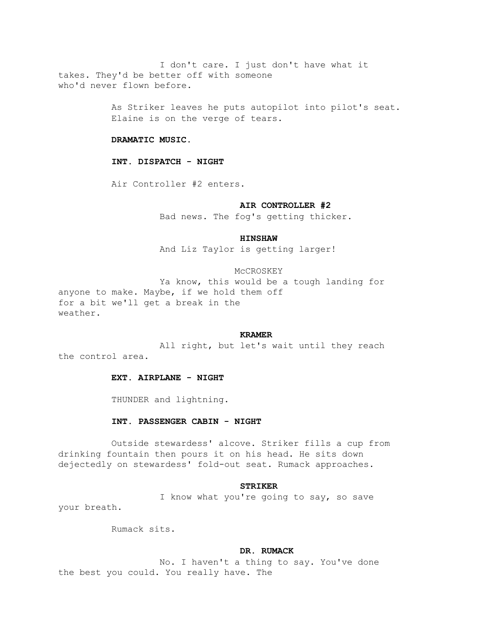I don't care. I just don't have what it takes. They'd be better off with someone who'd never flown before.

> As Striker leaves he puts autopilot into pilot's seat. Elaine is on the verge of tears.

# **DRAMATIC MUSIC.**

# **INT. DISPATCH - NIGHT**

Air Controller #2 enters.

### **AIR CONTROLLER #2**

Bad news. The fog's getting thicker.

### **HINSHAW**

And Liz Taylor is getting larger!

# McCROSKEY

 Ya know, this would be a tough landing for anyone to make. Maybe, if we hold them off for a bit we'll get a break in the weather.

### **KRAMER**

 All right, but let's wait until they reach the control area.

### **EXT. AIRPLANE - NIGHT**

THUNDER and lightning.

### **INT. PASSENGER CABIN - NIGHT**

 Outside stewardess' alcove. Striker fills a cup from drinking fountain then pours it on his head. He sits down dejectedly on stewardess' fold-out seat. Rumack approaches.

### **STRIKER**

I know what you're going to say, so save

your breath.

Rumack sits.

#### **DR. RUMACK**

 No. I haven't a thing to say. You've done the best you could. You really have. The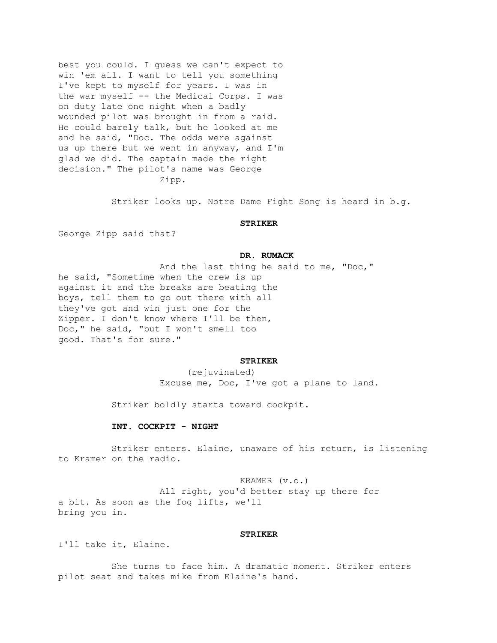best you could. I guess we can't expect to win 'em all. I want to tell you something I've kept to myself for years. I was in the war myself -- the Medical Corps. I was on duty late one night when a badly wounded pilot was brought in from a raid. He could barely talk, but he looked at me and he said, "Doc. The odds were against us up there but we went in anyway, and I'm glad we did. The captain made the right decision." The pilot's name was George Zipp.

Striker looks up. Notre Dame Fight Song is heard in b.g.

#### **STRIKER**

George Zipp said that?

#### **DR. RUMACK**

 And the last thing he said to me, "Doc," he said, "Sometime when the crew is up against it and the breaks are beating the boys, tell them to go out there with all they've got and win just one for the Zipper. I don't know where I'll be then, Doc," he said, "but I won't smell too good. That's for sure."

#### **STRIKER**

 (rejuvinated) Excuse me, Doc, I've got a plane to land.

Striker boldly starts toward cockpit.

### **INT. COCKPIT - NIGHT**

 Striker enters. Elaine, unaware of his return, is listening to Kramer on the radio.

 KRAMER (v.o.) All right, you'd better stay up there for a bit. As soon as the fog lifts, we'll bring you in.

### **STRIKER**

I'll take it, Elaine.

 She turns to face him. A dramatic moment. Striker enters pilot seat and takes mike from Elaine's hand.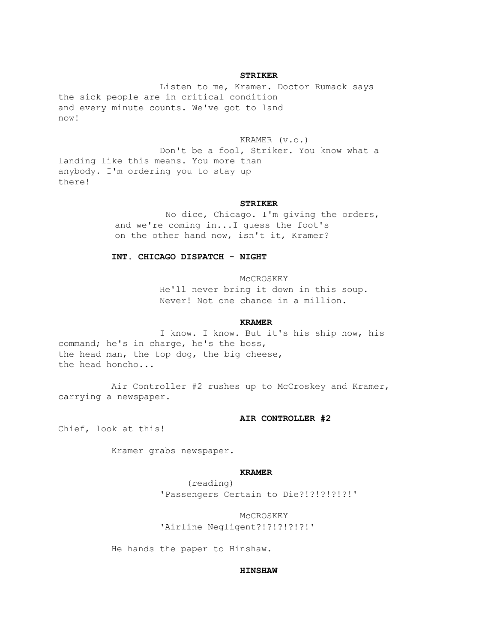# **STRIKER**

 Listen to me, Kramer. Doctor Rumack says the sick people are in critical condition and every minute counts. We've got to land now!

# KRAMER (v.o.)

 Don't be a fool, Striker. You know what a landing like this means. You more than anybody. I'm ordering you to stay up there!

#### **STRIKER**

 No dice, Chicago. I'm giving the orders, and we're coming in...I guess the foot's on the other hand now, isn't it, Kramer?

# **INT. CHICAGO DISPATCH - NIGHT**

#### McCROSKEY

 He'll never bring it down in this soup. Never! Not one chance in a million.

### **KRAMER**

 I know. I know. But it's his ship now, his command; he's in charge, he's the boss, the head man, the top dog, the big cheese, the head honcho...

 Air Controller #2 rushes up to McCroskey and Kramer, carrying a newspaper.

#### **AIR CONTROLLER #2**

Chief, look at this!

Kramer grabs newspaper.

#### **KRAMER**

 (reading) 'Passengers Certain to Die?!?!?!?!?!'

 McCROSKEY 'Airline Negligent?!?!?!?!?!'

He hands the paper to Hinshaw.

#### **HINSHAW**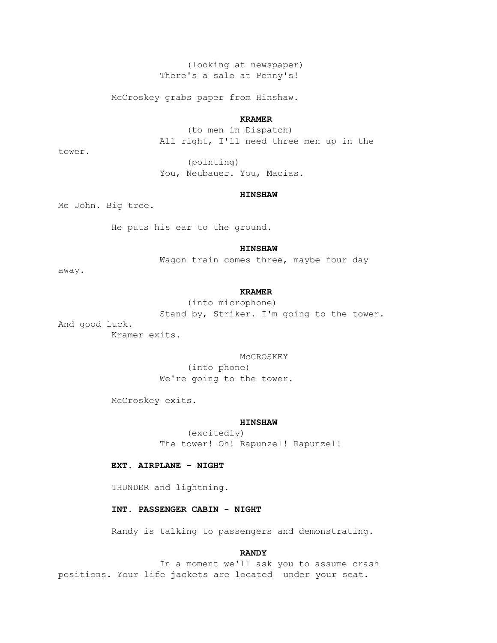(looking at newspaper) There's a sale at Penny's!

McCroskey grabs paper from Hinshaw.

# **KRAMER**

 (to men in Dispatch) All right, I'll need three men up in the

tower.

 (pointing) You, Neubauer. You, Macias.

#### **HINSHAW**

Me John. Big tree.

He puts his ear to the ground.

### **HINSHAW**

Wagon train comes three, maybe four day

away.

#### **KRAMER**

(into microphone)

 Stand by, Striker. I'm going to the tower. And good luck.

Kramer exits.

### McCROSKEY

 (into phone) We're going to the tower.

McCroskey exits.

#### **HINSHAW**

 (excitedly) The tower! Oh! Rapunzel! Rapunzel!

# **EXT. AIRPLANE - NIGHT**

THUNDER and lightning.

 **INT. PASSENGER CABIN - NIGHT** 

Randy is talking to passengers and demonstrating.

# **RANDY**

 In a moment we'll ask you to assume crash positions. Your life jackets are located under your seat.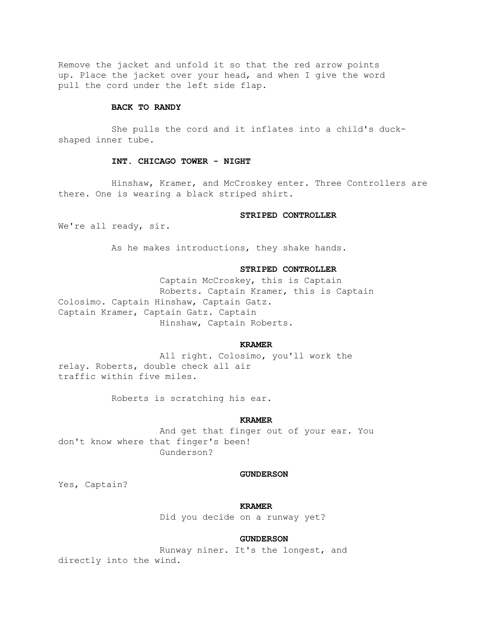Remove the jacket and unfold it so that the red arrow points up. Place the jacket over your head, and when I give the word pull the cord under the left side flap.

### **BACK TO RANDY**

 She pulls the cord and it inflates into a child's duckshaped inner tube.

# **INT. CHICAGO TOWER - NIGHT**

 Hinshaw, Kramer, and McCroskey enter. Three Controllers are there. One is wearing a black striped shirt.

### **STRIPED CONTROLLER**

We're all ready, sir.

As he makes introductions, they shake hands.

# **STRIPED CONTROLLER**

 Captain McCroskey, this is Captain Roberts. Captain Kramer, this is Captain Colosimo. Captain Hinshaw, Captain Gatz. Captain Kramer, Captain Gatz. Captain Hinshaw, Captain Roberts.

#### **KRAMER**

 All right. Colosimo, you'll work the relay. Roberts, double check all air traffic within five miles.

Roberts is scratching his ear.

### **KRAMER**

 And get that finger out of your ear. You don't know where that finger's been! Gunderson?

### **GUNDERSON**

Yes, Captain?

### **KRAMER**

Did you decide on a runway yet?

### **GUNDERSON**

 Runway niner. It's the longest, and directly into the wind.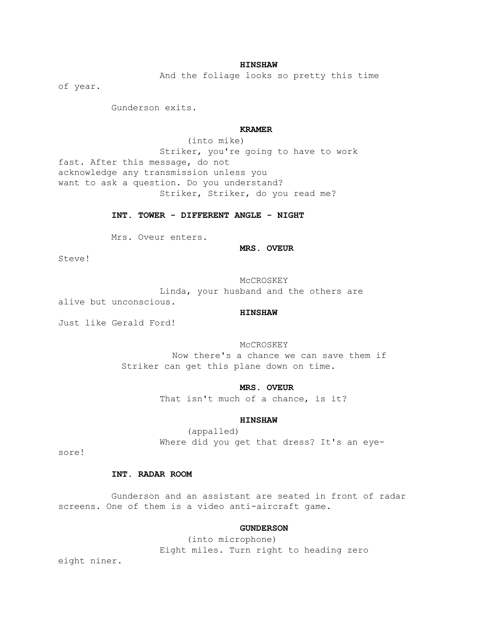#### **HINSHAW**

And the foliage looks so pretty this time

of year.

Gunderson exits.

# **KRAMER**

 (into mike) Striker, you're going to have to work fast. After this message, do not acknowledge any transmission unless you want to ask a question. Do you understand? Striker, Striker, do you read me?

# **INT. TOWER - DIFFERENT ANGLE - NIGHT**

Mrs. Oveur enters.

 **MRS. OVEUR** 

Steve!

### McCROSKEY

Linda, your husband and the others are

alive but unconscious.

### **HINSHAW**

Just like Gerald Ford!

# McCROSKEY

 Now there's a chance we can save them if Striker can get this plane down on time.

# **MRS. OVEUR**

That isn't much of a chance, is it?

# **HINSHAW**

 (appalled) Where did you get that dress? It's an eye-

sore!

# **INT. RADAR ROOM**

 Gunderson and an assistant are seated in front of radar screens. One of them is a video anti-aircraft game.

# **GUNDERSON**

 (into microphone) Eight miles. Turn right to heading zero

eight niner.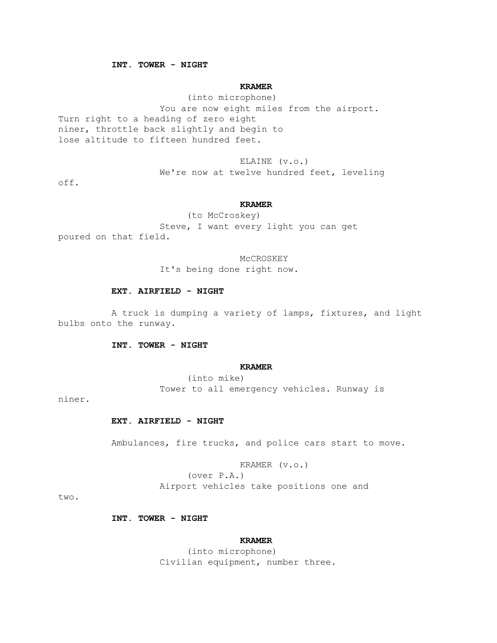**INT. TOWER - NIGHT** 

# **KRAMER**

 (into microphone) You are now eight miles from the airport. Turn right to a heading of zero eight niner, throttle back slightly and begin to lose altitude to fifteen hundred feet.

> ELAINE (v.o.) We're now at twelve hundred feet, leveling

off.

#### **KRAMER**

 (to McCroskey) Steve, I want every light you can get poured on that field.

McCROSKEY

It's being done right now.

### **EXT. AIRFIELD - NIGHT**

 A truck is dumping a variety of lamps, fixtures, and light bulbs onto the runway.

# **INT. TOWER - NIGHT**

### **KRAMER**

 (into mike) Tower to all emergency vehicles. Runway is

niner.

# **EXT. AIRFIELD - NIGHT**

Ambulances, fire trucks, and police cars start to move.

KRAMER (v.o.)

 (over P.A.) Airport vehicles take positions one and

two.

# **INT. TOWER - NIGHT**

# **KRAMER**

 (into microphone) Civilian equipment, number three.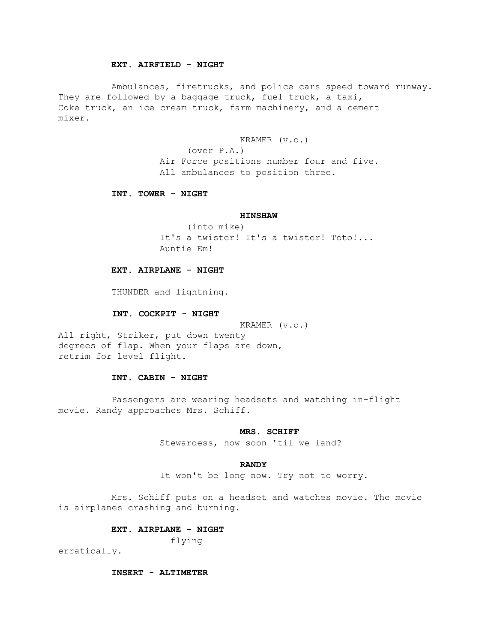# **EXT. AIRFIELD - NIGHT**

 Ambulances, firetrucks, and police cars speed toward runway. They are followed by a baggage truck, fuel truck, a taxi, Coke truck, an ice cream truck, farm machinery, and a cement mixer.

> KRAMER (v.o.) (over P.A.) Air Force positions number four and five. All ambulances to position three.

### **INT. TOWER - NIGHT**

### **HINSHAW**

 (into mike) It's a twister! It's a twister! Toto!... Auntie Em!

# **EXT. AIRPLANE - NIGHT**

THUNDER and lightning.

# **INT. COCKPIT - NIGHT**

KRAMER (v.o.)

All right, Striker, put down twenty degrees of flap. When your flaps are down, retrim for level flight.

# **INT. CABIN - NIGHT**

 Passengers are wearing headsets and watching in-flight movie. Randy approaches Mrs. Schiff.

#### **MRS. SCHIFF**

Stewardess, how soon 'til we land?

#### **RANDY**

It won't be long now. Try not to worry.

 Mrs. Schiff puts on a headset and watches movie. The movie is airplanes crashing and burning.

# **EXT. AIRPLANE - NIGHT**

flying

erratically.

 **INSERT - ALTIMETER**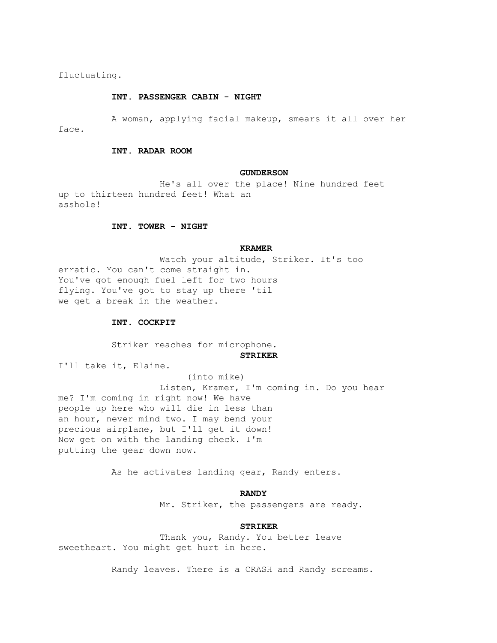fluctuating.

### **INT. PASSENGER CABIN - NIGHT**

 A woman, applying facial makeup, smears it all over her face.

 **INT. RADAR ROOM** 

#### **GUNDERSON**

 He's all over the place! Nine hundred feet up to thirteen hundred feet! What an asshole!

## **INT. TOWER - NIGHT**

# **KRAMER**

 Watch your altitude, Striker. It's too erratic. You can't come straight in. You've got enough fuel left for two hours flying. You've got to stay up there 'til we get a break in the weather.

# **INT. COCKPIT**

Striker reaches for microphone.

# **STRIKER**

I'll take it, Elaine.

 (into mike) Listen, Kramer, I'm coming in. Do you hear me? I'm coming in right now! We have people up here who will die in less than an hour, never mind two. I may bend your precious airplane, but I'll get it down! Now get on with the landing check. I'm putting the gear down now.

As he activates landing gear, Randy enters.

### **RANDY**

Mr. Striker, the passengers are ready.

### **STRIKER**

 Thank you, Randy. You better leave sweetheart. You might get hurt in here.

Randy leaves. There is a CRASH and Randy screams.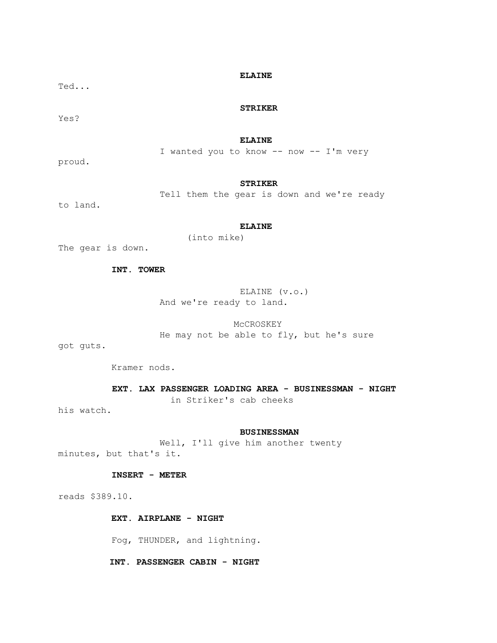Ted...

# **ELAINE**

 **STRIKER** 

Yes?

 **ELAINE** 

I wanted you to know -- now -- I'm very

proud.

# **STRIKER**

Tell them the gear is down and we're ready

to land.

# **ELAINE**

(into mike)

The gear is down.

 **INT. TOWER** 

 ELAINE (v.o.) And we're ready to land.

McCROSKEY

He may not be able to fly, but he's sure

got guts.

Kramer nods.

**EXT. LAX PASSENGER LOADING AREA - BUSINESSMAN - NIGHT** 

in Striker's cab cheeks

his watch.

#### **BUSINESSMAN**

Well, I'll give him another twenty minutes, but that's it.

# **INSERT - METER**

reads \$389.10.

 **EXT. AIRPLANE - NIGHT** 

Fog, THUNDER, and lightning.

 **INT. PASSENGER CABIN - NIGHT**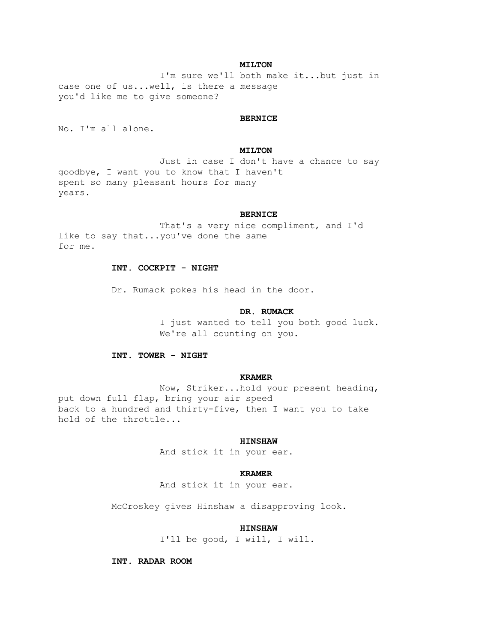### **MILTON**

 I'm sure we'll both make it...but just in case one of us...well, is there a message you'd like me to give someone?

#### **BERNICE**

No. I'm all alone.

#### **MILTON**

 Just in case I don't have a chance to say goodbye, I want you to know that I haven't spent so many pleasant hours for many years.

# **BERNICE**

 That's a very nice compliment, and I'd like to say that...you've done the same for me.

# **INT. COCKPIT - NIGHT**

Dr. Rumack pokes his head in the door.

### **DR. RUMACK**

 I just wanted to tell you both good luck. We're all counting on you.

# **INT. TOWER - NIGHT**

### **KRAMER**

 Now, Striker...hold your present heading, put down full flap, bring your air speed back to a hundred and thirty-five, then I want you to take hold of the throttle...

### **HINSHAW**

And stick it in your ear.

# **KRAMER**

And stick it in your ear.

McCroskey gives Hinshaw a disapproving look.

# **HINSHAW**

I'll be good, I will, I will.

 **INT. RADAR ROOM**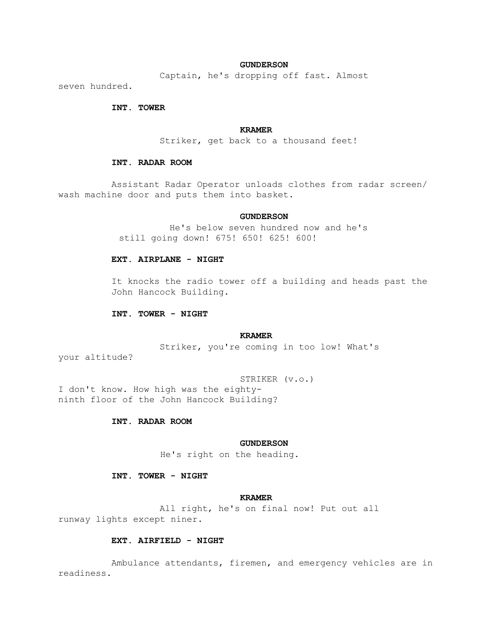#### **GUNDERSON**

Captain, he's dropping off fast. Almost

seven hundred.

# **INT. TOWER**

### **KRAMER**

Striker, get back to a thousand feet!

# **INT. RADAR ROOM**

 Assistant Radar Operator unloads clothes from radar screen/ wash machine door and puts them into basket.

#### **GUNDERSON**

 He's below seven hundred now and he's still going down! 675! 650! 625! 600!

# **EXT. AIRPLANE - NIGHT**

 It knocks the radio tower off a building and heads past the John Hancock Building.

### **INT. TOWER - NIGHT**

#### **KRAMER**

Striker, you're coming in too low! What's

your altitude?

 STRIKER (v.o.) I don't know. How high was the eightyninth floor of the John Hancock Building?

# **INT. RADAR ROOM**

### **GUNDERSON**

He's right on the heading.

# **INT. TOWER - NIGHT**

### **KRAMER**

 All right, he's on final now! Put out all runway lights except niner.

# **EXT. AIRFIELD - NIGHT**

 Ambulance attendants, firemen, and emergency vehicles are in readiness.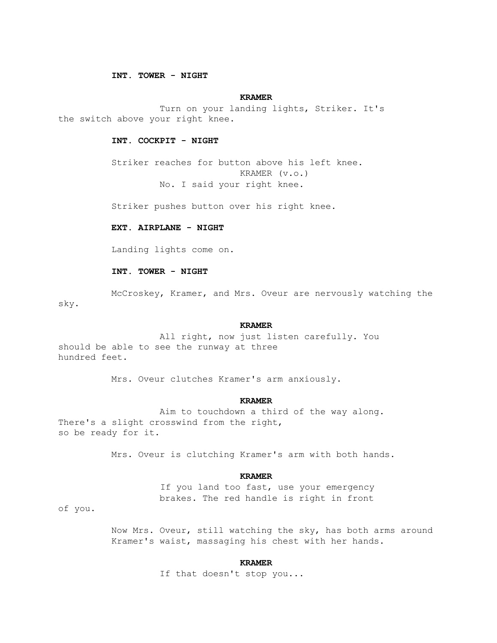# **INT. TOWER - NIGHT**

#### **KRAMER**

 Turn on your landing lights, Striker. It's the switch above your right knee.

# **INT. COCKPIT - NIGHT**

 Striker reaches for button above his left knee. KRAMER (v.o.) No. I said your right knee.

Striker pushes button over his right knee.

# **EXT. AIRPLANE - NIGHT**

Landing lights come on.

### **INT. TOWER - NIGHT**

 McCroskey, Kramer, and Mrs. Oveur are nervously watching the sky.

#### **KRAMER**

 All right, now just listen carefully. You should be able to see the runway at three hundred feet.

Mrs. Oveur clutches Kramer's arm anxiously.

### **KRAMER**

 Aim to touchdown a third of the way along. There's a slight crosswind from the right, so be ready for it.

Mrs. Oveur is clutching Kramer's arm with both hands.

#### **KRAMER**

If you land too fast, use your emergency brakes. The red handle is right in front

of you.

 Now Mrs. Oveur, still watching the sky, has both arms around Kramer's waist, massaging his chest with her hands.

### **KRAMER**

If that doesn't stop you...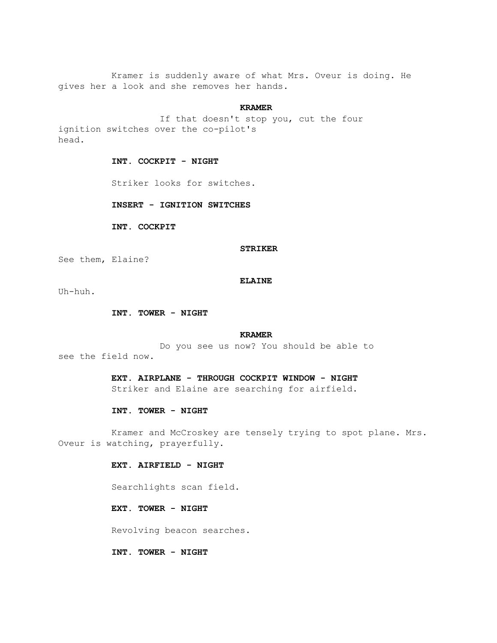Kramer is suddenly aware of what Mrs. Oveur is doing. He gives her a look and she removes her hands.

# **KRAMER**

 If that doesn't stop you, cut the four ignition switches over the co-pilot's head.

 **INT. COCKPIT - NIGHT** 

Striker looks for switches.

 **INSERT - IGNITION SWITCHES** 

 **INT. COCKPIT** 

#### **STRIKER**

See them, Elaine?

# **ELAINE**

Uh-huh.

# **INT. TOWER - NIGHT**

### **KRAMER**

 Do you see us now? You should be able to see the field now.

> **EXT. AIRPLANE - THROUGH COCKPIT WINDOW - NIGHT**  Striker and Elaine are searching for airfield.

# **INT. TOWER - NIGHT**

 Kramer and McCroskey are tensely trying to spot plane. Mrs. Oveur is watching, prayerfully.

### **EXT. AIRFIELD - NIGHT**

Searchlights scan field.

# **EXT. TOWER - NIGHT**

Revolving beacon searches.

 **INT. TOWER - NIGHT**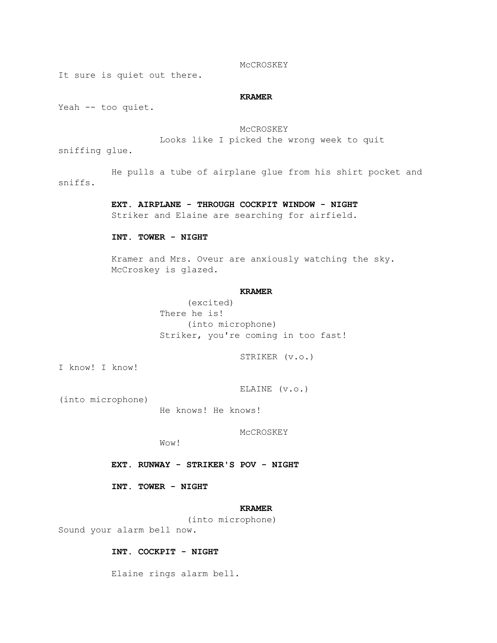McCROSKEY

It sure is quiet out there.

# **KRAMER**

Yeah -- too quiet.

McCROSKEY

Looks like I picked the wrong week to quit

sniffing glue.

 He pulls a tube of airplane glue from his shirt pocket and sniffs.

> **EXT. AIRPLANE - THROUGH COCKPIT WINDOW - NIGHT**  Striker and Elaine are searching for airfield.

# **INT. TOWER - NIGHT**

 Kramer and Mrs. Oveur are anxiously watching the sky. McCroskey is glazed.

#### **KRAMER**

 (excited) There he is! (into microphone) Striker, you're coming in too fast!

STRIKER (v.o.)

I know! I know!

ELAINE (v.o.)

(into microphone)

He knows! He knows!

McCROSKEY

Wow!

 **EXT. RUNWAY - STRIKER'S POV - NIGHT** 

 **INT. TOWER - NIGHT** 

# **KRAMER**

 (into microphone) Sound your alarm bell now.

# **INT. COCKPIT - NIGHT**

Elaine rings alarm bell.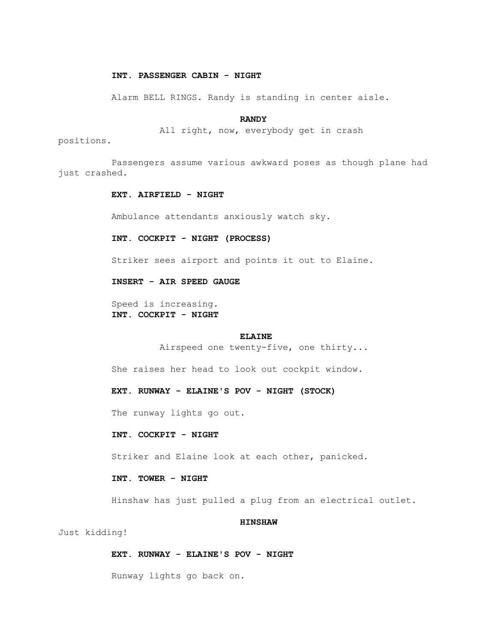# **INT. PASSENGER CABIN - NIGHT**

Alarm BELL RINGS. Randy is standing in center aisle.

### **RANDY**

All right, now, everybody get in crash

positions.

 Passengers assume various awkward poses as though plane had just crashed.

### **EXT. AIRFIELD - NIGHT**

Ambulance attendants anxiously watch sky.

 **INT. COCKPIT - NIGHT (PROCESS)** 

Striker sees airport and points it out to Elaine.

 **INSERT - AIR SPEED GAUGE** 

 Speed is increasing.  **INT. COCKPIT - NIGHT** 

#### **ELAINE**

Airspeed one twenty-five, one thirty...

She raises her head to look out cockpit window.

 **EXT. RUNWAY - ELAINE'S POV - NIGHT (STOCK)** 

The runway lights go out.

# **INT. COCKPIT - NIGHT**

Striker and Elaine look at each other, panicked.

# **INT. TOWER - NIGHT**

Hinshaw has just pulled a plug from an electrical outlet.

# **HINSHAW**

Just kidding!

# **EXT. RUNWAY - ELAINE'S POV - NIGHT**

Runway lights go back on.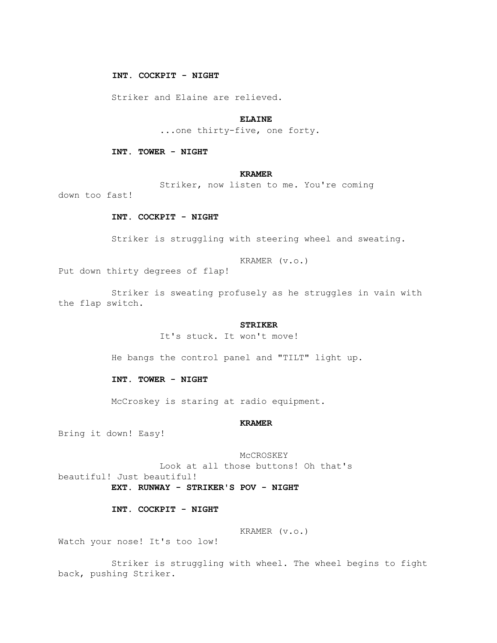# **INT. COCKPIT - NIGHT**

Striker and Elaine are relieved.

# **ELAINE**

...one thirty-five, one forty.

# **INT. TOWER - NIGHT**

### **KRAMER**

Striker, now listen to me. You're coming

down too fast!

### **INT. COCKPIT - NIGHT**

Striker is struggling with steering wheel and sweating.

KRAMER (v.o.)

Put down thirty degrees of flap!

 Striker is sweating profusely as he struggles in vain with the flap switch.

### **STRIKER**

It's stuck. It won't move!

He bangs the control panel and "TILT" light up.

# **INT. TOWER - NIGHT**

McCroskey is staring at radio equipment.

#### **KRAMER**

Bring it down! Easy!

 McCROSKEY Look at all those buttons! Oh that's beautiful! Just beautiful!

 **EXT. RUNWAY - STRIKER'S POV - NIGHT** 

# **INT. COCKPIT - NIGHT**

KRAMER (v.o.)

Watch your nose! It's too low!

 Striker is struggling with wheel. The wheel begins to fight back, pushing Striker.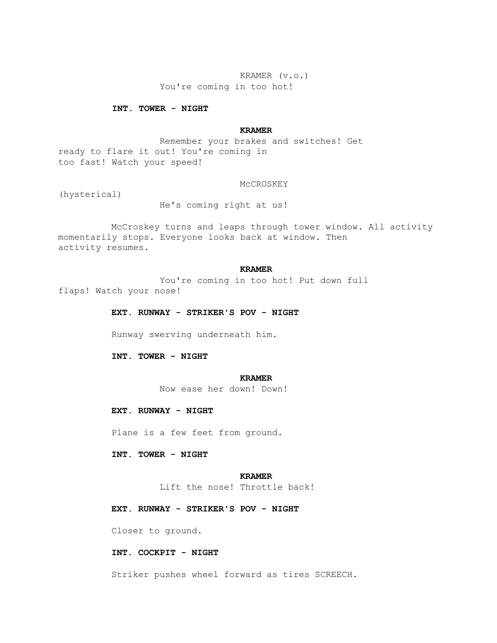KRAMER (v.o.) You're coming in too hot!

# **INT. TOWER - NIGHT**

# **KRAMER**

 Remember your brakes and switches! Get ready to flare it out! You're coming in too fast! Watch your speed!

### McCROSKEY

(hysterical)

He's coming right at us!

 McCroskey turns and leaps through tower window. All activity momentarily stops. Everyone looks back at window. Then activity resumes.

### **KRAMER**

 You're coming in too hot! Put down full flaps! Watch your nose!

# **EXT. RUNWAY - STRIKER'S POV - NIGHT**

Runway swerving underneath him.

### **INT. TOWER - NIGHT**

# **KRAMER**

Now ease her down! Down!

# **EXT. RUNWAY - NIGHT**

Plane is a few feet from ground.

# **INT. TOWER - NIGHT**

### **KRAMER**

Lift the nose! Throttle back!

# **EXT. RUNWAY - STRIKER'S POV - NIGHT**

Closer to ground.

# **INT. COCKPIT - NIGHT**

Striker pushes wheel forward as tires SCREECH.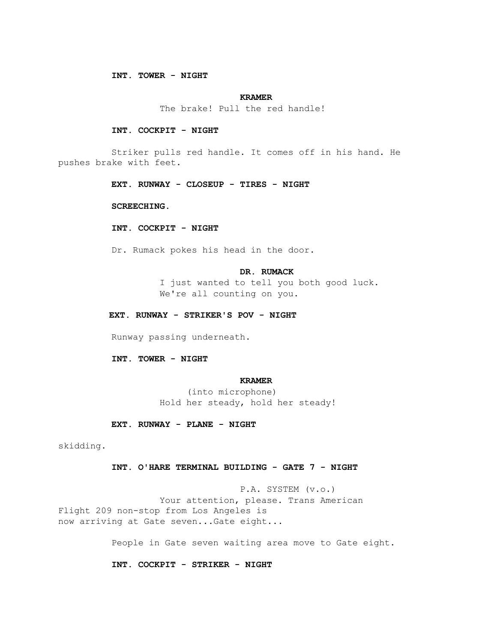# **INT. TOWER - NIGHT**

#### **KRAMER**

The brake! Pull the red handle!

# **INT. COCKPIT - NIGHT**

 Striker pulls red handle. It comes off in his hand. He pushes brake with feet.

 **EXT. RUNWAY - CLOSEUP - TIRES - NIGHT** 

 **SCREECHING.** 

# **INT. COCKPIT - NIGHT**

Dr. Rumack pokes his head in the door.

# **DR. RUMACK**

 I just wanted to tell you both good luck. We're all counting on you.

#### **EXT. RUNWAY - STRIKER'S POV - NIGHT**

Runway passing underneath.

# **INT. TOWER - NIGHT**

# **KRAMER**

 (into microphone) Hold her steady, hold her steady!

### **EXT. RUNWAY - PLANE - NIGHT**

skidding.

#### **INT. O'HARE TERMINAL BUILDING - GATE 7 - NIGHT**

 P.A. SYSTEM (v.o.) Your attention, please. Trans American Flight 209 non-stop from Los Angeles is now arriving at Gate seven...Gate eight...

People in Gate seven waiting area move to Gate eight.

 **INT. COCKPIT - STRIKER - NIGHT**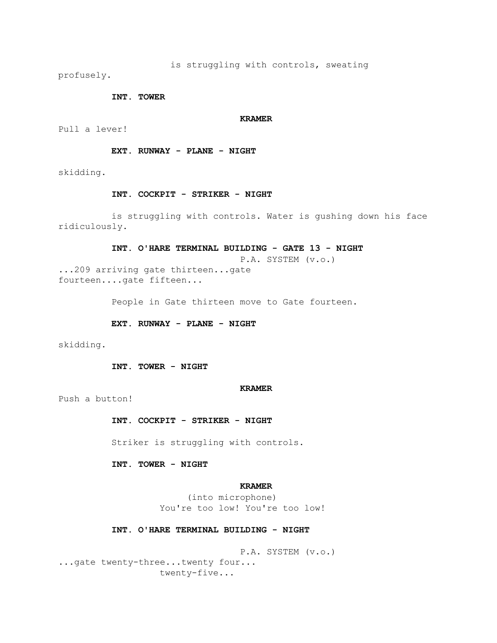is struggling with controls, sweating profusely.

### **INT. TOWER**

 **KRAMER** 

Pull a lever!

# **EXT. RUNWAY - PLANE - NIGHT**

skidding.

# **INT. COCKPIT - STRIKER - NIGHT**

 is struggling with controls. Water is gushing down his face ridiculously.

 **INT. O'HARE TERMINAL BUILDING - GATE 13 - NIGHT**  P.A. SYSTEM (v.o.) ...209 arriving gate thirteen...gate fourteen....gate fifteen...

People in Gate thirteen move to Gate fourteen.

### **EXT. RUNWAY - PLANE - NIGHT**

skidding.

 **INT. TOWER - NIGHT** 

# **KRAMER**

Push a button!

 **INT. COCKPIT - STRIKER - NIGHT** 

Striker is struggling with controls.

 **INT. TOWER - NIGHT** 

# **KRAMER**

 (into microphone) You're too low! You're too low!

 **INT. O'HARE TERMINAL BUILDING - NIGHT** 

 P.A. SYSTEM (v.o.) ...gate twenty-three...twenty four... twenty-five...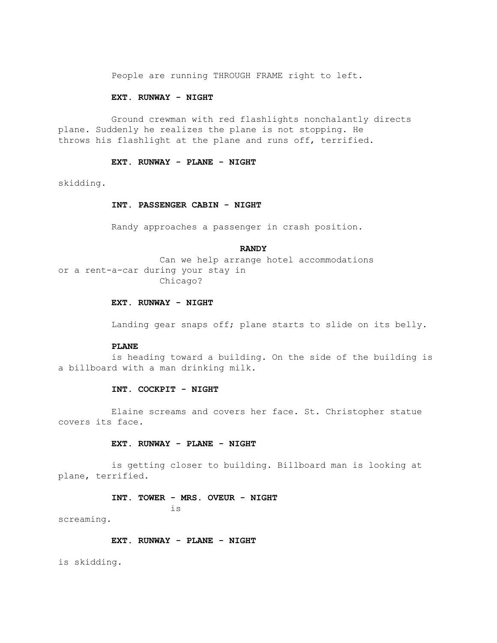People are running THROUGH FRAME right to left.

### **EXT. RUNWAY - NIGHT**

 Ground crewman with red flashlights nonchalantly directs plane. Suddenly he realizes the plane is not stopping. He throws his flashlight at the plane and runs off, terrified.

# **EXT. RUNWAY - PLANE - NIGHT**

skidding.

# **INT. PASSENGER CABIN - NIGHT**

Randy approaches a passenger in crash position.

### **RANDY**

 Can we help arrange hotel accommodations or a rent-a-car during your stay in Chicago?

### **EXT. RUNWAY - NIGHT**

Landing gear snaps off; plane starts to slide on its belly.

### **PLANE**

is

 is heading toward a building. On the side of the building is a billboard with a man drinking milk.

### **INT. COCKPIT - NIGHT**

 Elaine screams and covers her face. St. Christopher statue covers its face.

### **EXT. RUNWAY - PLANE - NIGHT**

 is getting closer to building. Billboard man is looking at plane, terrified.

# **INT. TOWER - MRS. OVEUR - NIGHT**

screaming.

# **EXT. RUNWAY - PLANE - NIGHT**

is skidding.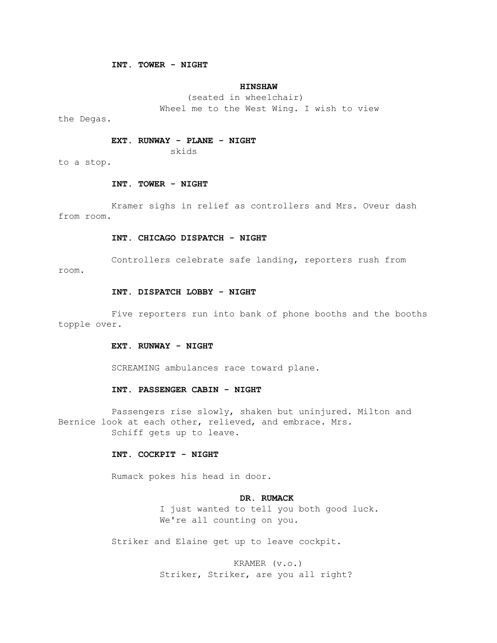# **INT. TOWER - NIGHT**

### **HINSHAW**

(seated in wheelchair)

Wheel me to the West Wing. I wish to view

the Degas.

 **EXT. RUNWAY - PLANE - NIGHT** 

skids

to a stop.

# **INT. TOWER - NIGHT**

 Kramer sighs in relief as controllers and Mrs. Oveur dash from room.

### **INT. CHICAGO DISPATCH - NIGHT**

 Controllers celebrate safe landing, reporters rush from room.

### **INT. DISPATCH LOBBY - NIGHT**

 Five reporters run into bank of phone booths and the booths topple over.

### **EXT. RUNWAY - NIGHT**

SCREAMING ambulances race toward plane.

# **INT. PASSENGER CABIN - NIGHT**

 Passengers rise slowly, shaken but uninjured. Milton and Bernice look at each other, relieved, and embrace. Mrs. Schiff gets up to leave.

### **INT. COCKPIT - NIGHT**

Rumack pokes his head in door.

# **DR. RUMACK**

 I just wanted to tell you both good luck. We're all counting on you.

Striker and Elaine get up to leave cockpit.

KRAMER (v.o.) Striker, Striker, are you all right?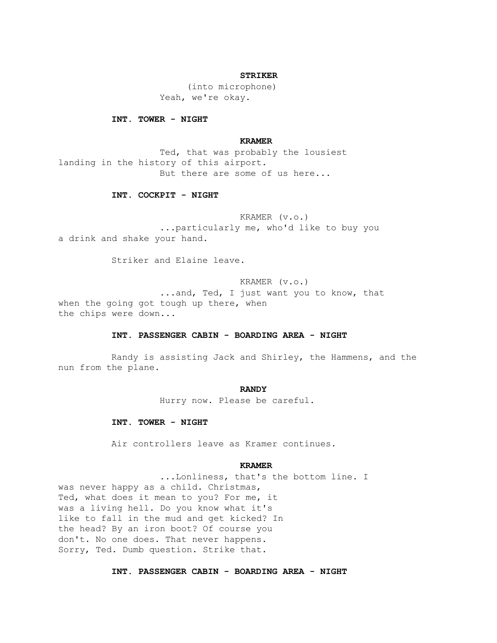### **STRIKER**

 (into microphone) Yeah, we're okay.

### **INT. TOWER - NIGHT**

### **KRAMER**

 Ted, that was probably the lousiest landing in the history of this airport. But there are some of us here...

#### **INT. COCKPIT - NIGHT**

 KRAMER (v.o.) ...particularly me, who'd like to buy you a drink and shake your hand.

Striker and Elaine leave.

# KRAMER (v.o.)

 ...and, Ted, I just want you to know, that when the going got tough up there, when the chips were down...

# **INT. PASSENGER CABIN - BOARDING AREA - NIGHT**

 Randy is assisting Jack and Shirley, the Hammens, and the nun from the plane.

#### **RANDY**

Hurry now. Please be careful.

#### **INT. TOWER - NIGHT**

Air controllers leave as Kramer continues.

#### **KRAMER**

 ...Lonliness, that's the bottom line. I was never happy as a child. Christmas, Ted, what does it mean to you? For me, it was a living hell. Do you know what it's like to fall in the mud and get kicked? In the head? By an iron boot? Of course you don't. No one does. That never happens. Sorry, Ted. Dumb question. Strike that.

 **INT. PASSENGER CABIN - BOARDING AREA - NIGHT**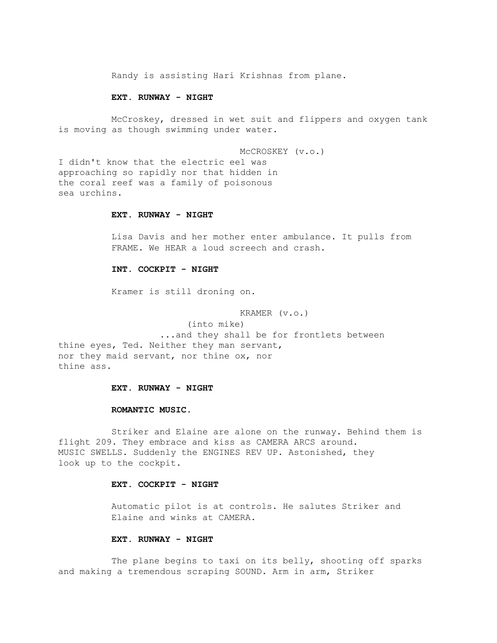Randy is assisting Hari Krishnas from plane.

### **EXT. RUNWAY - NIGHT**

 McCroskey, dressed in wet suit and flippers and oxygen tank is moving as though swimming under water.

 McCROSKEY (v.o.) I didn't know that the electric eel was approaching so rapidly nor that hidden in the coral reef was a family of poisonous sea urchins.

### **EXT. RUNWAY - NIGHT**

 Lisa Davis and her mother enter ambulance. It pulls from FRAME. We HEAR a loud screech and crash.

# **INT. COCKPIT - NIGHT**

Kramer is still droning on.

# KRAMER (v.o.)

 (into mike) ...and they shall be for frontlets between thine eyes, Ted. Neither they man servant, nor they maid servant, nor thine ox, nor thine ass.

# **EXT. RUNWAY - NIGHT**

#### **ROMANTIC MUSIC.**

 Striker and Elaine are alone on the runway. Behind them is flight 209. They embrace and kiss as CAMERA ARCS around. MUSIC SWELLS. Suddenly the ENGINES REV UP. Astonished, they look up to the cockpit.

### **EXT. COCKPIT - NIGHT**

 Automatic pilot is at controls. He salutes Striker and Elaine and winks at CAMERA.

# **EXT. RUNWAY - NIGHT**

The plane begins to taxi on its belly, shooting off sparks and making a tremendous scraping SOUND. Arm in arm, Striker